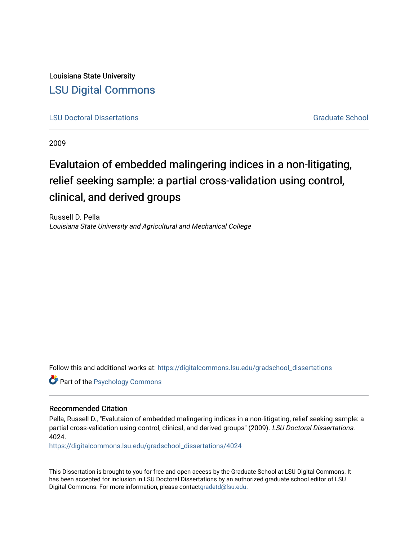Louisiana State University [LSU Digital Commons](https://digitalcommons.lsu.edu/)

**[LSU Doctoral Dissertations](https://digitalcommons.lsu.edu/gradschool_dissertations)** [Graduate School](https://digitalcommons.lsu.edu/gradschool) Control of the Graduate School Control of the Graduate School Control of the Graduate School Control of the Graduate School Control of the Graduate School Control of the Graduat

2009

# Evalutaion of embedded malingering indices in a non-litigating, relief seeking sample: a partial cross-validation using control, clinical, and derived groups

Russell D. Pella Louisiana State University and Agricultural and Mechanical College

Follow this and additional works at: [https://digitalcommons.lsu.edu/gradschool\\_dissertations](https://digitalcommons.lsu.edu/gradschool_dissertations?utm_source=digitalcommons.lsu.edu%2Fgradschool_dissertations%2F4024&utm_medium=PDF&utm_campaign=PDFCoverPages)

**Part of the Psychology Commons** 

#### Recommended Citation

Pella, Russell D., "Evalutaion of embedded malingering indices in a non-litigating, relief seeking sample: a partial cross-validation using control, clinical, and derived groups" (2009). LSU Doctoral Dissertations. 4024.

[https://digitalcommons.lsu.edu/gradschool\\_dissertations/4024](https://digitalcommons.lsu.edu/gradschool_dissertations/4024?utm_source=digitalcommons.lsu.edu%2Fgradschool_dissertations%2F4024&utm_medium=PDF&utm_campaign=PDFCoverPages)

This Dissertation is brought to you for free and open access by the Graduate School at LSU Digital Commons. It has been accepted for inclusion in LSU Doctoral Dissertations by an authorized graduate school editor of LSU Digital Commons. For more information, please contac[tgradetd@lsu.edu.](mailto:gradetd@lsu.edu)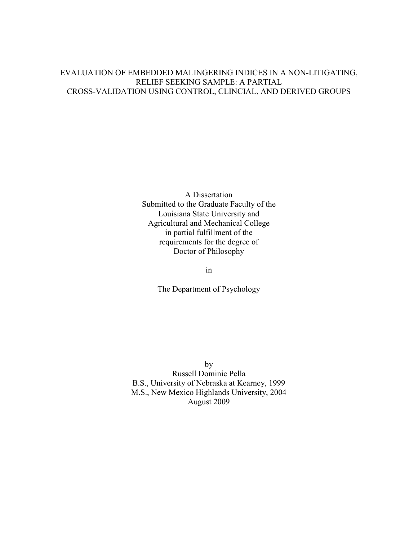### EVALUATION OF EMBEDDED MALINGERING INDICES IN A NON-LITIGATING, RELIEF SEEKING SAMPLE: A PARTIAL CROSS-VALIDATION USING CONTROL, CLINCIAL, AND DERIVED GROUPS

A Dissertation Submitted to the Graduate Faculty of the Louisiana State University and Agricultural and Mechanical College in partial fulfillment of the requirements for the degree of Doctor of Philosophy

in

The Department of Psychology

by Russell Dominic Pella B.S., University of Nebraska at Kearney, 1999 M.S., New Mexico Highlands University, 2004 August 2009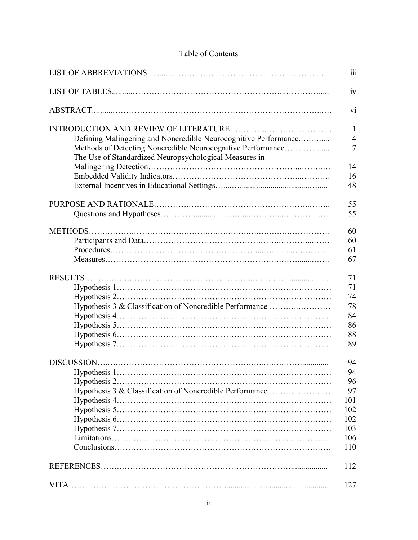## Table of Contents

|                                                                 | iii             |
|-----------------------------------------------------------------|-----------------|
|                                                                 | iv              |
|                                                                 | $\overline{vi}$ |
|                                                                 | $\mathbf{1}$    |
| Defining Malingering and Noncredible Neurocognitive Performance | $\overline{4}$  |
| Methods of Detecting Noncredible Neurocognitive Performance     | $\overline{7}$  |
| The Use of Standardized Neuropsychological Measures in          |                 |
|                                                                 | 14              |
|                                                                 | 16              |
|                                                                 | 48              |
|                                                                 | 55              |
|                                                                 | 55              |
|                                                                 | 60              |
|                                                                 | 60              |
|                                                                 | 61              |
|                                                                 | 67              |
|                                                                 | 71              |
|                                                                 | 71              |
|                                                                 | 74              |
| Hypothesis 3 & Classification of Noncredible Performance        | 78              |
|                                                                 | 84              |
|                                                                 | 86              |
|                                                                 | 88              |
|                                                                 | 89              |
|                                                                 | 94              |
|                                                                 | 94              |
|                                                                 | 96              |
| Hypothesis 3 & Classification of Noncredible Performance        | 97              |
|                                                                 | 101             |
|                                                                 | 102             |
|                                                                 | 102             |
|                                                                 | 103             |
|                                                                 | 106             |
|                                                                 | 110             |
|                                                                 | 112             |
|                                                                 | 127             |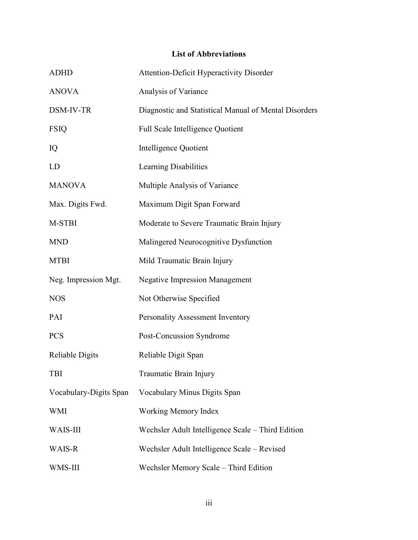# **List of Abbreviations**

| <b>ADHD</b>            | <b>Attention-Deficit Hyperactivity Disorder</b>       |
|------------------------|-------------------------------------------------------|
| <b>ANOVA</b>           | Analysis of Variance                                  |
| DSM-IV-TR              | Diagnostic and Statistical Manual of Mental Disorders |
| <b>FSIQ</b>            | <b>Full Scale Intelligence Quotient</b>               |
| IQ                     | Intelligence Quotient                                 |
| LD                     | Learning Disabilities                                 |
| <b>MANOVA</b>          | Multiple Analysis of Variance                         |
| Max. Digits Fwd.       | Maximum Digit Span Forward                            |
| M-STBI                 | Moderate to Severe Traumatic Brain Injury             |
| <b>MND</b>             | Malingered Neurocognitive Dysfunction                 |
| <b>MTBI</b>            | Mild Traumatic Brain Injury                           |
| Neg. Impression Mgt.   | <b>Negative Impression Management</b>                 |
| <b>NOS</b>             | Not Otherwise Specified                               |
| PAI                    | Personality Assessment Inventory                      |
| <b>PCS</b>             | Post-Concussion Syndrome                              |
| Reliable Digits        | Reliable Digit Span                                   |
| <b>TBI</b>             | Traumatic Brain Injury                                |
| Vocabulary-Digits Span | Vocabulary Minus Digits Span                          |
| <b>WMI</b>             | <b>Working Memory Index</b>                           |
| <b>WAIS-III</b>        | Wechsler Adult Intelligence Scale – Third Edition     |
| WAIS-R                 | Wechsler Adult Intelligence Scale – Revised           |
| WMS-III                | Wechsler Memory Scale - Third Edition                 |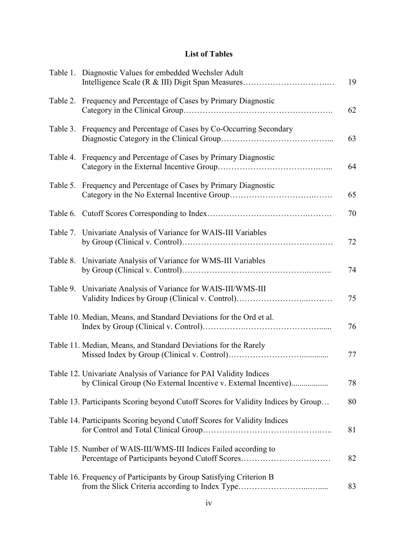# **List of Tables**

| Table 1. Diagnostic Values for embedded Wechsler Adult                                                                                | 19 |
|---------------------------------------------------------------------------------------------------------------------------------------|----|
| Table 2. Frequency and Percentage of Cases by Primary Diagnostic                                                                      | 62 |
| Table 3. Frequency and Percentage of Cases by Co-Occurring Secondary                                                                  | 63 |
| Table 4. Frequency and Percentage of Cases by Primary Diagnostic                                                                      | 64 |
| Table 5. Frequency and Percentage of Cases by Primary Diagnostic                                                                      | 65 |
|                                                                                                                                       | 70 |
| Table 7. Univariate Analysis of Variance for WAIS-III Variables                                                                       | 72 |
| Table 8. Univariate Analysis of Variance for WMS-III Variables                                                                        | 74 |
| Table 9. Univariate Analysis of Variance for WAIS-III/WMS-III<br>Validity Indices by Group (Clinical v. Control)                      | 75 |
| Table 10. Median, Means, and Standard Deviations for the Ord et al.                                                                   | 76 |
| Table 11. Median, Means, and Standard Deviations for the Rarely                                                                       | 77 |
| Table 12. Univariate Analysis of Variance for PAI Validity Indices<br>by Clinical Group (No External Incentive v. External Incentive) | 78 |
| Table 13. Participants Scoring beyond Cutoff Scores for Validity Indices by Group                                                     | 80 |
| Table 14. Participants Scoring beyond Cutoff Scores for Validity Indices                                                              | 81 |
| Table 15. Number of WAIS-III/WMS-III Indices Failed according to<br>Percentage of Participants beyond Cutoff Scores                   | 82 |
| Table 16. Frequency of Participants by Group Satisfying Criterion B                                                                   | 83 |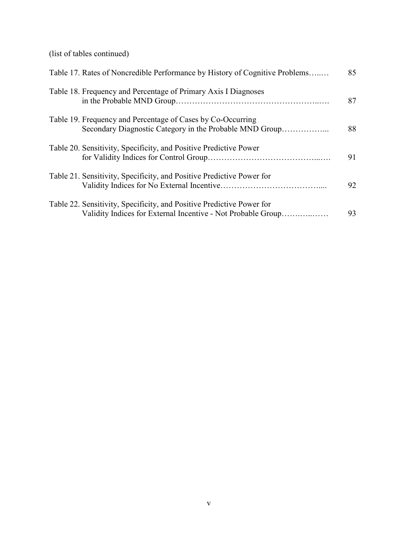(list of tables continued)

| Table 17. Rates of Noncredible Performance by History of Cognitive Problems                                                           | 85 |
|---------------------------------------------------------------------------------------------------------------------------------------|----|
| Table 18. Frequency and Percentage of Primary Axis I Diagnoses                                                                        | 87 |
| Table 19. Frequency and Percentage of Cases by Co-Occurring<br>Secondary Diagnostic Category in the Probable MND Group                | 88 |
| Table 20. Sensitivity, Specificity, and Positive Predictive Power                                                                     | 91 |
| Table 21. Sensitivity, Specificity, and Positive Predictive Power for                                                                 | 92 |
| Table 22. Sensitivity, Specificity, and Positive Predictive Power for<br>Validity Indices for External Incentive - Not Probable Group | 93 |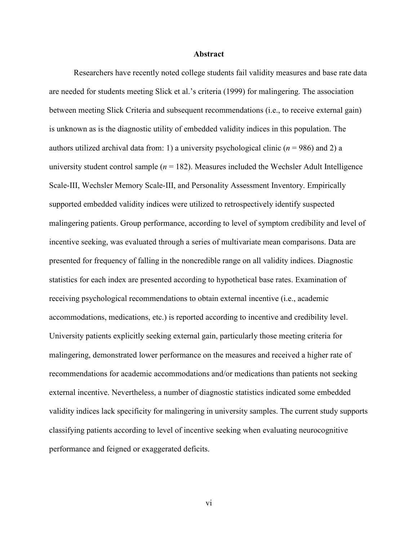#### **Abstract**

 Researchers have recently noted college students fail validity measures and base rate data are needed for students meeting Slick et al.'s criteria (1999) for malingering. The association between meeting Slick Criteria and subsequent recommendations (i.e., to receive external gain) is unknown as is the diagnostic utility of embedded validity indices in this population. The authors utilized archival data from: 1) a university psychological clinic  $(n = 986)$  and 2) a university student control sample  $(n = 182)$ . Measures included the Wechsler Adult Intelligence Scale-III, Wechsler Memory Scale-III, and Personality Assessment Inventory. Empirically supported embedded validity indices were utilized to retrospectively identify suspected malingering patients. Group performance, according to level of symptom credibility and level of incentive seeking, was evaluated through a series of multivariate mean comparisons. Data are presented for frequency of falling in the noncredible range on all validity indices. Diagnostic statistics for each index are presented according to hypothetical base rates. Examination of receiving psychological recommendations to obtain external incentive (i.e., academic accommodations, medications, etc.) is reported according to incentive and credibility level. University patients explicitly seeking external gain, particularly those meeting criteria for malingering, demonstrated lower performance on the measures and received a higher rate of recommendations for academic accommodations and/or medications than patients not seeking external incentive. Nevertheless, a number of diagnostic statistics indicated some embedded validity indices lack specificity for malingering in university samples. The current study supports classifying patients according to level of incentive seeking when evaluating neurocognitive performance and feigned or exaggerated deficits.

vi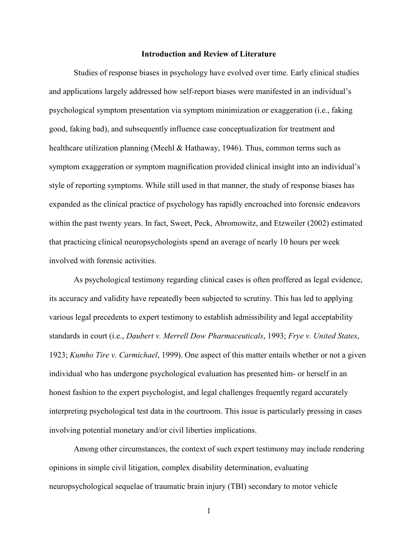#### **Introduction and Review of Literature**

Studies of response biases in psychology have evolved over time. Early clinical studies and applications largely addressed how self-report biases were manifested in an individual's psychological symptom presentation via symptom minimization or exaggeration (i.e., faking good, faking bad), and subsequently influence case conceptualization for treatment and healthcare utilization planning (Meehl & Hathaway, 1946). Thus, common terms such as symptom exaggeration or symptom magnification provided clinical insight into an individual's style of reporting symptoms. While still used in that manner, the study of response biases has expanded as the clinical practice of psychology has rapidly encroached into forensic endeavors within the past twenty years. In fact, Sweet, Peck, Abromowitz, and Etzweiler (2002) estimated that practicing clinical neuropsychologists spend an average of nearly 10 hours per week involved with forensic activities.

As psychological testimony regarding clinical cases is often proffered as legal evidence, its accuracy and validity have repeatedly been subjected to scrutiny. This has led to applying various legal precedents to expert testimony to establish admissibility and legal acceptability standards in court (i.e., *Daubert v. Merrell Dow Pharmaceuticals*, 1993; *Frye v. United States*, 1923; *Kumho Tire v. Carmichael*, 1999). One aspect of this matter entails whether or not a given individual who has undergone psychological evaluation has presented him- or herself in an honest fashion to the expert psychologist, and legal challenges frequently regard accurately interpreting psychological test data in the courtroom. This issue is particularly pressing in cases involving potential monetary and/or civil liberties implications.

 Among other circumstances, the context of such expert testimony may include rendering opinions in simple civil litigation, complex disability determination, evaluating neuropsychological sequelae of traumatic brain injury (TBI) secondary to motor vehicle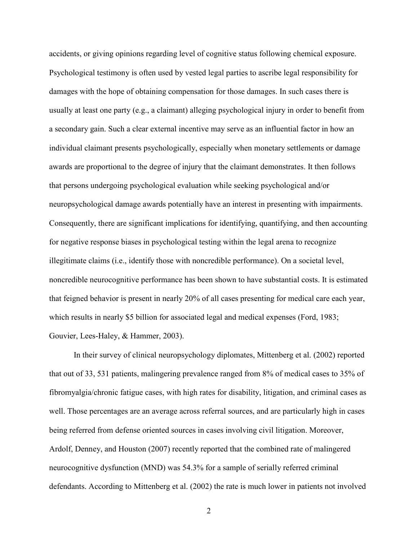accidents, or giving opinions regarding level of cognitive status following chemical exposure. Psychological testimony is often used by vested legal parties to ascribe legal responsibility for damages with the hope of obtaining compensation for those damages. In such cases there is usually at least one party (e.g., a claimant) alleging psychological injury in order to benefit from a secondary gain. Such a clear external incentive may serve as an influential factor in how an individual claimant presents psychologically, especially when monetary settlements or damage awards are proportional to the degree of injury that the claimant demonstrates. It then follows that persons undergoing psychological evaluation while seeking psychological and/or neuropsychological damage awards potentially have an interest in presenting with impairments. Consequently, there are significant implications for identifying, quantifying, and then accounting for negative response biases in psychological testing within the legal arena to recognize illegitimate claims (i.e., identify those with noncredible performance). On a societal level, noncredible neurocognitive performance has been shown to have substantial costs. It is estimated that feigned behavior is present in nearly 20% of all cases presenting for medical care each year, which results in nearly \$5 billion for associated legal and medical expenses (Ford, 1983; Gouvier, Lees-Haley, & Hammer, 2003).

In their survey of clinical neuropsychology diplomates, Mittenberg et al. (2002) reported that out of 33, 531 patients, malingering prevalence ranged from 8% of medical cases to 35% of fibromyalgia/chronic fatigue cases, with high rates for disability, litigation, and criminal cases as well. Those percentages are an average across referral sources, and are particularly high in cases being referred from defense oriented sources in cases involving civil litigation. Moreover, Ardolf, Denney, and Houston (2007) recently reported that the combined rate of malingered neurocognitive dysfunction (MND) was 54.3% for a sample of serially referred criminal defendants. According to Mittenberg et al. (2002) the rate is much lower in patients not involved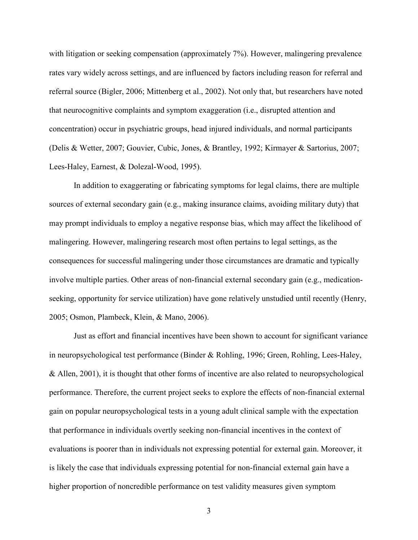with litigation or seeking compensation (approximately 7%). However, malingering prevalence rates vary widely across settings, and are influenced by factors including reason for referral and referral source (Bigler, 2006; Mittenberg et al., 2002). Not only that, but researchers have noted that neurocognitive complaints and symptom exaggeration (i.e., disrupted attention and concentration) occur in psychiatric groups, head injured individuals, and normal participants (Delis & Wetter, 2007; Gouvier, Cubic, Jones, & Brantley, 1992; Kirmayer & Sartorius, 2007; Lees-Haley, Earnest, & Dolezal-Wood, 1995).

In addition to exaggerating or fabricating symptoms for legal claims, there are multiple sources of external secondary gain (e.g., making insurance claims, avoiding military duty) that may prompt individuals to employ a negative response bias, which may affect the likelihood of malingering. However, malingering research most often pertains to legal settings, as the consequences for successful malingering under those circumstances are dramatic and typically involve multiple parties. Other areas of non-financial external secondary gain (e.g., medicationseeking, opportunity for service utilization) have gone relatively unstudied until recently (Henry, 2005; Osmon, Plambeck, Klein, & Mano, 2006).

Just as effort and financial incentives have been shown to account for significant variance in neuropsychological test performance (Binder & Rohling, 1996; Green, Rohling, Lees-Haley, & Allen, 2001), it is thought that other forms of incentive are also related to neuropsychological performance. Therefore, the current project seeks to explore the effects of non-financial external gain on popular neuropsychological tests in a young adult clinical sample with the expectation that performance in individuals overtly seeking non-financial incentives in the context of evaluations is poorer than in individuals not expressing potential for external gain. Moreover, it is likely the case that individuals expressing potential for non-financial external gain have a higher proportion of noncredible performance on test validity measures given symptom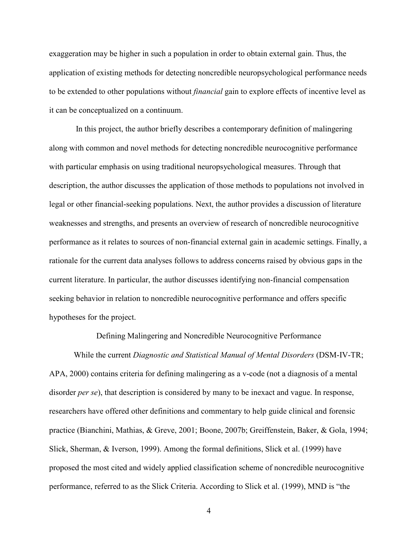exaggeration may be higher in such a population in order to obtain external gain. Thus, the application of existing methods for detecting noncredible neuropsychological performance needs to be extended to other populations without *financial* gain to explore effects of incentive level as it can be conceptualized on a continuum.

 In this project, the author briefly describes a contemporary definition of malingering along with common and novel methods for detecting noncredible neurocognitive performance with particular emphasis on using traditional neuropsychological measures. Through that description, the author discusses the application of those methods to populations not involved in legal or other financial-seeking populations. Next, the author provides a discussion of literature weaknesses and strengths, and presents an overview of research of noncredible neurocognitive performance as it relates to sources of non-financial external gain in academic settings. Finally, a rationale for the current data analyses follows to address concerns raised by obvious gaps in the current literature. In particular, the author discusses identifying non-financial compensation seeking behavior in relation to noncredible neurocognitive performance and offers specific hypotheses for the project.

Defining Malingering and Noncredible Neurocognitive Performance

While the current *Diagnostic and Statistical Manual of Mental Disorders* (DSM-IV-TR; APA, 2000) contains criteria for defining malingering as a v-code (not a diagnosis of a mental disorder *per se*), that description is considered by many to be inexact and vague. In response, researchers have offered other definitions and commentary to help guide clinical and forensic practice (Bianchini, Mathias, & Greve, 2001; Boone, 2007b; Greiffenstein, Baker, & Gola, 1994; Slick, Sherman, & Iverson, 1999). Among the formal definitions, Slick et al. (1999) have proposed the most cited and widely applied classification scheme of noncredible neurocognitive performance, referred to as the Slick Criteria. According to Slick et al. (1999), MND is "the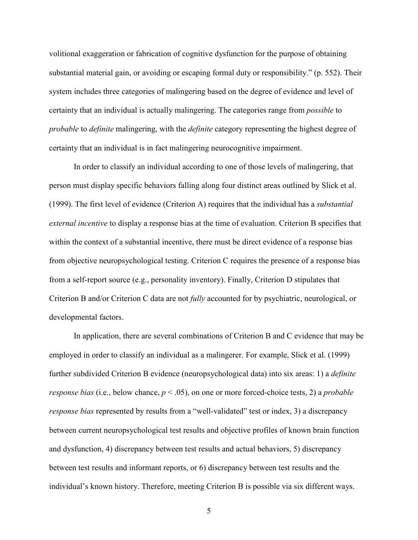volitional exaggeration or fabrication of cognitive dysfunction for the purpose of obtaining substantial material gain, or avoiding or escaping formal duty or responsibility." (p. 552). Their system includes three categories of malingering based on the degree of evidence and level of certainty that an individual is actually malingering. The categories range from *possible* to *probable* to *definite* malingering, with the *definite* category representing the highest degree of certainty that an individual is in fact malingering neurocognitive impairment.

 In order to classify an individual according to one of those levels of malingering, that person must display specific behaviors falling along four distinct areas outlined by Slick et al. (1999). The first level of evidence (Criterion A) requires that the individual has a *substantial external incentive* to display a response bias at the time of evaluation. Criterion B specifies that within the context of a substantial incentive, there must be direct evidence of a response bias from objective neuropsychological testing. Criterion C requires the presence of a response bias from a self-report source (e.g., personality inventory). Finally, Criterion D stipulates that Criterion B and/or Criterion C data are not *fully* accounted for by psychiatric, neurological, or developmental factors.

 In application, there are several combinations of Criterion B and C evidence that may be employed in order to classify an individual as a malingerer. For example, Slick et al. (1999) further subdivided Criterion B evidence (neuropsychological data) into six areas: 1) a *definite response bias* (i.e., below chance, *p* < .05), on one or more forced-choice tests, 2) a *probable response bias* represented by results from a "well-validated" test or index, 3) a discrepancy between current neuropsychological test results and objective profiles of known brain function and dysfunction, 4) discrepancy between test results and actual behaviors, 5) discrepancy between test results and informant reports, or 6) discrepancy between test results and the individual's known history. Therefore, meeting Criterion B is possible via six different ways.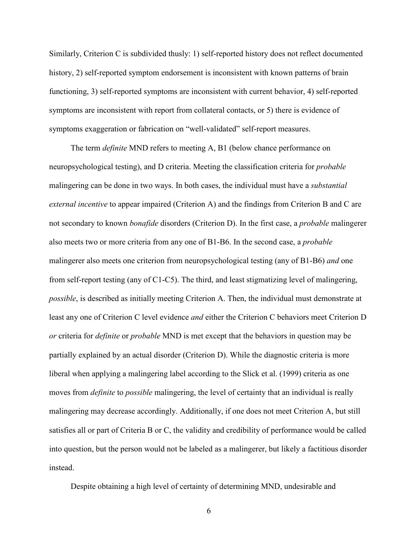Similarly, Criterion C is subdivided thusly: 1) self-reported history does not reflect documented history, 2) self-reported symptom endorsement is inconsistent with known patterns of brain functioning, 3) self-reported symptoms are inconsistent with current behavior, 4) self-reported symptoms are inconsistent with report from collateral contacts, or 5) there is evidence of symptoms exaggeration or fabrication on "well-validated" self-report measures.

The term *definite* MND refers to meeting A, B1 (below chance performance on neuropsychological testing), and D criteria. Meeting the classification criteria for *probable* malingering can be done in two ways. In both cases, the individual must have a *substantial external incentive* to appear impaired (Criterion A) and the findings from Criterion B and C are not secondary to known *bonafide* disorders (Criterion D). In the first case, a *probable* malingerer also meets two or more criteria from any one of B1-B6. In the second case, a *probable* malingerer also meets one criterion from neuropsychological testing (any of B1-B6) *and* one from self-report testing (any of C1-C5). The third, and least stigmatizing level of malingering, *possible*, is described as initially meeting Criterion A. Then, the individual must demonstrate at least any one of Criterion C level evidence *and* either the Criterion C behaviors meet Criterion D *or* criteria for *definite* or *probable* MND is met except that the behaviors in question may be partially explained by an actual disorder (Criterion D). While the diagnostic criteria is more liberal when applying a malingering label according to the Slick et al. (1999) criteria as one moves from *definite* to *possible* malingering, the level of certainty that an individual is really malingering may decrease accordingly. Additionally, if one does not meet Criterion A, but still satisfies all or part of Criteria B or C, the validity and credibility of performance would be called into question, but the person would not be labeled as a malingerer, but likely a factitious disorder instead.

Despite obtaining a high level of certainty of determining MND, undesirable and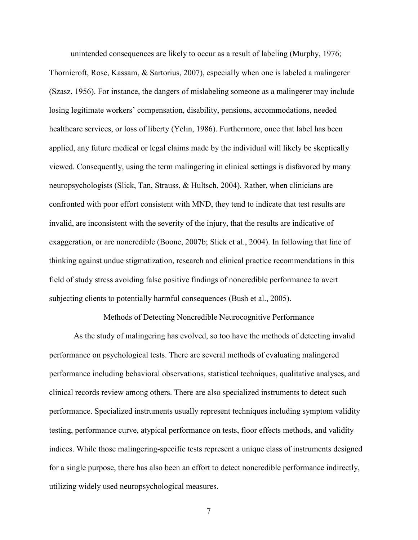unintended consequences are likely to occur as a result of labeling (Murphy, 1976;

Thornicroft, Rose, Kassam, & Sartorius, 2007), especially when one is labeled a malingerer (Szasz, 1956). For instance, the dangers of mislabeling someone as a malingerer may include losing legitimate workers' compensation, disability, pensions, accommodations, needed healthcare services, or loss of liberty (Yelin, 1986). Furthermore, once that label has been applied, any future medical or legal claims made by the individual will likely be skeptically viewed. Consequently, using the term malingering in clinical settings is disfavored by many neuropsychologists (Slick, Tan, Strauss, & Hultsch, 2004). Rather, when clinicians are confronted with poor effort consistent with MND, they tend to indicate that test results are invalid, are inconsistent with the severity of the injury, that the results are indicative of exaggeration, or are noncredible (Boone, 2007b; Slick et al., 2004). In following that line of thinking against undue stigmatization, research and clinical practice recommendations in this field of study stress avoiding false positive findings of noncredible performance to avert subjecting clients to potentially harmful consequences (Bush et al., 2005).

Methods of Detecting Noncredible Neurocognitive Performance

 As the study of malingering has evolved, so too have the methods of detecting invalid performance on psychological tests. There are several methods of evaluating malingered performance including behavioral observations, statistical techniques, qualitative analyses, and clinical records review among others. There are also specialized instruments to detect such performance. Specialized instruments usually represent techniques including symptom validity testing, performance curve, atypical performance on tests, floor effects methods, and validity indices. While those malingering-specific tests represent a unique class of instruments designed for a single purpose, there has also been an effort to detect noncredible performance indirectly, utilizing widely used neuropsychological measures.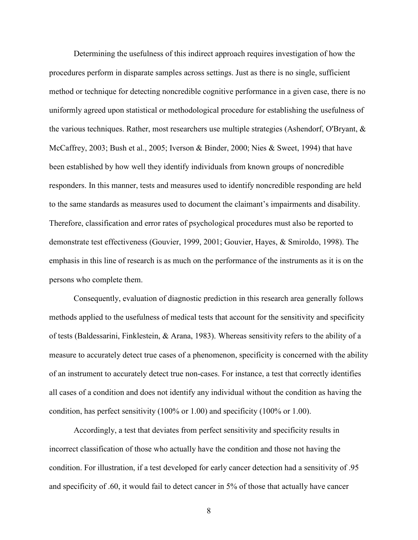Determining the usefulness of this indirect approach requires investigation of how the procedures perform in disparate samples across settings. Just as there is no single, sufficient method or technique for detecting noncredible cognitive performance in a given case, there is no uniformly agreed upon statistical or methodological procedure for establishing the usefulness of the various techniques. Rather, most researchers use multiple strategies (Ashendorf, O'Bryant, & McCaffrey, 2003; Bush et al., 2005; Iverson & Binder, 2000; Nies & Sweet, 1994) that have been established by how well they identify individuals from known groups of noncredible responders. In this manner, tests and measures used to identify noncredible responding are held to the same standards as measures used to document the claimant's impairments and disability. Therefore, classification and error rates of psychological procedures must also be reported to demonstrate test effectiveness (Gouvier, 1999, 2001; Gouvier, Hayes, & Smiroldo, 1998). The emphasis in this line of research is as much on the performance of the instruments as it is on the persons who complete them.

Consequently, evaluation of diagnostic prediction in this research area generally follows methods applied to the usefulness of medical tests that account for the sensitivity and specificity of tests (Baldessarini, Finklestein, & Arana, 1983). Whereas sensitivity refers to the ability of a measure to accurately detect true cases of a phenomenon, specificity is concerned with the ability of an instrument to accurately detect true non-cases. For instance, a test that correctly identifies all cases of a condition and does not identify any individual without the condition as having the condition, has perfect sensitivity (100% or 1.00) and specificity (100% or 1.00).

Accordingly, a test that deviates from perfect sensitivity and specificity results in incorrect classification of those who actually have the condition and those not having the condition. For illustration, if a test developed for early cancer detection had a sensitivity of .95 and specificity of .60, it would fail to detect cancer in 5% of those that actually have cancer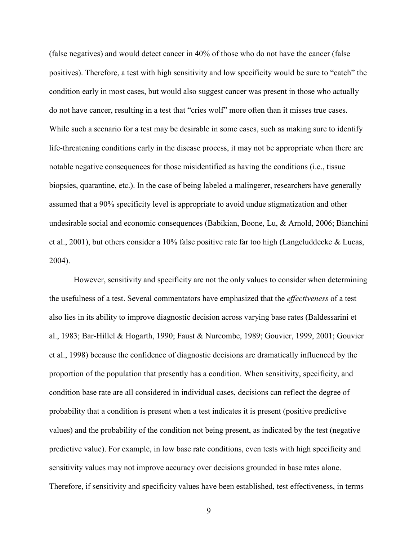(false negatives) and would detect cancer in 40% of those who do not have the cancer (false positives). Therefore, a test with high sensitivity and low specificity would be sure to "catch" the condition early in most cases, but would also suggest cancer was present in those who actually do not have cancer, resulting in a test that "cries wolf" more often than it misses true cases. While such a scenario for a test may be desirable in some cases, such as making sure to identify life-threatening conditions early in the disease process, it may not be appropriate when there are notable negative consequences for those misidentified as having the conditions (i.e., tissue biopsies, quarantine, etc.). In the case of being labeled a malingerer, researchers have generally assumed that a 90% specificity level is appropriate to avoid undue stigmatization and other undesirable social and economic consequences (Babikian, Boone, Lu, & Arnold, 2006; Bianchini et al., 2001), but others consider a 10% false positive rate far too high (Langeluddecke & Lucas, 2004).

However, sensitivity and specificity are not the only values to consider when determining the usefulness of a test. Several commentators have emphasized that the *effectiveness* of a test also lies in its ability to improve diagnostic decision across varying base rates (Baldessarini et al., 1983; Bar-Hillel & Hogarth, 1990; Faust & Nurcombe, 1989; Gouvier, 1999, 2001; Gouvier et al., 1998) because the confidence of diagnostic decisions are dramatically influenced by the proportion of the population that presently has a condition. When sensitivity, specificity, and condition base rate are all considered in individual cases, decisions can reflect the degree of probability that a condition is present when a test indicates it is present (positive predictive values) and the probability of the condition not being present, as indicated by the test (negative predictive value). For example, in low base rate conditions, even tests with high specificity and sensitivity values may not improve accuracy over decisions grounded in base rates alone. Therefore, if sensitivity and specificity values have been established, test effectiveness, in terms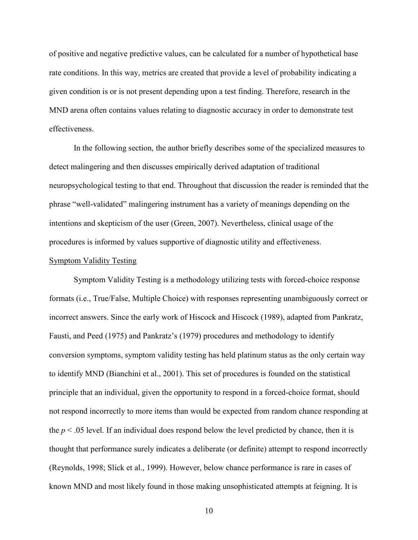of positive and negative predictive values, can be calculated for a number of hypothetical base rate conditions. In this way, metrics are created that provide a level of probability indicating a given condition is or is not present depending upon a test finding. Therefore, research in the MND arena often contains values relating to diagnostic accuracy in order to demonstrate test effectiveness.

In the following section, the author briefly describes some of the specialized measures to detect malingering and then discusses empirically derived adaptation of traditional neuropsychological testing to that end. Throughout that discussion the reader is reminded that the phrase "well-validated" malingering instrument has a variety of meanings depending on the intentions and skepticism of the user (Green, 2007). Nevertheless, clinical usage of the procedures is informed by values supportive of diagnostic utility and effectiveness.

#### Symptom Validity Testing

 Symptom Validity Testing is a methodology utilizing tests with forced-choice response formats (i.e., True/False, Multiple Choice) with responses representing unambiguously correct or incorrect answers. Since the early work of Hiscock and Hiscock (1989), adapted from Pankratz, Fausti, and Peed (1975) and Pankratz's (1979) procedures and methodology to identify conversion symptoms, symptom validity testing has held platinum status as the only certain way to identify MND (Bianchini et al., 2001). This set of procedures is founded on the statistical principle that an individual, given the opportunity to respond in a forced-choice format, should not respond incorrectly to more items than would be expected from random chance responding at the  $p < .05$  level. If an individual does respond below the level predicted by chance, then it is thought that performance surely indicates a deliberate (or definite) attempt to respond incorrectly (Reynolds, 1998; Slick et al., 1999). However, below chance performance is rare in cases of known MND and most likely found in those making unsophisticated attempts at feigning. It is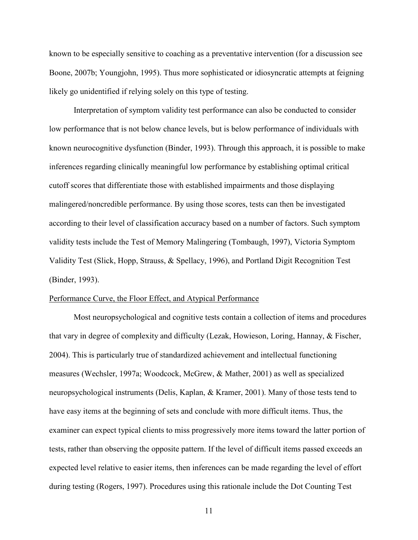known to be especially sensitive to coaching as a preventative intervention (for a discussion see Boone, 2007b; Youngjohn, 1995). Thus more sophisticated or idiosyncratic attempts at feigning likely go unidentified if relying solely on this type of testing.

Interpretation of symptom validity test performance can also be conducted to consider low performance that is not below chance levels, but is below performance of individuals with known neurocognitive dysfunction (Binder, 1993). Through this approach, it is possible to make inferences regarding clinically meaningful low performance by establishing optimal critical cutoff scores that differentiate those with established impairments and those displaying malingered/noncredible performance. By using those scores, tests can then be investigated according to their level of classification accuracy based on a number of factors. Such symptom validity tests include the Test of Memory Malingering (Tombaugh, 1997), Victoria Symptom Validity Test (Slick, Hopp, Strauss, & Spellacy, 1996), and Portland Digit Recognition Test (Binder, 1993).

#### Performance Curve, the Floor Effect, and Atypical Performance

 Most neuropsychological and cognitive tests contain a collection of items and procedures that vary in degree of complexity and difficulty (Lezak, Howieson, Loring, Hannay, & Fischer, 2004). This is particularly true of standardized achievement and intellectual functioning measures (Wechsler, 1997a; Woodcock, McGrew, & Mather, 2001) as well as specialized neuropsychological instruments (Delis, Kaplan, & Kramer, 2001). Many of those tests tend to have easy items at the beginning of sets and conclude with more difficult items. Thus, the examiner can expect typical clients to miss progressively more items toward the latter portion of tests, rather than observing the opposite pattern. If the level of difficult items passed exceeds an expected level relative to easier items, then inferences can be made regarding the level of effort during testing (Rogers, 1997). Procedures using this rationale include the Dot Counting Test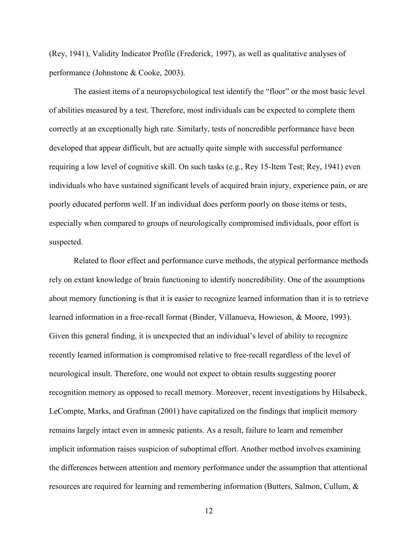(Rey, 1941), Validity Indicator Profile (Frederick, 1997), as well as qualitative analyses of performance (Johnstone & Cooke, 2003).

 The easiest items of a neuropsychological test identify the "floor" or the most basic level of abilities measured by a test. Therefore, most individuals can be expected to complete them correctly at an exceptionally high rate. Similarly, tests of noncredible performance have been developed that appear difficult, but are actually quite simple with successful performance requiring a low level of cognitive skill. On such tasks (e.g., Rey 15-Item Test; Rey, 1941) even individuals who have sustained significant levels of acquired brain injury, experience pain, or are poorly educated perform well. If an individual does perform poorly on those items or tests, especially when compared to groups of neurologically compromised individuals, poor effort is suspected.

 Related to floor effect and performance curve methods, the atypical performance methods rely on extant knowledge of brain functioning to identify noncredibility. One of the assumptions about memory functioning is that it is easier to recognize learned information than it is to retrieve learned information in a free-recall format (Binder, Villanueva, Howieson, & Moore, 1993). Given this general finding, it is unexpected that an individual's level of ability to recognize recently learned information is compromised relative to free-recall regardless of the level of neurological insult. Therefore, one would not expect to obtain results suggesting poorer recognition memory as opposed to recall memory. Moreover, recent investigations by Hilsabeck, LeCompte, Marks, and Grafman (2001) have capitalized on the findings that implicit memory remains largely intact even in amnesic patients. As a result, failure to learn and remember implicit information raises suspicion of suboptimal effort. Another method involves examining the differences between attention and memory performance under the assumption that attentional resources are required for learning and remembering information (Butters, Salmon, Cullum, &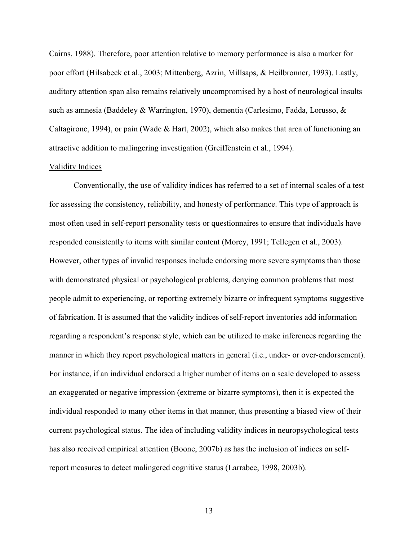Cairns, 1988). Therefore, poor attention relative to memory performance is also a marker for poor effort (Hilsabeck et al., 2003; Mittenberg, Azrin, Millsaps, & Heilbronner, 1993). Lastly, auditory attention span also remains relatively uncompromised by a host of neurological insults such as amnesia (Baddeley & Warrington, 1970), dementia (Carlesimo, Fadda, Lorusso, & Caltagirone, 1994), or pain (Wade & Hart, 2002), which also makes that area of functioning an attractive addition to malingering investigation (Greiffenstein et al., 1994).

#### Validity Indices

 Conventionally, the use of validity indices has referred to a set of internal scales of a test for assessing the consistency, reliability, and honesty of performance. This type of approach is most often used in self-report personality tests or questionnaires to ensure that individuals have responded consistently to items with similar content (Morey, 1991; Tellegen et al., 2003). However, other types of invalid responses include endorsing more severe symptoms than those with demonstrated physical or psychological problems, denying common problems that most people admit to experiencing, or reporting extremely bizarre or infrequent symptoms suggestive of fabrication. It is assumed that the validity indices of self-report inventories add information regarding a respondent's response style, which can be utilized to make inferences regarding the manner in which they report psychological matters in general (i.e., under- or over-endorsement). For instance, if an individual endorsed a higher number of items on a scale developed to assess an exaggerated or negative impression (extreme or bizarre symptoms), then it is expected the individual responded to many other items in that manner, thus presenting a biased view of their current psychological status. The idea of including validity indices in neuropsychological tests has also received empirical attention (Boone, 2007b) as has the inclusion of indices on selfreport measures to detect malingered cognitive status (Larrabee, 1998, 2003b).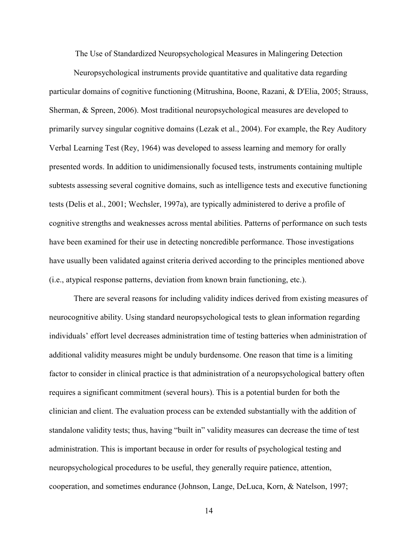The Use of Standardized Neuropsychological Measures in Malingering Detection

 Neuropsychological instruments provide quantitative and qualitative data regarding particular domains of cognitive functioning (Mitrushina, Boone, Razani, & D'Elia, 2005; Strauss, Sherman, & Spreen, 2006). Most traditional neuropsychological measures are developed to primarily survey singular cognitive domains (Lezak et al., 2004). For example, the Rey Auditory Verbal Learning Test (Rey, 1964) was developed to assess learning and memory for orally presented words. In addition to unidimensionally focused tests, instruments containing multiple subtests assessing several cognitive domains, such as intelligence tests and executive functioning tests (Delis et al., 2001; Wechsler, 1997a), are typically administered to derive a profile of cognitive strengths and weaknesses across mental abilities. Patterns of performance on such tests have been examined for their use in detecting noncredible performance. Those investigations have usually been validated against criteria derived according to the principles mentioned above (i.e., atypical response patterns, deviation from known brain functioning, etc.).

There are several reasons for including validity indices derived from existing measures of neurocognitive ability. Using standard neuropsychological tests to glean information regarding individuals' effort level decreases administration time of testing batteries when administration of additional validity measures might be unduly burdensome. One reason that time is a limiting factor to consider in clinical practice is that administration of a neuropsychological battery often requires a significant commitment (several hours). This is a potential burden for both the clinician and client. The evaluation process can be extended substantially with the addition of standalone validity tests; thus, having "built in" validity measures can decrease the time of test administration. This is important because in order for results of psychological testing and neuropsychological procedures to be useful, they generally require patience, attention, cooperation, and sometimes endurance (Johnson, Lange, DeLuca, Korn, & Natelson, 1997;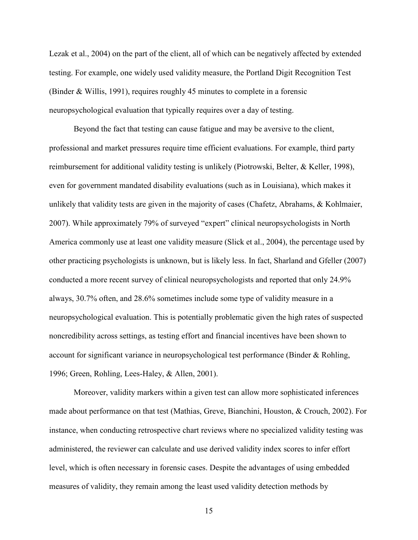Lezak et al., 2004) on the part of the client, all of which can be negatively affected by extended testing. For example, one widely used validity measure, the Portland Digit Recognition Test (Binder & Willis, 1991), requires roughly 45 minutes to complete in a forensic neuropsychological evaluation that typically requires over a day of testing.

Beyond the fact that testing can cause fatigue and may be aversive to the client, professional and market pressures require time efficient evaluations. For example, third party reimbursement for additional validity testing is unlikely (Piotrowski, Belter, & Keller, 1998), even for government mandated disability evaluations (such as in Louisiana), which makes it unlikely that validity tests are given in the majority of cases (Chafetz, Abrahams, & Kohlmaier, 2007). While approximately 79% of surveyed "expert" clinical neuropsychologists in North America commonly use at least one validity measure (Slick et al., 2004), the percentage used by other practicing psychologists is unknown, but is likely less. In fact, Sharland and Gfeller (2007) conducted a more recent survey of clinical neuropsychologists and reported that only 24.9% always, 30.7% often, and 28.6% sometimes include some type of validity measure in a neuropsychological evaluation. This is potentially problematic given the high rates of suspected noncredibility across settings, as testing effort and financial incentives have been shown to account for significant variance in neuropsychological test performance (Binder & Rohling, 1996; Green, Rohling, Lees-Haley, & Allen, 2001).

Moreover, validity markers within a given test can allow more sophisticated inferences made about performance on that test (Mathias, Greve, Bianchini, Houston, & Crouch, 2002). For instance, when conducting retrospective chart reviews where no specialized validity testing was administered, the reviewer can calculate and use derived validity index scores to infer effort level, which is often necessary in forensic cases. Despite the advantages of using embedded measures of validity, they remain among the least used validity detection methods by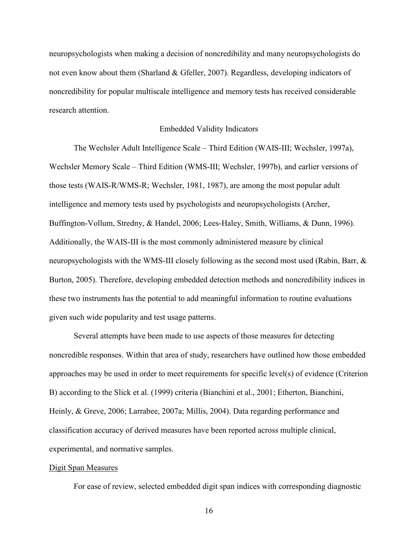neuropsychologists when making a decision of noncredibility and many neuropsychologists do not even know about them (Sharland & Gfeller, 2007). Regardless, developing indicators of noncredibility for popular multiscale intelligence and memory tests has received considerable research attention.

#### Embedded Validity Indicators

The Wechsler Adult Intelligence Scale – Third Edition (WAIS-III; Wechsler, 1997a), Wechsler Memory Scale – Third Edition (WMS-III; Wechsler, 1997b), and earlier versions of those tests (WAIS-R/WMS-R; Wechsler, 1981, 1987), are among the most popular adult intelligence and memory tests used by psychologists and neuropsychologists (Archer, Buffington-Vollum, Stredny, & Handel, 2006; Lees-Haley, Smith, Williams, & Dunn, 1996). Additionally, the WAIS-III is the most commonly administered measure by clinical neuropsychologists with the WMS-III closely following as the second most used (Rabin, Barr, & Burton, 2005). Therefore, developing embedded detection methods and noncredibility indices in these two instruments has the potential to add meaningful information to routine evaluations given such wide popularity and test usage patterns.

Several attempts have been made to use aspects of those measures for detecting noncredible responses. Within that area of study, researchers have outlined how those embedded approaches may be used in order to meet requirements for specific level(s) of evidence (Criterion B) according to the Slick et al. (1999) criteria (Bianchini et al., 2001; Etherton, Bianchini, Heinly, & Greve, 2006; Larrabee, 2007a; Millis, 2004). Data regarding performance and classification accuracy of derived measures have been reported across multiple clinical, experimental, and normative samples.

#### Digit Span Measures

For ease of review, selected embedded digit span indices with corresponding diagnostic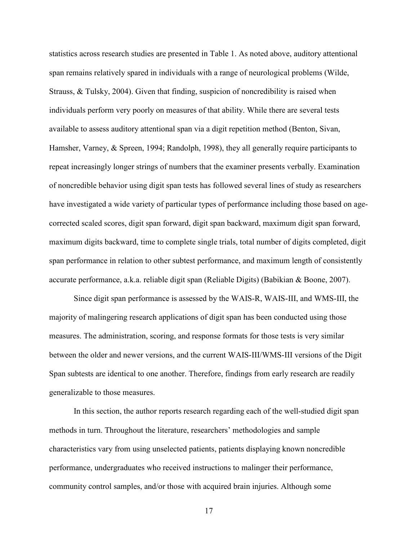statistics across research studies are presented in Table 1. As noted above, auditory attentional span remains relatively spared in individuals with a range of neurological problems (Wilde, Strauss, & Tulsky, 2004). Given that finding, suspicion of noncredibility is raised when individuals perform very poorly on measures of that ability. While there are several tests available to assess auditory attentional span via a digit repetition method (Benton, Sivan, Hamsher, Varney, & Spreen, 1994; Randolph, 1998), they all generally require participants to repeat increasingly longer strings of numbers that the examiner presents verbally. Examination of noncredible behavior using digit span tests has followed several lines of study as researchers have investigated a wide variety of particular types of performance including those based on agecorrected scaled scores, digit span forward, digit span backward, maximum digit span forward, maximum digits backward, time to complete single trials, total number of digits completed, digit span performance in relation to other subtest performance, and maximum length of consistently accurate performance, a.k.a. reliable digit span (Reliable Digits) (Babikian & Boone, 2007).

Since digit span performance is assessed by the WAIS-R, WAIS-III, and WMS-III, the majority of malingering research applications of digit span has been conducted using those measures. The administration, scoring, and response formats for those tests is very similar between the older and newer versions, and the current WAIS-III/WMS-III versions of the Digit Span subtests are identical to one another. Therefore, findings from early research are readily generalizable to those measures.

In this section, the author reports research regarding each of the well-studied digit span methods in turn. Throughout the literature, researchers' methodologies and sample characteristics vary from using unselected patients, patients displaying known noncredible performance, undergraduates who received instructions to malinger their performance, community control samples, and/or those with acquired brain injuries. Although some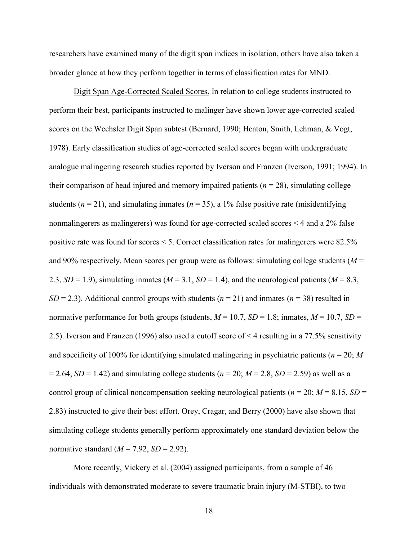researchers have examined many of the digit span indices in isolation, others have also taken a broader glance at how they perform together in terms of classification rates for MND.

Digit Span Age-Corrected Scaled Scores. In relation to college students instructed to perform their best, participants instructed to malinger have shown lower age-corrected scaled scores on the Wechsler Digit Span subtest (Bernard, 1990; Heaton, Smith, Lehman, & Vogt, 1978). Early classification studies of age-corrected scaled scores began with undergraduate analogue malingering research studies reported by Iverson and Franzen (Iverson, 1991; 1994). In their comparison of head injured and memory impaired patients  $(n = 28)$ , simulating college students ( $n = 21$ ), and simulating inmates ( $n = 35$ ), a 1% false positive rate (misidentifying nonmalingerers as malingerers) was found for age-corrected scaled scores < 4 and a 2% false positive rate was found for scores < 5. Correct classification rates for malingerers were 82.5% and 90% respectively. Mean scores per group were as follows: simulating college students (*M* = 2.3,  $SD = 1.9$ ), simulating inmates ( $M = 3.1$ ,  $SD = 1.4$ ), and the neurological patients ( $M = 8.3$ , *SD* = 2.3). Additional control groups with students ( $n = 21$ ) and inmates ( $n = 38$ ) resulted in normative performance for both groups (students,  $M = 10.7$ ,  $SD = 1.8$ ; inmates,  $M = 10.7$ ,  $SD =$ 2.5). Iverson and Franzen (1996) also used a cutoff score of < 4 resulting in a 77.5% sensitivity and specificity of 100% for identifying simulated malingering in psychiatric patients ( $n = 20$ ; *M*  $= 2.64$ , *SD* = 1.42) and simulating college students ( $n = 20$ ;  $M = 2.8$ , *SD* = 2.59) as well as a control group of clinical noncompensation seeking neurological patients ( $n = 20$ ;  $M = 8.15$ ,  $SD =$ 2.83) instructed to give their best effort. Orey, Cragar, and Berry (2000) have also shown that simulating college students generally perform approximately one standard deviation below the normative standard  $(M = 7.92, SD = 2.92)$ .

More recently, Vickery et al. (2004) assigned participants, from a sample of 46 individuals with demonstrated moderate to severe traumatic brain injury (M-STBI), to two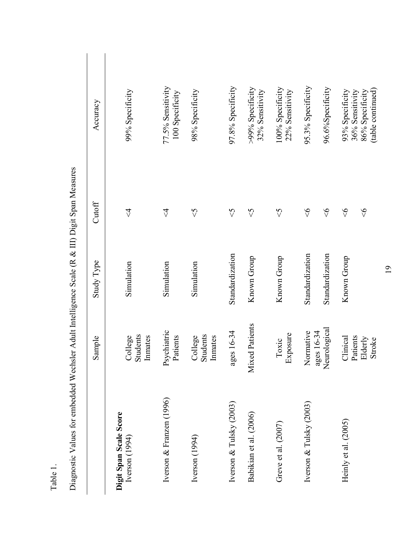| digition ion and the same<br>Annonen       |                                | community in the community of the stream of the community of the community of the community of the community of the community of the community of the community of the community of the community of the community of the comm |                            |                                      |
|--------------------------------------------|--------------------------------|--------------------------------------------------------------------------------------------------------------------------------------------------------------------------------------------------------------------------------|----------------------------|--------------------------------------|
|                                            | Sample                         | Study Type                                                                                                                                                                                                                     | Cutoff                     | Accuracy                             |
| Digit Span Scale Score<br>Iverson $(1994)$ | Students<br>Innates<br>College | Simulation                                                                                                                                                                                                                     | $\overline{\triangledown}$ | 99% Specificity                      |
| Iverson & Franzen (1996)                   | Psychiatric<br>Patients        | Simulation                                                                                                                                                                                                                     | $\overline{\triangledown}$ | 77.5% Sensitivity<br>100 Specificity |
| Iverson $(1994)$                           | Students<br>Inmates<br>College | Simulation                                                                                                                                                                                                                     | $\sqrt{2}$                 | 98% Specificity                      |
| Iverson & Tulsky (2003)                    | ages 16-34                     | Standardization                                                                                                                                                                                                                | $\heartsuit$               | 97.8% Specificity                    |
| Babikian et al. (2006)                     | <b>Mixed Patients</b>          | Known Group                                                                                                                                                                                                                    | $\Im$                      | >99% Specificity<br>32% Sensitivity  |
| Greve et al. (2007)                        | Exposure<br>Toxic              | Known Group                                                                                                                                                                                                                    | $\heartsuit$               | 100% Specificity<br>22% Sensitivity  |
| Iverson & Tulsky (2003)                    | Normative                      | Standardization                                                                                                                                                                                                                | $\frac{6}{5}$              | 95.3% Specificity                    |
|                                            | Neurological<br>ages 16-34     | Standardization                                                                                                                                                                                                                | $\frac{6}{5}$              | 96.6%Specificity                     |
| Heinly et al. (2005)                       | Clinical                       | Known Group                                                                                                                                                                                                                    | $\frac{6}{5}$              | 93% Specificity<br>36% Sensitivity   |
|                                            | Patients<br>Elderly<br>Stroke  |                                                                                                                                                                                                                                | $\frac{6}{5}$              | (table continued)<br>86% Specificity |

Diagnostic Values for embedded Wechsler Adult Intelligence Scale (R & III) Digit Span Measures Diagnostic Values for embedded Wechsler Adult Intelligence Scale (R & III) Digit Span Measures

19

# Table 1.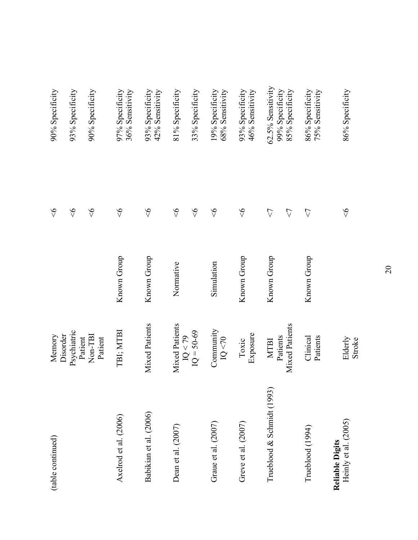| (table continued)                              | Memory                        |             | $\Diamond$      | 90% Specificity                      |
|------------------------------------------------|-------------------------------|-------------|-----------------|--------------------------------------|
|                                                | Psychiatric<br>Disorder       |             | $\frac{8}{5}$   | 93% Specificity                      |
|                                                | Non-TBI<br>Patient<br>Patient |             | $\Diamond$      | 90% Specificity                      |
| Axelrod et al. (2006)                          | TBI; MTBI                     | Known Group | $\frac{6}{5}$   | 36% Sensitivity<br>97% Specificity   |
| Babikian et al. (2006)                         | <b>Mixed Patients</b>         | Known Group | $\Diamond$      | 42% Sensitivity<br>93% Specificity   |
| Dean et al. (2007)                             | Mixed Patients                | Normative   | $\frac{6}{5}$   | 81% Specificity                      |
|                                                | $IQ = 50-69$<br>IQ < 79       |             | $\frac{6}{5}$   | 33% Specificity                      |
| Graue et al. (2007)                            | Community<br>IQ < 70          | Simulation  | $\frac{6}{5}$   | 68% Sensitivity<br>19% Specificity   |
| Greve et al. (2007)                            | Exposure<br>Toxic             | Known Group | $\Diamond$      | 93% Specificity<br>46% Sensitivity   |
| Trueblood & Schmidt (1993                      | Patients<br><b>MTBI</b>       | Known Group | $\triangle$     | 62.5% Sensitivity<br>99% Specificity |
|                                                | <b>Mixed Patients</b>         |             | $\triangle$     | 85% Specificity                      |
| Trueblood (1994)                               | Clinical<br>Patients          | Known Group | $\triangledown$ | 86% Specificity<br>75% Sensitivity   |
| Heinly et al. (2005)<br><b>Reliable Digits</b> | Elderly<br>Stroke             |             | $\frac{6}{5}$   | 86% Specificity                      |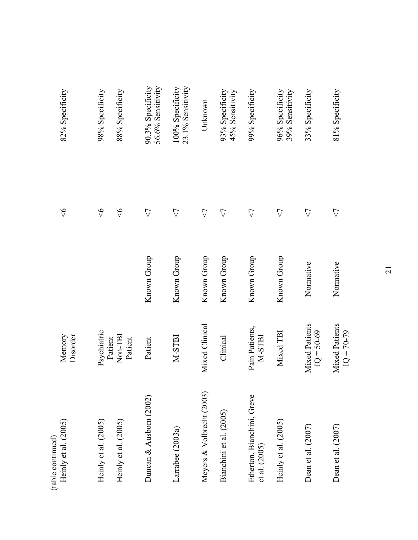| Heinly et al. (2005)<br>(table continued)     | Disorder<br>Memory                    |             | $\frac{8}{5}$      | 82% Specificity                        |
|-----------------------------------------------|---------------------------------------|-------------|--------------------|----------------------------------------|
| Heinly et al. (2005)                          | Psychiatric                           |             | $\frac{6}{5}$      | 98% Specificity                        |
| Heinly et al. (2005)                          | Non-TBI<br>Patient<br>Patient         |             | $\frac{6}{5}$      | 88% Specificity                        |
| Duncan & Ausborn (2002)                       | Patient                               | Known Group | $\triangle$        | 90.3% Specificity<br>56.6% Sensitivity |
| Larrabee (2003a)                              | M-STBI                                | Known Group | $\triangle$        | 23.1% Sensitivity<br>100% Specificity  |
| Meyers & Volbrecht (2003)                     | Mixed Clinical                        | Known Group | $\triangle$        | Unknown                                |
| Bianchini et al. (2005)                       | Clinical                              | Known Group | $\triangle$        | 45% Sensitivity<br>93% Specificity     |
| Etherton, Bianchini, Greve<br>et al. $(2005)$ | Pain Patients,<br>M-STBI              | Known Group | $\bigtriangledown$ | 99% Specificity                        |
| Heinly et al. (2005)                          | Mixed TBI                             | Known Group | $\triangle$        | 96% Specificity<br>39% Sensitivity     |
| Dean et al. (2007)                            | <b>Mixed Patients</b><br>$IQ = 50-69$ | Normative   | $\triangle$        | 33% Specificity                        |
| Dean et al. (2007)                            | <b>Mixed Patients</b><br>$IQ = 70-79$ | Normative   | $\bigtriangledown$ | 81% Specificity                        |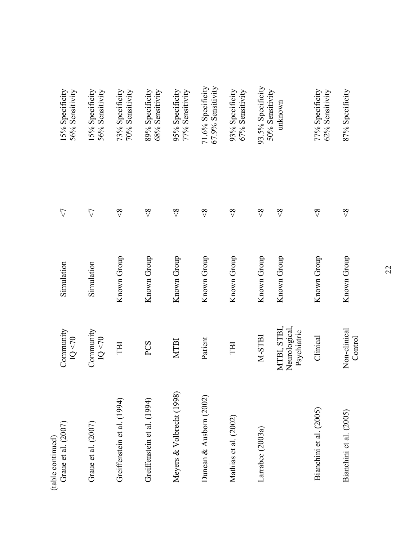| Graue et al. (2007)<br>(table continued) | Community<br>IQ < 70                        | Simulation  | $\triangle$   | 15% Specificity<br>56% Sensitivity     |
|------------------------------------------|---------------------------------------------|-------------|---------------|----------------------------------------|
| Graue et al. $(2007)$                    | Community<br>IQ < 70                        | Simulation  | $\triangle$   | 15% Specificity<br>56% Sensitivity     |
| Greiffenstein et al. (1994)              | TBI                                         | Known Group | $\frac{8}{5}$ | 73% Specificity<br>70% Sensitivity     |
| Greiffenstein et al. (1994)              | PCS                                         | Known Group | $\frac{8}{5}$ | 68% Sensitivity<br>89% Specificity     |
| Meyers & Volbrecht (1998)                | <b>MTBI</b>                                 | Known Group | $\frac{8}{5}$ | 77% Sensitivity<br>95% Specificity     |
| Duncan & Ausborn (2002)                  | Patient                                     | Known Group | $\frac{8}{5}$ | 71.6% Specificity<br>67.9% Sensitivity |
| Mathias et al. (2002)                    | TBI                                         | Known Group | $\frac{8}{5}$ | 93% Specificity<br>67% Sensitivity     |
| Larrabee (2003a)                         | M-STBI                                      | Known Group | $\frac{8}{5}$ | 93.5% Specificity                      |
|                                          | Neurological,<br>MTBI, STBI,<br>Psychiatric | Known Group | $\frac{8}{5}$ | 50% Sensitivity<br>unknown             |
| Bianchini et al. (2005)                  | Clinical                                    | Known Group | $\frac{8}{5}$ | 77% Specificity<br>62% Sensitivity     |
| Bianchini et al. (2005)                  | Non-clinical<br>Control                     | Known Group | $\frac{8}{5}$ | 87% Specificity                        |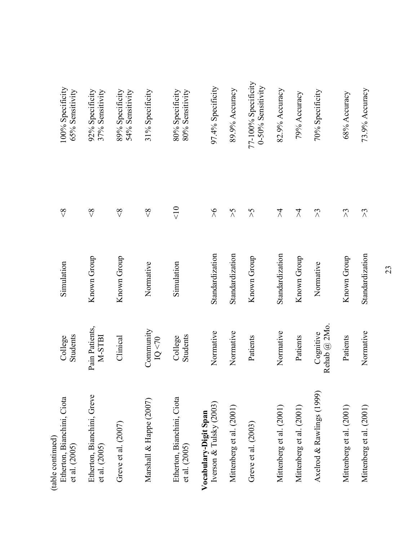| Etherton, Bianchini, Ciota<br>(table continued)<br>et al. (2005) | Students<br>College         | Simulation      | $\frac{8}{5}$         | 100% Specificity<br>65% Sensitivity      |
|------------------------------------------------------------------|-----------------------------|-----------------|-----------------------|------------------------------------------|
| Etherton, Bianchini, Greve<br>et al. $(2005)$                    | Pain Patients,<br>M-STBI    | Known Group     | $\frac{8}{5}$         | 92% Specificity<br>37% Sensitivity       |
| Greve et al. (2007)                                              | Clinical                    | Known Group     | $\frac{8}{5}$         | 54% Sensitivity<br>89% Specificity       |
| Marshall & Happe (2007)                                          | Community<br>IQ < 70        | Normative       | $\frac{8}{5}$         | 31% Specificity                          |
| Etherton, Bianchini, Ciota<br>et al. (2005)                      | Students<br>College         | Simulation      | $rac{1}{\sqrt{2}}$    | 80% Specificity<br>80% Sensitivity       |
| Iverson & Tulsky (2003)<br>Vocabulary-Digit Span                 | Normative                   | Standardization | $\frac{6}{2}$         | 97.4% Specificity                        |
| Mittenberg et al. (2001)                                         | Normative                   | Standardization | $\zeta$               | 89.9% Accuracy                           |
| Greve et al. (2003)                                              | Patients                    | Known Group     | $\zeta$               | 77-100% Specificity<br>0-50% Sensitivity |
| Mittenberg et al. (2001)                                         | Normative                   | Standardization | $\lambda$             | 82.9% Accuracy                           |
| Mittenberg et al. (2001)                                         | Patients                    | Known Group     | $\lambda$             | 79% Accuracy                             |
| Axelrod & Rawlings (1999)                                        | Rehab $@2Mo$ .<br>Cognitive | Normative       | $\tilde{\mathcal{L}}$ | 70% Specificity                          |
| Mittenberg et al. (2001)                                         | Patients                    | Known Group     | $\Im$                 | 68% Accuracy                             |
| Mittenberg et al. (2001)                                         | Normative                   | Standardization | $\lesssim$            | 73.9% Accuracy                           |
|                                                                  |                             |                 |                       |                                          |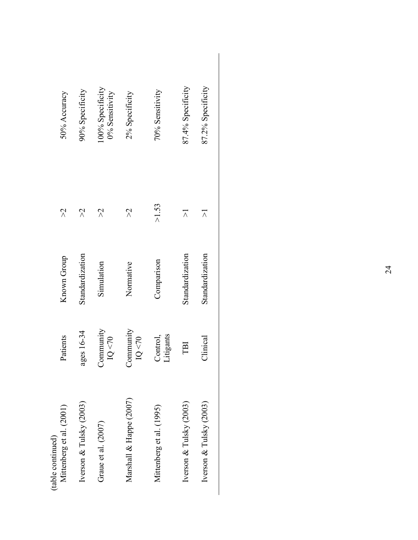| 50% Accuracy                                  | 90% Specificity         | 00% Specificity<br>0% Sensitivity | 2% Specificity          | 70% Sensitivity          | 87.4% Specificity       | 87.2% Specificity       |
|-----------------------------------------------|-------------------------|-----------------------------------|-------------------------|--------------------------|-------------------------|-------------------------|
| $\aleph$                                      | $\aleph$                | $\aleph$                          | $\aleph$                | $>1.53$                  | $\overline{\wedge}$     | $\overline{\wedge}$     |
| Known Group                                   | Standardization         | Simulation                        | Normative               | Comparison               | Standardization         | Standardization         |
| Patients                                      | ages 16-34              | Community<br>IQ < 70              | Community<br>1Q < 70    | itigants<br>Control,     | TBI                     | Clinical                |
| Mittenberg et al. (2001)<br>(table continued) | Iverson & Tulsky (2003) | Graue et al. (2007)               | Marshall & Happe (2007) | Mittenberg et al. (1995) | Iverson & Tulsky (2003) | Iverson & Tulsky (2003) |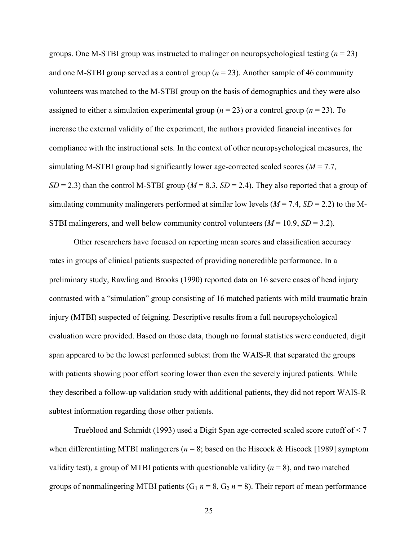groups. One M-STBI group was instructed to malinger on neuropsychological testing (*n* = 23) and one M-STBI group served as a control group  $(n = 23)$ . Another sample of 46 community volunteers was matched to the M-STBI group on the basis of demographics and they were also assigned to either a simulation experimental group ( $n = 23$ ) or a control group ( $n = 23$ ). To increase the external validity of the experiment, the authors provided financial incentives for compliance with the instructional sets. In the context of other neuropsychological measures, the simulating M-STBI group had significantly lower age-corrected scaled scores ( $M = 7.7$ ,  $SD = 2.3$ ) than the control M-STBI group ( $M = 8.3$ ,  $SD = 2.4$ ). They also reported that a group of simulating community malingerers performed at similar low levels  $(M = 7.4, SD = 2.2)$  to the M-STBI malingerers, and well below community control volunteers  $(M = 10.9, SD = 3.2)$ .

 Other researchers have focused on reporting mean scores and classification accuracy rates in groups of clinical patients suspected of providing noncredible performance. In a preliminary study, Rawling and Brooks (1990) reported data on 16 severe cases of head injury contrasted with a "simulation" group consisting of 16 matched patients with mild traumatic brain injury (MTBI) suspected of feigning. Descriptive results from a full neuropsychological evaluation were provided. Based on those data, though no formal statistics were conducted, digit span appeared to be the lowest performed subtest from the WAIS-R that separated the groups with patients showing poor effort scoring lower than even the severely injured patients. While they described a follow-up validation study with additional patients, they did not report WAIS-R subtest information regarding those other patients.

Trueblood and Schmidt (1993) used a Digit Span age-corrected scaled score cutoff of < 7 when differentiating MTBI malingerers ( $n = 8$ ; based on the Hiscock & Hiscock [1989] symptom validity test), a group of MTBI patients with questionable validity  $(n = 8)$ , and two matched groups of nonmalingering MTBI patients  $(G_1 n = 8, G_2 n = 8)$ . Their report of mean performance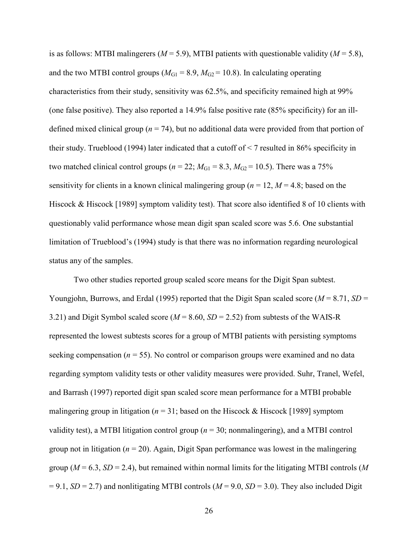is as follows: MTBI malingerers ( $M = 5.9$ ), MTBI patients with questionable validity ( $M = 5.8$ ), and the two MTBI control groups ( $M_{\text{G1}}$  = 8.9,  $M_{\text{G2}}$  = 10.8). In calculating operating characteristics from their study, sensitivity was 62.5%, and specificity remained high at 99% (one false positive). They also reported a 14.9% false positive rate (85% specificity) for an illdefined mixed clinical group ( $n = 74$ ), but no additional data were provided from that portion of their study. Trueblood (1994) later indicated that a cutoff of  $\leq$  7 resulted in 86% specificity in two matched clinical control groups ( $n = 22$ ;  $M_{\text{G1}} = 8.3$ ,  $M_{\text{G2}} = 10.5$ ). There was a 75% sensitivity for clients in a known clinical malingering group ( $n = 12$ ,  $M = 4.8$ ; based on the Hiscock & Hiscock [1989] symptom validity test). That score also identified 8 of 10 clients with questionably valid performance whose mean digit span scaled score was 5.6. One substantial limitation of Trueblood's (1994) study is that there was no information regarding neurological status any of the samples.

Two other studies reported group scaled score means for the Digit Span subtest. Youngjohn, Burrows, and Erdal (1995) reported that the Digit Span scaled score ( $M = 8.71$ ,  $SD =$ 3.21) and Digit Symbol scaled score (*M* = 8.60, *SD* = 2.52) from subtests of the WAIS-R represented the lowest subtests scores for a group of MTBI patients with persisting symptoms seeking compensation ( $n = 55$ ). No control or comparison groups were examined and no data regarding symptom validity tests or other validity measures were provided. Suhr, Tranel, Wefel, and Barrash (1997) reported digit span scaled score mean performance for a MTBI probable malingering group in litigation ( $n = 31$ ; based on the Hiscock & Hiscock [1989] symptom validity test), a MTBI litigation control group (*n* = 30; nonmalingering), and a MTBI control group not in litigation ( $n = 20$ ). Again, Digit Span performance was lowest in the malingering group ( $M = 6.3$ ,  $SD = 2.4$ ), but remained within normal limits for the litigating MTBI controls (M)  $= 9.1$ , *SD* = 2.7) and nonlitigating MTBI controls (*M* = 9.0, *SD* = 3.0). They also included Digit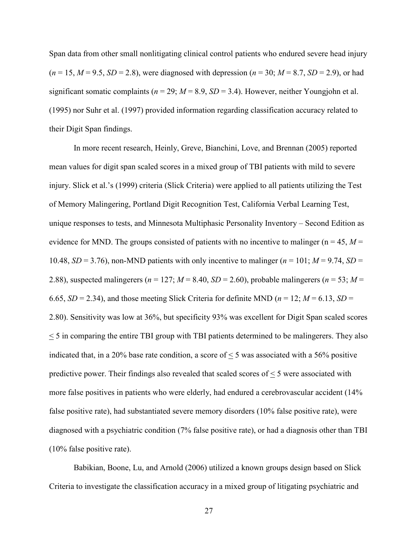Span data from other small nonlitigating clinical control patients who endured severe head injury  $(n = 15, M = 9.5, SD = 2.8)$ , were diagnosed with depression  $(n = 30; M = 8.7, SD = 2.9)$ , or had significant somatic complaints ( $n = 29$ ;  $M = 8.9$ ,  $SD = 3.4$ ). However, neither Youngjohn et al. (1995) nor Suhr et al. (1997) provided information regarding classification accuracy related to their Digit Span findings.

In more recent research, Heinly, Greve, Bianchini, Love, and Brennan (2005) reported mean values for digit span scaled scores in a mixed group of TBI patients with mild to severe injury. Slick et al.'s (1999) criteria (Slick Criteria) were applied to all patients utilizing the Test of Memory Malingering, Portland Digit Recognition Test, California Verbal Learning Test, unique responses to tests, and Minnesota Multiphasic Personality Inventory – Second Edition as evidence for MND. The groups consisted of patients with no incentive to malinger ( $n = 45$ ,  $M =$ 10.48,  $SD = 3.76$ ), non-MND patients with only incentive to malinger ( $n = 101$ ;  $M = 9.74$ ,  $SD =$ 2.88), suspected malingerers ( $n = 127$ ;  $M = 8.40$ ,  $SD = 2.60$ ), probable malingerers ( $n = 53$ ;  $M =$ 6.65,  $SD = 2.34$ ), and those meeting Slick Criteria for definite MND ( $n = 12$ ;  $M = 6.13$ ,  $SD =$ 2.80). Sensitivity was low at 36%, but specificity 93% was excellent for Digit Span scaled scores < 5 in comparing the entire TBI group with TBI patients determined to be malingerers. They also indicated that, in a 20% base rate condition, a score of  $\leq$  5 was associated with a 56% positive predictive power. Their findings also revealed that scaled scores of  $\leq$  5 were associated with more false positives in patients who were elderly, had endured a cerebrovascular accident (14% false positive rate), had substantiated severe memory disorders (10% false positive rate), were diagnosed with a psychiatric condition (7% false positive rate), or had a diagnosis other than TBI (10% false positive rate).

 Babikian, Boone, Lu, and Arnold (2006) utilized a known groups design based on Slick Criteria to investigate the classification accuracy in a mixed group of litigating psychiatric and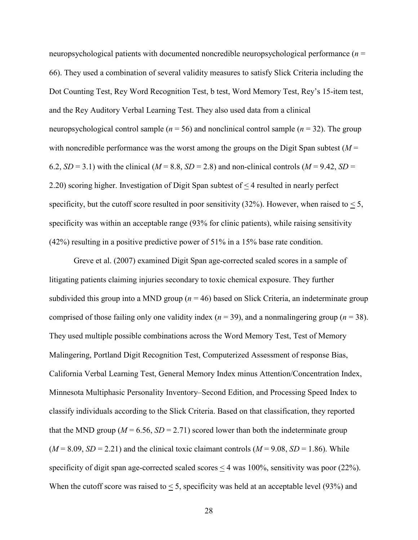neuropsychological patients with documented noncredible neuropsychological performance (*n* = 66). They used a combination of several validity measures to satisfy Slick Criteria including the Dot Counting Test, Rey Word Recognition Test, b test, Word Memory Test, Rey's 15-item test, and the Rey Auditory Verbal Learning Test. They also used data from a clinical neuropsychological control sample ( $n = 56$ ) and nonclinical control sample ( $n = 32$ ). The group with noncredible performance was the worst among the groups on the Digit Span subtest  $(M =$ 6.2,  $SD = 3.1$ ) with the clinical ( $M = 8.8$ ,  $SD = 2.8$ ) and non-clinical controls ( $M = 9.42$ ,  $SD = 1$ ) 2.20) scoring higher. Investigation of Digit Span subtest of < 4 resulted in nearly perfect specificity, but the cutoff score resulted in poor sensitivity  $(32\%)$ . However, when raised to  $\leq 5$ , specificity was within an acceptable range (93% for clinic patients), while raising sensitivity (42%) resulting in a positive predictive power of 51% in a 15% base rate condition.

Greve et al. (2007) examined Digit Span age-corrected scaled scores in a sample of litigating patients claiming injuries secondary to toxic chemical exposure. They further subdivided this group into a MND group (*n* = 46) based on Slick Criteria, an indeterminate group comprised of those failing only one validity index  $(n = 39)$ , and a nonmalingering group  $(n = 38)$ . They used multiple possible combinations across the Word Memory Test, Test of Memory Malingering, Portland Digit Recognition Test, Computerized Assessment of response Bias, California Verbal Learning Test, General Memory Index minus Attention/Concentration Index, Minnesota Multiphasic Personality Inventory–Second Edition, and Processing Speed Index to classify individuals according to the Slick Criteria. Based on that classification, they reported that the MND group ( $M = 6.56$ ,  $SD = 2.71$ ) scored lower than both the indeterminate group  $(M = 8.09, SD = 2.21)$  and the clinical toxic claimant controls  $(M = 9.08, SD = 1.86)$ . While specificity of digit span age-corrected scaled scores  $\leq$  4 was 100%, sensitivity was poor (22%). When the cutoff score was raised to  $\leq$  5, specificity was held at an acceptable level (93%) and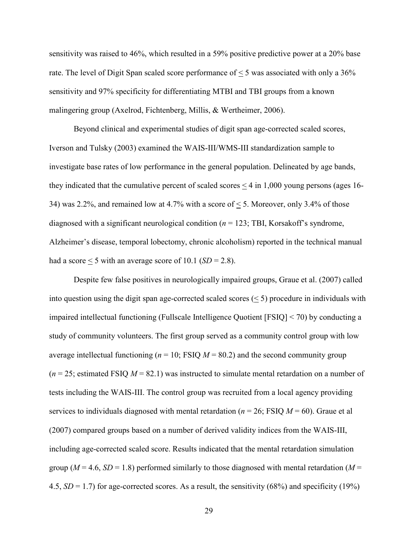sensitivity was raised to 46%, which resulted in a 59% positive predictive power at a 20% base rate. The level of Digit Span scaled score performance of < 5 was associated with only a 36% sensitivity and 97% specificity for differentiating MTBI and TBI groups from a known malingering group (Axelrod, Fichtenberg, Millis, & Wertheimer, 2006).

Beyond clinical and experimental studies of digit span age-corrected scaled scores, Iverson and Tulsky (2003) examined the WAIS-III/WMS-III standardization sample to investigate base rates of low performance in the general population. Delineated by age bands, they indicated that the cumulative percent of scaled scores  $\leq$  4 in 1,000 young persons (ages 16-34) was 2.2%, and remained low at 4.7% with a score of < 5. Moreover, only 3.4% of those diagnosed with a significant neurological condition (*n* = 123; TBI, Korsakoff's syndrome, Alzheimer's disease, temporal lobectomy, chronic alcoholism) reported in the technical manual had a score  $\leq$  5 with an average score of 10.1 (*SD* = 2.8).

Despite few false positives in neurologically impaired groups, Graue et al. (2007) called into question using the digit span age-corrected scaled scores  $(< 5$ ) procedure in individuals with impaired intellectual functioning (Fullscale Intelligence Quotient [FSIQ] < 70) by conducting a study of community volunteers. The first group served as a community control group with low average intellectual functioning ( $n = 10$ ; FSIQ  $M = 80.2$ ) and the second community group  $(n = 25)$ ; estimated FSIQ  $M = 82.1$ ) was instructed to simulate mental retardation on a number of tests including the WAIS-III. The control group was recruited from a local agency providing services to individuals diagnosed with mental retardation ( $n = 26$ ; FSIQ  $M = 60$ ). Graue et al (2007) compared groups based on a number of derived validity indices from the WAIS-III, including age-corrected scaled score. Results indicated that the mental retardation simulation group ( $M = 4.6$ ,  $SD = 1.8$ ) performed similarly to those diagnosed with mental retardation ( $M =$ 4.5, *SD* = 1.7) for age-corrected scores. As a result, the sensitivity (68%) and specificity (19%)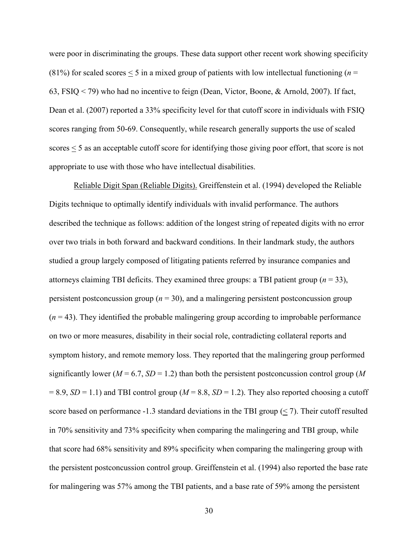were poor in discriminating the groups. These data support other recent work showing specificity (81%) for scaled scores  $\leq$  5 in a mixed group of patients with low intellectual functioning ( $n =$ 63, FSIQ < 79) who had no incentive to feign (Dean, Victor, Boone, & Arnold, 2007). If fact, Dean et al. (2007) reported a 33% specificity level for that cutoff score in individuals with FSIQ scores ranging from 50-69. Consequently, while research generally supports the use of scaled scores < 5 as an acceptable cutoff score for identifying those giving poor effort, that score is not appropriate to use with those who have intellectual disabilities.

Reliable Digit Span (Reliable Digits). Greiffenstein et al. (1994) developed the Reliable Digits technique to optimally identify individuals with invalid performance. The authors described the technique as follows: addition of the longest string of repeated digits with no error over two trials in both forward and backward conditions. In their landmark study, the authors studied a group largely composed of litigating patients referred by insurance companies and attorneys claiming TBI deficits. They examined three groups: a TBI patient group  $(n = 33)$ , persistent postconcussion group ( $n = 30$ ), and a malingering persistent postconcussion group  $(n = 43)$ . They identified the probable malingering group according to improbable performance on two or more measures, disability in their social role, contradicting collateral reports and symptom history, and remote memory loss. They reported that the malingering group performed significantly lower ( $M = 6.7$ ,  $SD = 1.2$ ) than both the persistent postconcussion control group ( $M$  $= 8.9$ , *SD* = 1.1) and TBI control group (*M* = 8.8, *SD* = 1.2). They also reported choosing a cutoff score based on performance -1.3 standard deviations in the TBI group  $(< 7)$ . Their cutoff resulted in 70% sensitivity and 73% specificity when comparing the malingering and TBI group, while that score had 68% sensitivity and 89% specificity when comparing the malingering group with the persistent postconcussion control group. Greiffenstein et al. (1994) also reported the base rate for malingering was 57% among the TBI patients, and a base rate of 59% among the persistent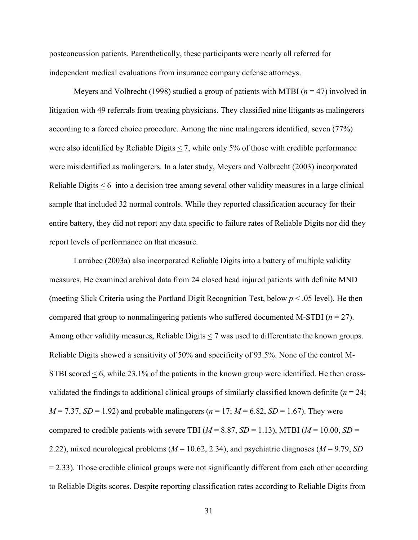postconcussion patients. Parenthetically, these participants were nearly all referred for independent medical evaluations from insurance company defense attorneys.

 Meyers and Volbrecht (1998) studied a group of patients with MTBI (*n* = 47) involved in litigation with 49 referrals from treating physicians. They classified nine litigants as malingerers according to a forced choice procedure. Among the nine malingerers identified, seven (77%) were also identified by Reliable Digits < 7, while only 5% of those with credible performance were misidentified as malingerers. In a later study, Meyers and Volbrecht (2003) incorporated Reliable Digits  $\leq 6$  into a decision tree among several other validity measures in a large clinical sample that included 32 normal controls. While they reported classification accuracy for their entire battery, they did not report any data specific to failure rates of Reliable Digits nor did they report levels of performance on that measure.

Larrabee (2003a) also incorporated Reliable Digits into a battery of multiple validity measures. He examined archival data from 24 closed head injured patients with definite MND (meeting Slick Criteria using the Portland Digit Recognition Test, below *p* < .05 level). He then compared that group to nonmalingering patients who suffered documented M-STBI (*n* = 27). Among other validity measures, Reliable Digits < 7 was used to differentiate the known groups. Reliable Digits showed a sensitivity of 50% and specificity of 93.5%. None of the control M-STBI scored  $\leq$  6, while 23.1% of the patients in the known group were identified. He then crossvalidated the findings to additional clinical groups of similarly classified known definite (*n* = 24; *M* = 7.37, *SD* = 1.92) and probable malingerers ( $n = 17$ ;  $M = 6.82$ , *SD* = 1.67). They were compared to credible patients with severe TBI ( $M = 8.87$ ,  $SD = 1.13$ ), MTBI ( $M = 10.00$ ,  $SD =$ 2.22), mixed neurological problems (*M* = 10.62, 2.34), and psychiatric diagnoses (*M* = 9.79, *SD*  $= 2.33$ ). Those credible clinical groups were not significantly different from each other according to Reliable Digits scores. Despite reporting classification rates according to Reliable Digits from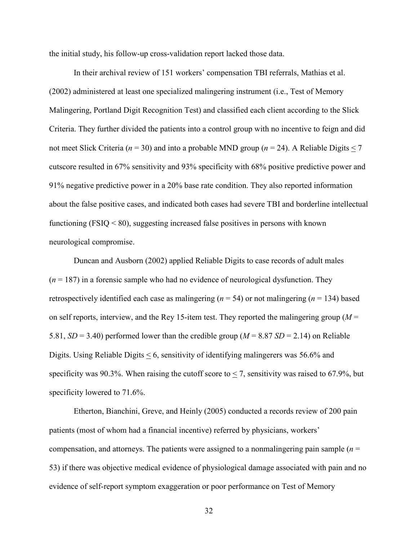the initial study, his follow-up cross-validation report lacked those data.

In their archival review of 151 workers' compensation TBI referrals, Mathias et al. (2002) administered at least one specialized malingering instrument (i.e., Test of Memory Malingering, Portland Digit Recognition Test) and classified each client according to the Slick Criteria. They further divided the patients into a control group with no incentive to feign and did not meet Slick Criteria (*n* = 30) and into a probable MND group (*n* = 24). A Reliable Digits < 7 cutscore resulted in 67% sensitivity and 93% specificity with 68% positive predictive power and 91% negative predictive power in a 20% base rate condition. They also reported information about the false positive cases, and indicated both cases had severe TBI and borderline intellectual functioning ( $FSIQ < 80$ ), suggesting increased false positives in persons with known neurological compromise.

Duncan and Ausborn (2002) applied Reliable Digits to case records of adult males  $(n = 187)$  in a forensic sample who had no evidence of neurological dysfunction. They retrospectively identified each case as malingering ( $n = 54$ ) or not malingering ( $n = 134$ ) based on self reports, interview, and the Rey 15-item test. They reported the malingering group ( $M =$ 5.81,  $SD = 3.40$ ) performed lower than the credible group ( $M = 8.87$   $SD = 2.14$ ) on Reliable Digits. Using Reliable Digits < 6, sensitivity of identifying malingerers was 56.6% and specificity was 90.3%. When raising the cutoff score to  $\leq$  7, sensitivity was raised to 67.9%, but specificity lowered to 71.6%.

Etherton, Bianchini, Greve, and Heinly (2005) conducted a records review of 200 pain patients (most of whom had a financial incentive) referred by physicians, workers' compensation, and attorneys. The patients were assigned to a nonmalingering pain sample (*n* = 53) if there was objective medical evidence of physiological damage associated with pain and no evidence of self-report symptom exaggeration or poor performance on Test of Memory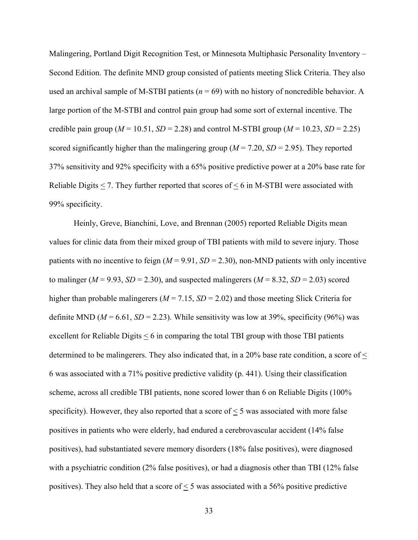Malingering, Portland Digit Recognition Test, or Minnesota Multiphasic Personality Inventory – Second Edition. The definite MND group consisted of patients meeting Slick Criteria. They also used an archival sample of M-STBI patients  $(n = 69)$  with no history of noncredible behavior. A large portion of the M-STBI and control pain group had some sort of external incentive. The credible pain group ( $M = 10.51$ ,  $SD = 2.28$ ) and control M-STBI group ( $M = 10.23$ ,  $SD = 2.25$ ) scored significantly higher than the malingering group ( $M = 7.20$ ,  $SD = 2.95$ ). They reported 37% sensitivity and 92% specificity with a 65% positive predictive power at a 20% base rate for Reliable Digits < 7. They further reported that scores of < 6 in M-STBI were associated with 99% specificity.

Heinly, Greve, Bianchini, Love, and Brennan (2005) reported Reliable Digits mean values for clinic data from their mixed group of TBI patients with mild to severe injury. Those patients with no incentive to feign  $(M = 9.91, SD = 2.30)$ , non-MND patients with only incentive to malinger ( $M = 9.93$ ,  $SD = 2.30$ ), and suspected malingerers ( $M = 8.32$ ,  $SD = 2.03$ ) scored higher than probable malingerers ( $M = 7.15$ ,  $SD = 2.02$ ) and those meeting Slick Criteria for definite MND ( $M = 6.61$ ,  $SD = 2.23$ ). While sensitivity was low at 39%, specificity (96%) was excellent for Reliable Digits < 6 in comparing the total TBI group with those TBI patients determined to be malingerers. They also indicated that, in a 20% base rate condition, a score of < 6 was associated with a 71% positive predictive validity (p. 441). Using their classification scheme, across all credible TBI patients, none scored lower than 6 on Reliable Digits (100% specificity). However, they also reported that a score of  $\leq$  5 was associated with more false positives in patients who were elderly, had endured a cerebrovascular accident (14% false positives), had substantiated severe memory disorders (18% false positives), were diagnosed with a psychiatric condition (2% false positives), or had a diagnosis other than TBI (12% false positives). They also held that a score of  $\leq$  5 was associated with a 56% positive predictive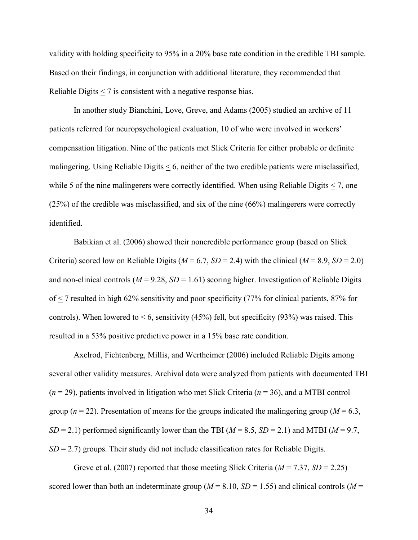validity with holding specificity to 95% in a 20% base rate condition in the credible TBI sample. Based on their findings, in conjunction with additional literature, they recommended that Reliable Digits < 7 is consistent with a negative response bias.

 In another study Bianchini, Love, Greve, and Adams (2005) studied an archive of 11 patients referred for neuropsychological evaluation, 10 of who were involved in workers' compensation litigation. Nine of the patients met Slick Criteria for either probable or definite malingering. Using Reliable Digits < 6, neither of the two credible patients were misclassified, while 5 of the nine malingerers were correctly identified. When using Reliable Digits  $\leq$  7, one (25%) of the credible was misclassified, and six of the nine (66%) malingerers were correctly identified.

 Babikian et al. (2006) showed their noncredible performance group (based on Slick Criteria) scored low on Reliable Digits ( $M = 6.7$ ,  $SD = 2.4$ ) with the clinical ( $M = 8.9$ ,  $SD = 2.0$ ) and non-clinical controls ( $M = 9.28$ ,  $SD = 1.61$ ) scoring higher. Investigation of Reliable Digits of < 7 resulted in high 62% sensitivity and poor specificity (77% for clinical patients, 87% for controls). When lowered to  $\leq 6$ , sensitivity (45%) fell, but specificity (93%) was raised. This resulted in a 53% positive predictive power in a 15% base rate condition.

Axelrod, Fichtenberg, Millis, and Wertheimer (2006) included Reliable Digits among several other validity measures. Archival data were analyzed from patients with documented TBI (*n* = 29), patients involved in litigation who met Slick Criteria (*n* = 36), and a MTBI control group ( $n = 22$ ). Presentation of means for the groups indicated the malingering group ( $M = 6.3$ ,  $SD = 2.1$ ) performed significantly lower than the TBI ( $M = 8.5$ ,  $SD = 2.1$ ) and MTBI ( $M = 9.7$ , *SD* = 2.7) groups. Their study did not include classification rates for Reliable Digits.

Greve et al. (2007) reported that those meeting Slick Criteria (*M* = 7.37, *SD* = 2.25) scored lower than both an indeterminate group ( $M = 8.10$ ,  $SD = 1.55$ ) and clinical controls ( $M =$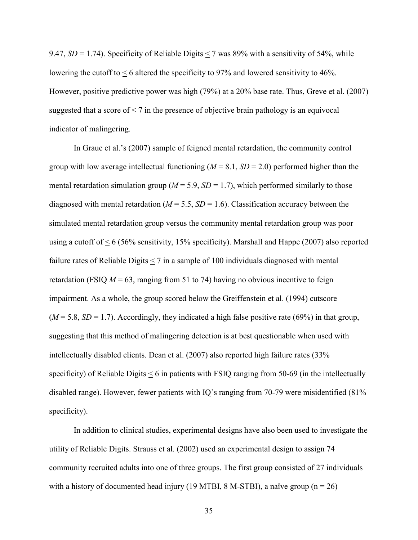9.47,  $SD = 1.74$ ). Specificity of Reliable Digits < 7 was 89% with a sensitivity of 54%, while lowering the cutoff to < 6 altered the specificity to 97% and lowered sensitivity to 46%. However, positive predictive power was high (79%) at a 20% base rate. Thus, Greve et al. (2007) suggested that a score of  $\leq$  7 in the presence of objective brain pathology is an equivocal indicator of malingering.

In Graue et al.'s (2007) sample of feigned mental retardation, the community control group with low average intellectual functioning  $(M = 8.1, SD = 2.0)$  performed higher than the mental retardation simulation group ( $M = 5.9$ ,  $SD = 1.7$ ), which performed similarly to those diagnosed with mental retardation  $(M = 5.5, SD = 1.6)$ . Classification accuracy between the simulated mental retardation group versus the community mental retardation group was poor using a cutoff of < 6 (56% sensitivity, 15% specificity). Marshall and Happe (2007) also reported failure rates of Reliable Digits < 7 in a sample of 100 individuals diagnosed with mental retardation (FSIQ  $M = 63$ , ranging from 51 to 74) having no obvious incentive to feign impairment. As a whole, the group scored below the Greiffenstein et al. (1994) cutscore  $(M = 5.8, SD = 1.7)$ . Accordingly, they indicated a high false positive rate (69%) in that group, suggesting that this method of malingering detection is at best questionable when used with intellectually disabled clients. Dean et al. (2007) also reported high failure rates (33% specificity) of Reliable Digits  $\leq 6$  in patients with FSIQ ranging from 50-69 (in the intellectually disabled range). However, fewer patients with IQ's ranging from 70-79 were misidentified (81% specificity).

In addition to clinical studies, experimental designs have also been used to investigate the utility of Reliable Digits. Strauss et al. (2002) used an experimental design to assign 74 community recruited adults into one of three groups. The first group consisted of 27 individuals with a history of documented head injury (19 MTBI, 8 M-STBI), a naïve group ( $n = 26$ )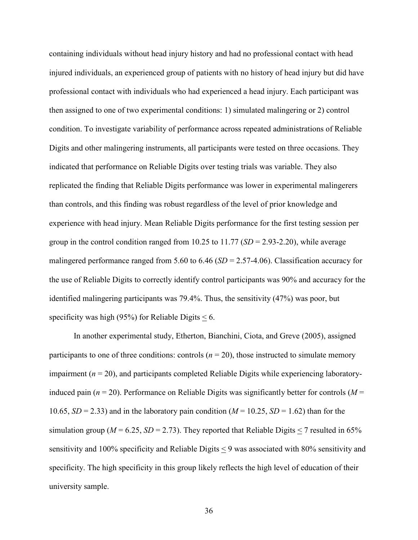containing individuals without head injury history and had no professional contact with head injured individuals, an experienced group of patients with no history of head injury but did have professional contact with individuals who had experienced a head injury. Each participant was then assigned to one of two experimental conditions: 1) simulated malingering or 2) control condition. To investigate variability of performance across repeated administrations of Reliable Digits and other malingering instruments, all participants were tested on three occasions. They indicated that performance on Reliable Digits over testing trials was variable. They also replicated the finding that Reliable Digits performance was lower in experimental malingerers than controls, and this finding was robust regardless of the level of prior knowledge and experience with head injury. Mean Reliable Digits performance for the first testing session per group in the control condition ranged from 10.25 to 11.77 (*SD* = 2.93-2.20), while average malingered performance ranged from 5.60 to 6.46 (*SD* = 2.57-4.06). Classification accuracy for the use of Reliable Digits to correctly identify control participants was 90% and accuracy for the identified malingering participants was 79.4%. Thus, the sensitivity (47%) was poor, but specificity was high (95%) for Reliable Digits  $\leq 6$ .

 In another experimental study, Etherton, Bianchini, Ciota, and Greve (2005), assigned participants to one of three conditions: controls  $(n = 20)$ , those instructed to simulate memory impairment (*n* = 20), and participants completed Reliable Digits while experiencing laboratoryinduced pain ( $n = 20$ ). Performance on Reliable Digits was significantly better for controls ( $M =$ 10.65,  $SD = 2.33$ ) and in the laboratory pain condition ( $M = 10.25$ ,  $SD = 1.62$ ) than for the simulation group ( $M = 6.25$ ,  $SD = 2.73$ ). They reported that Reliable Digits < 7 resulted in 65% sensitivity and 100% specificity and Reliable Digits < 9 was associated with 80% sensitivity and specificity. The high specificity in this group likely reflects the high level of education of their university sample.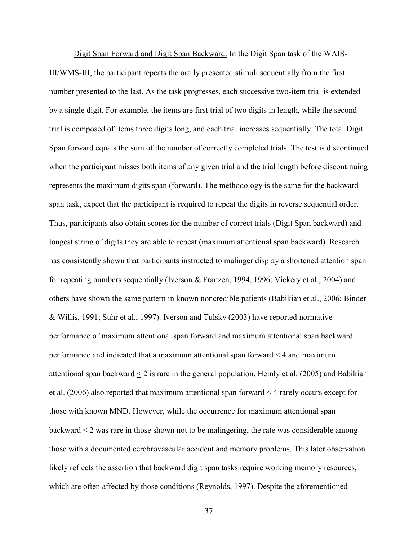Digit Span Forward and Digit Span Backward. In the Digit Span task of the WAIS-III/WMS-III, the participant repeats the orally presented stimuli sequentially from the first number presented to the last. As the task progresses, each successive two-item trial is extended by a single digit. For example, the items are first trial of two digits in length, while the second trial is composed of items three digits long, and each trial increases sequentially. The total Digit Span forward equals the sum of the number of correctly completed trials. The test is discontinued when the participant misses both items of any given trial and the trial length before discontinuing represents the maximum digits span (forward). The methodology is the same for the backward span task, expect that the participant is required to repeat the digits in reverse sequential order. Thus, participants also obtain scores for the number of correct trials (Digit Span backward) and longest string of digits they are able to repeat (maximum attentional span backward). Research has consistently shown that participants instructed to malinger display a shortened attention span for repeating numbers sequentially (Iverson & Franzen, 1994, 1996; Vickery et al., 2004) and others have shown the same pattern in known noncredible patients (Babikian et al., 2006; Binder & Willis, 1991; Suhr et al., 1997). Iverson and Tulsky (2003) have reported normative performance of maximum attentional span forward and maximum attentional span backward performance and indicated that a maximum attentional span forward < 4 and maximum attentional span backward  $\leq 2$  is rare in the general population. Heinly et al. (2005) and Babikian et al. (2006) also reported that maximum attentional span forward  $\leq$  4 rarely occurs except for those with known MND. However, while the occurrence for maximum attentional span backward < 2 was rare in those shown not to be malingering, the rate was considerable among those with a documented cerebrovascular accident and memory problems. This later observation likely reflects the assertion that backward digit span tasks require working memory resources, which are often affected by those conditions (Reynolds, 1997). Despite the aforementioned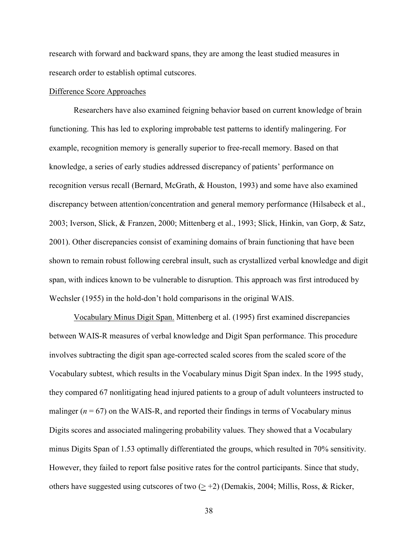research with forward and backward spans, they are among the least studied measures in research order to establish optimal cutscores.

# Difference Score Approaches

 Researchers have also examined feigning behavior based on current knowledge of brain functioning. This has led to exploring improbable test patterns to identify malingering. For example, recognition memory is generally superior to free-recall memory. Based on that knowledge, a series of early studies addressed discrepancy of patients' performance on recognition versus recall (Bernard, McGrath, & Houston, 1993) and some have also examined discrepancy between attention/concentration and general memory performance (Hilsabeck et al., 2003; Iverson, Slick, & Franzen, 2000; Mittenberg et al., 1993; Slick, Hinkin, van Gorp, & Satz, 2001). Other discrepancies consist of examining domains of brain functioning that have been shown to remain robust following cerebral insult, such as crystallized verbal knowledge and digit span, with indices known to be vulnerable to disruption. This approach was first introduced by Wechsler (1955) in the hold-don't hold comparisons in the original WAIS.

Vocabulary Minus Digit Span. Mittenberg et al. (1995) first examined discrepancies between WAIS-R measures of verbal knowledge and Digit Span performance. This procedure involves subtracting the digit span age-corrected scaled scores from the scaled score of the Vocabulary subtest, which results in the Vocabulary minus Digit Span index. In the 1995 study, they compared 67 nonlitigating head injured patients to a group of adult volunteers instructed to malinger  $(n = 67)$  on the WAIS-R, and reported their findings in terms of Vocabulary minus Digits scores and associated malingering probability values. They showed that a Vocabulary minus Digits Span of 1.53 optimally differentiated the groups, which resulted in 70% sensitivity. However, they failed to report false positive rates for the control participants. Since that study, others have suggested using cutscores of two  $(≥ +2)$  (Demakis, 2004; Millis, Ross, & Ricker,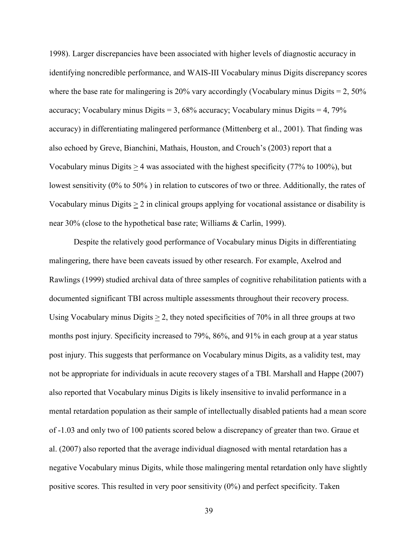1998). Larger discrepancies have been associated with higher levels of diagnostic accuracy in identifying noncredible performance, and WAIS-III Vocabulary minus Digits discrepancy scores where the base rate for malingering is 20% vary accordingly (Vocabulary minus Digits  $= 2,50\%$ ) accuracy; Vocabulary minus Digits  $= 3,68\%$  accuracy; Vocabulary minus Digits  $= 4,79\%$ accuracy) in differentiating malingered performance (Mittenberg et al., 2001). That finding was also echoed by Greve, Bianchini, Mathais, Houston, and Crouch's (2003) report that a Vocabulary minus Digits > 4 was associated with the highest specificity (77% to 100%), but lowest sensitivity (0% to 50% ) in relation to cutscores of two or three. Additionally, the rates of Vocabulary minus Digits  $> 2$  in clinical groups applying for vocational assistance or disability is near 30% (close to the hypothetical base rate; Williams & Carlin, 1999).

Despite the relatively good performance of Vocabulary minus Digits in differentiating malingering, there have been caveats issued by other research. For example, Axelrod and Rawlings (1999) studied archival data of three samples of cognitive rehabilitation patients with a documented significant TBI across multiple assessments throughout their recovery process. Using Vocabulary minus Digits  $\geq 2$ , they noted specificities of 70% in all three groups at two months post injury. Specificity increased to 79%, 86%, and 91% in each group at a year status post injury. This suggests that performance on Vocabulary minus Digits, as a validity test, may not be appropriate for individuals in acute recovery stages of a TBI. Marshall and Happe (2007) also reported that Vocabulary minus Digits is likely insensitive to invalid performance in a mental retardation population as their sample of intellectually disabled patients had a mean score of -1.03 and only two of 100 patients scored below a discrepancy of greater than two. Graue et al. (2007) also reported that the average individual diagnosed with mental retardation has a negative Vocabulary minus Digits, while those malingering mental retardation only have slightly positive scores. This resulted in very poor sensitivity (0%) and perfect specificity. Taken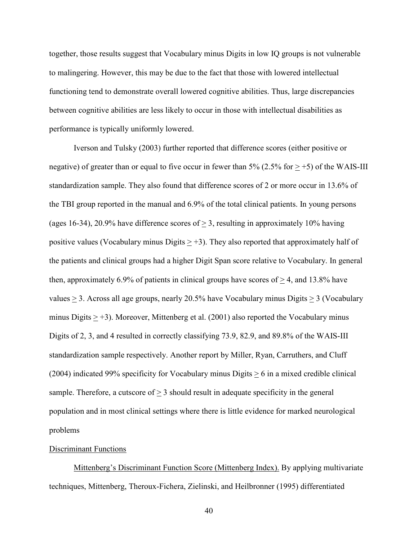together, those results suggest that Vocabulary minus Digits in low IQ groups is not vulnerable to malingering. However, this may be due to the fact that those with lowered intellectual functioning tend to demonstrate overall lowered cognitive abilities. Thus, large discrepancies between cognitive abilities are less likely to occur in those with intellectual disabilities as performance is typically uniformly lowered.

Iverson and Tulsky (2003) further reported that difference scores (either positive or negative) of greater than or equal to five occur in fewer than 5% (2.5% for  $> +5$ ) of the WAIS-III standardization sample. They also found that difference scores of 2 or more occur in 13.6% of the TBI group reported in the manual and 6.9% of the total clinical patients. In young persons (ages 16-34), 20.9% have difference scores of  $> 3$ , resulting in approximately 10% having positive values (Vocabulary minus Digits  $> +3$ ). They also reported that approximately half of the patients and clinical groups had a higher Digit Span score relative to Vocabulary. In general then, approximately 6.9% of patients in clinical groups have scores of  $\geq$  4, and 13.8% have values  $\geq$  3. Across all age groups, nearly 20.5% have Vocabulary minus Digits  $\geq$  3 (Vocabulary minus Digits  $\ge$  +3). Moreover, Mittenberg et al. (2001) also reported the Vocabulary minus Digits of 2, 3, and 4 resulted in correctly classifying 73.9, 82.9, and 89.8% of the WAIS-III standardization sample respectively. Another report by Miller, Ryan, Carruthers, and Cluff (2004) indicated 99% specificity for Vocabulary minus Digits  $\geq 6$  in a mixed credible clinical sample. Therefore, a cutscore of  $\geq 3$  should result in adequate specificity in the general population and in most clinical settings where there is little evidence for marked neurological problems

# Discriminant Functions

 Mittenberg's Discriminant Function Score (Mittenberg Index). By applying multivariate techniques, Mittenberg, Theroux-Fichera, Zielinski, and Heilbronner (1995) differentiated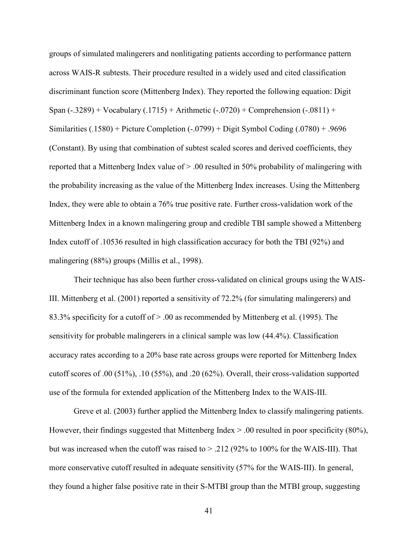groups of simulated malingerers and nonlitigating patients according to performance pattern across WAIS-R subtests. Their procedure resulted in a widely used and cited classification discriminant function score (Mittenberg Index). They reported the following equation: Digit Span (-.3289) + Vocabulary (.1715) + Arithmetic (-.0720) + Comprehension (-.0811) + Similarities (.1580) + Picture Completion (-.0799) + Digit Symbol Coding (.0780) + .9696 (Constant). By using that combination of subtest scaled scores and derived coefficients, they reported that a Mittenberg Index value of > .00 resulted in 50% probability of malingering with the probability increasing as the value of the Mittenberg Index increases. Using the Mittenberg Index, they were able to obtain a 76% true positive rate. Further cross-validation work of the Mittenberg Index in a known malingering group and credible TBI sample showed a Mittenberg Index cutoff of .10536 resulted in high classification accuracy for both the TBI (92%) and malingering (88%) groups (Millis et al., 1998).

 Their technique has also been further cross-validated on clinical groups using the WAIS-III. Mittenberg et al. (2001) reported a sensitivity of 72.2% (for simulating malingerers) and 83.3% specificity for a cutoff of > .00 as recommended by Mittenberg et al. (1995). The sensitivity for probable malingerers in a clinical sample was low (44.4%). Classification accuracy rates according to a 20% base rate across groups were reported for Mittenberg Index cutoff scores of .00 (51%), .10 (55%), and .20 (62%). Overall, their cross-validation supported use of the formula for extended application of the Mittenberg Index to the WAIS-III.

Greve et al. (2003) further applied the Mittenberg Index to classify malingering patients. However, their findings suggested that Mittenberg Index  $> 0.00$  resulted in poor specificity (80%), but was increased when the cutoff was raised to  $> 0.212$  (92% to 100% for the WAIS-III). That more conservative cutoff resulted in adequate sensitivity (57% for the WAIS-III). In general, they found a higher false positive rate in their S-MTBI group than the MTBI group, suggesting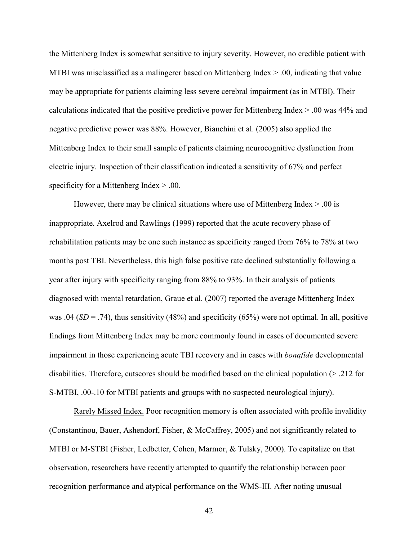the Mittenberg Index is somewhat sensitive to injury severity. However, no credible patient with MTBI was misclassified as a malingerer based on Mittenberg Index  $> 0.00$ , indicating that value may be appropriate for patients claiming less severe cerebral impairment (as in MTBI). Their calculations indicated that the positive predictive power for Mittenberg Index > .00 was 44% and negative predictive power was 88%. However, Bianchini et al. (2005) also applied the Mittenberg Index to their small sample of patients claiming neurocognitive dysfunction from electric injury. Inspection of their classification indicated a sensitivity of 67% and perfect specificity for a Mittenberg Index > .00.

However, there may be clinical situations where use of Mittenberg Index  $> 0.00$  is inappropriate. Axelrod and Rawlings (1999) reported that the acute recovery phase of rehabilitation patients may be one such instance as specificity ranged from 76% to 78% at two months post TBI. Nevertheless, this high false positive rate declined substantially following a year after injury with specificity ranging from 88% to 93%. In their analysis of patients diagnosed with mental retardation, Graue et al. (2007) reported the average Mittenberg Index was .04 (*SD* = .74), thus sensitivity (48%) and specificity (65%) were not optimal. In all, positive findings from Mittenberg Index may be more commonly found in cases of documented severe impairment in those experiencing acute TBI recovery and in cases with *bonafide* developmental disabilities. Therefore, cutscores should be modified based on the clinical population (> .212 for S-MTBI, .00-.10 for MTBI patients and groups with no suspected neurological injury).

 Rarely Missed Index. Poor recognition memory is often associated with profile invalidity (Constantinou, Bauer, Ashendorf, Fisher, & McCaffrey, 2005) and not significantly related to MTBI or M-STBI (Fisher, Ledbetter, Cohen, Marmor, & Tulsky, 2000). To capitalize on that observation, researchers have recently attempted to quantify the relationship between poor recognition performance and atypical performance on the WMS-III. After noting unusual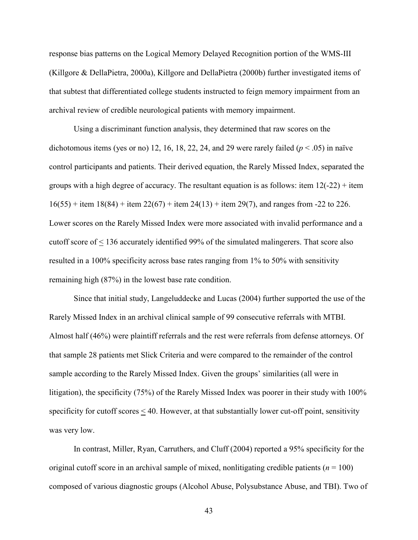response bias patterns on the Logical Memory Delayed Recognition portion of the WMS-III (Killgore & DellaPietra, 2000a), Killgore and DellaPietra (2000b) further investigated items of that subtest that differentiated college students instructed to feign memory impairment from an archival review of credible neurological patients with memory impairment.

 Using a discriminant function analysis, they determined that raw scores on the dichotomous items (yes or no) 12, 16, 18, 22, 24, and 29 were rarely failed  $(p < .05)$  in naïve control participants and patients. Their derived equation, the Rarely Missed Index, separated the groups with a high degree of accuracy. The resultant equation is as follows: item  $12(-22)$  + item  $16(55)$  + item  $18(84)$  + item  $22(67)$  + item  $24(13)$  + item 29(7), and ranges from -22 to 226. Lower scores on the Rarely Missed Index were more associated with invalid performance and a cutoff score of < 136 accurately identified 99% of the simulated malingerers. That score also resulted in a 100% specificity across base rates ranging from 1% to 50% with sensitivity remaining high (87%) in the lowest base rate condition.

 Since that initial study, Langeluddecke and Lucas (2004) further supported the use of the Rarely Missed Index in an archival clinical sample of 99 consecutive referrals with MTBI. Almost half (46%) were plaintiff referrals and the rest were referrals from defense attorneys. Of that sample 28 patients met Slick Criteria and were compared to the remainder of the control sample according to the Rarely Missed Index. Given the groups' similarities (all were in litigation), the specificity (75%) of the Rarely Missed Index was poorer in their study with 100% specificity for cutoff scores  $\leq 40$ . However, at that substantially lower cut-off point, sensitivity was very low.

In contrast, Miller, Ryan, Carruthers, and Cluff (2004) reported a 95% specificity for the original cutoff score in an archival sample of mixed, nonlitigating credible patients ( $n = 100$ ) composed of various diagnostic groups (Alcohol Abuse, Polysubstance Abuse, and TBI). Two of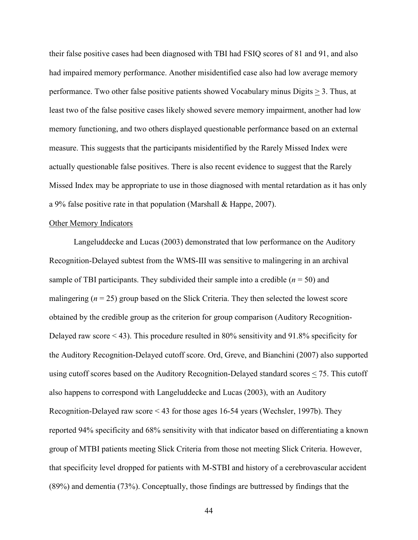their false positive cases had been diagnosed with TBI had FSIQ scores of 81 and 91, and also had impaired memory performance. Another misidentified case also had low average memory performance. Two other false positive patients showed Vocabulary minus Digits > 3. Thus, at least two of the false positive cases likely showed severe memory impairment, another had low memory functioning, and two others displayed questionable performance based on an external measure. This suggests that the participants misidentified by the Rarely Missed Index were actually questionable false positives. There is also recent evidence to suggest that the Rarely Missed Index may be appropriate to use in those diagnosed with mental retardation as it has only a 9% false positive rate in that population (Marshall & Happe, 2007).

### Other Memory Indicators

Langeluddecke and Lucas (2003) demonstrated that low performance on the Auditory Recognition-Delayed subtest from the WMS-III was sensitive to malingering in an archival sample of TBI participants. They subdivided their sample into a credible  $(n = 50)$  and malingering  $(n = 25)$  group based on the Slick Criteria. They then selected the lowest score obtained by the credible group as the criterion for group comparison (Auditory Recognition-Delayed raw score < 43). This procedure resulted in 80% sensitivity and 91.8% specificity for the Auditory Recognition-Delayed cutoff score. Ord, Greve, and Bianchini (2007) also supported using cutoff scores based on the Auditory Recognition-Delayed standard scores  $\leq$  75. This cutoff also happens to correspond with Langeluddecke and Lucas (2003), with an Auditory Recognition-Delayed raw score < 43 for those ages 16-54 years (Wechsler, 1997b). They reported 94% specificity and 68% sensitivity with that indicator based on differentiating a known group of MTBI patients meeting Slick Criteria from those not meeting Slick Criteria. However, that specificity level dropped for patients with M-STBI and history of a cerebrovascular accident (89%) and dementia (73%). Conceptually, those findings are buttressed by findings that the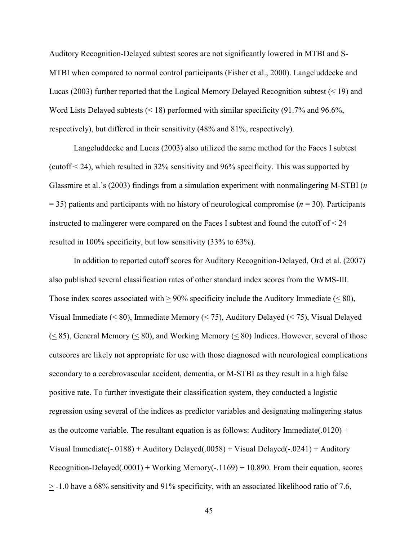Auditory Recognition-Delayed subtest scores are not significantly lowered in MTBI and S-MTBI when compared to normal control participants (Fisher et al., 2000). Langeluddecke and Lucas (2003) further reported that the Logical Memory Delayed Recognition subtest  $($  < 19 $)$  and Word Lists Delayed subtests (< 18) performed with similar specificity (91.7% and 96.6%, respectively), but differed in their sensitivity (48% and 81%, respectively).

Langeluddecke and Lucas (2003) also utilized the same method for the Faces I subtest (cutoff < 24), which resulted in 32% sensitivity and 96% specificity. This was supported by Glassmire et al.'s (2003) findings from a simulation experiment with nonmalingering M-STBI (*n* = 35) patients and participants with no history of neurological compromise (*n* = 30). Participants instructed to malingerer were compared on the Faces I subtest and found the cutoff of  $\leq 24$ resulted in 100% specificity, but low sensitivity (33% to 63%).

In addition to reported cutoff scores for Auditory Recognition-Delayed, Ord et al. (2007) also published several classification rates of other standard index scores from the WMS-III. Those index scores associated with  $> 90\%$  specificity include the Auditory Immediate ( $\leq 80$ ), Visual Immediate ( $\leq 80$ ), Immediate Memory ( $\leq 75$ ), Auditory Delayed ( $\leq 75$ ), Visual Delayed  $(< 85)$ , General Memory  $(< 80)$ , and Working Memory  $(< 80)$  Indices. However, several of those cutscores are likely not appropriate for use with those diagnosed with neurological complications secondary to a cerebrovascular accident, dementia, or M-STBI as they result in a high false positive rate. To further investigate their classification system, they conducted a logistic regression using several of the indices as predictor variables and designating malingering status as the outcome variable. The resultant equation is as follows: Auditory Immediate(.0120) + Visual Immediate(-.0188) + Auditory Delayed(.0058) + Visual Delayed(-.0241) + Auditory Recognition-Delayed(.0001) + Working Memory(-.1169) + 10.890. From their equation, scores  $\geq$  -1.0 have a 68% sensitivity and 91% specificity, with an associated likelihood ratio of 7.6,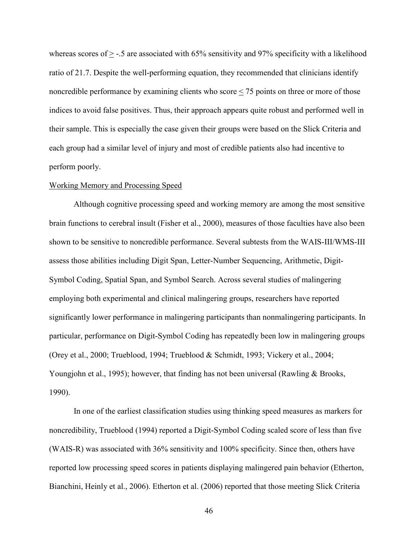whereas scores of  $>$  -.5 are associated with 65% sensitivity and 97% specificity with a likelihood ratio of 21.7. Despite the well-performing equation, they recommended that clinicians identify noncredible performance by examining clients who score < 75 points on three or more of those indices to avoid false positives. Thus, their approach appears quite robust and performed well in their sample. This is especially the case given their groups were based on the Slick Criteria and each group had a similar level of injury and most of credible patients also had incentive to perform poorly.

#### Working Memory and Processing Speed

 Although cognitive processing speed and working memory are among the most sensitive brain functions to cerebral insult (Fisher et al., 2000), measures of those faculties have also been shown to be sensitive to noncredible performance. Several subtests from the WAIS-III/WMS-III assess those abilities including Digit Span, Letter-Number Sequencing, Arithmetic, Digit-Symbol Coding, Spatial Span, and Symbol Search. Across several studies of malingering employing both experimental and clinical malingering groups, researchers have reported significantly lower performance in malingering participants than nonmalingering participants. In particular, performance on Digit-Symbol Coding has repeatedly been low in malingering groups (Orey et al., 2000; Trueblood, 1994; Trueblood & Schmidt, 1993; Vickery et al., 2004; Youngjohn et al., 1995); however, that finding has not been universal (Rawling & Brooks, 1990).

In one of the earliest classification studies using thinking speed measures as markers for noncredibility, Trueblood (1994) reported a Digit-Symbol Coding scaled score of less than five (WAIS-R) was associated with 36% sensitivity and 100% specificity. Since then, others have reported low processing speed scores in patients displaying malingered pain behavior (Etherton, Bianchini, Heinly et al., 2006). Etherton et al. (2006) reported that those meeting Slick Criteria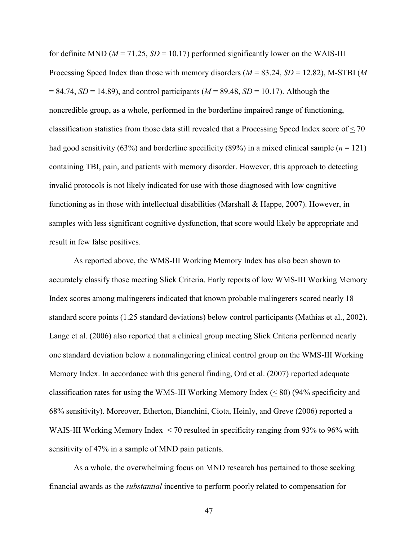for definite MND ( $M = 71.25$ ,  $SD = 10.17$ ) performed significantly lower on the WAIS-III Processing Speed Index than those with memory disorders (*M* = 83.24, *SD* = 12.82), M-STBI (*M*  = 84.74, *SD* = 14.89), and control participants (*M* = 89.48, *SD* = 10.17). Although the noncredible group, as a whole, performed in the borderline impaired range of functioning, classification statistics from those data still revealed that a Processing Speed Index score of < 70 had good sensitivity (63%) and borderline specificity (89%) in a mixed clinical sample ( $n = 121$ ) containing TBI, pain, and patients with memory disorder. However, this approach to detecting invalid protocols is not likely indicated for use with those diagnosed with low cognitive functioning as in those with intellectual disabilities (Marshall & Happe, 2007). However, in samples with less significant cognitive dysfunction, that score would likely be appropriate and result in few false positives.

 As reported above, the WMS-III Working Memory Index has also been shown to accurately classify those meeting Slick Criteria. Early reports of low WMS-III Working Memory Index scores among malingerers indicated that known probable malingerers scored nearly 18 standard score points (1.25 standard deviations) below control participants (Mathias et al., 2002). Lange et al. (2006) also reported that a clinical group meeting Slick Criteria performed nearly one standard deviation below a nonmalingering clinical control group on the WMS-III Working Memory Index. In accordance with this general finding, Ord et al. (2007) reported adequate classification rates for using the WMS-III Working Memory Index  $(\leq 80)$  (94% specificity and 68% sensitivity). Moreover, Etherton, Bianchini, Ciota, Heinly, and Greve (2006) reported a WAIS-III Working Memory Index < 70 resulted in specificity ranging from 93% to 96% with sensitivity of 47% in a sample of MND pain patients.

As a whole, the overwhelming focus on MND research has pertained to those seeking financial awards as the *substantial* incentive to perform poorly related to compensation for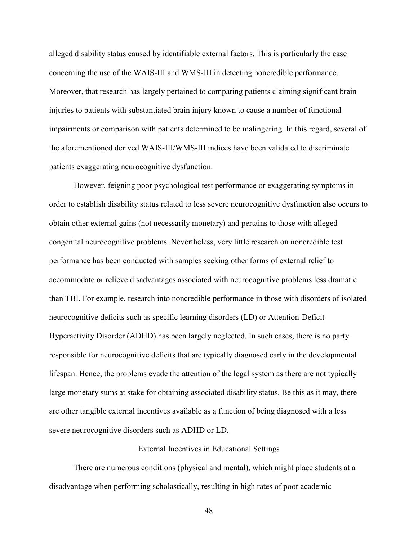alleged disability status caused by identifiable external factors. This is particularly the case concerning the use of the WAIS-III and WMS-III in detecting noncredible performance. Moreover, that research has largely pertained to comparing patients claiming significant brain injuries to patients with substantiated brain injury known to cause a number of functional impairments or comparison with patients determined to be malingering. In this regard, several of the aforementioned derived WAIS-III/WMS-III indices have been validated to discriminate patients exaggerating neurocognitive dysfunction.

However, feigning poor psychological test performance or exaggerating symptoms in order to establish disability status related to less severe neurocognitive dysfunction also occurs to obtain other external gains (not necessarily monetary) and pertains to those with alleged congenital neurocognitive problems. Nevertheless, very little research on noncredible test performance has been conducted with samples seeking other forms of external relief to accommodate or relieve disadvantages associated with neurocognitive problems less dramatic than TBI. For example, research into noncredible performance in those with disorders of isolated neurocognitive deficits such as specific learning disorders (LD) or Attention-Deficit Hyperactivity Disorder (ADHD) has been largely neglected. In such cases, there is no party responsible for neurocognitive deficits that are typically diagnosed early in the developmental lifespan. Hence, the problems evade the attention of the legal system as there are not typically large monetary sums at stake for obtaining associated disability status. Be this as it may, there are other tangible external incentives available as a function of being diagnosed with a less severe neurocognitive disorders such as ADHD or LD.

#### External Incentives in Educational Settings

There are numerous conditions (physical and mental), which might place students at a disadvantage when performing scholastically, resulting in high rates of poor academic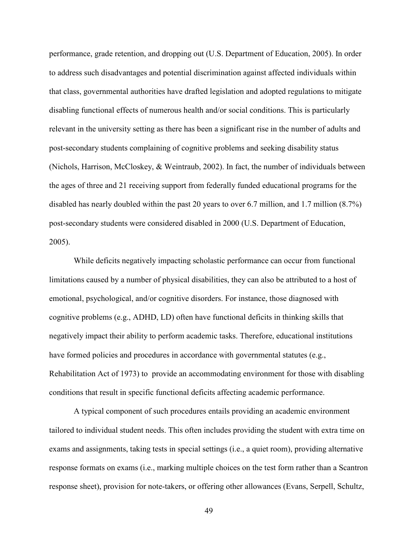performance, grade retention, and dropping out (U.S. Department of Education, 2005). In order to address such disadvantages and potential discrimination against affected individuals within that class, governmental authorities have drafted legislation and adopted regulations to mitigate disabling functional effects of numerous health and/or social conditions. This is particularly relevant in the university setting as there has been a significant rise in the number of adults and post-secondary students complaining of cognitive problems and seeking disability status (Nichols, Harrison, McCloskey, & Weintraub, 2002). In fact, the number of individuals between the ages of three and 21 receiving support from federally funded educational programs for the disabled has nearly doubled within the past 20 years to over 6.7 million, and 1.7 million (8.7%) post-secondary students were considered disabled in 2000 (U.S. Department of Education, 2005).

While deficits negatively impacting scholastic performance can occur from functional limitations caused by a number of physical disabilities, they can also be attributed to a host of emotional, psychological, and/or cognitive disorders. For instance, those diagnosed with cognitive problems (e.g., ADHD, LD) often have functional deficits in thinking skills that negatively impact their ability to perform academic tasks. Therefore, educational institutions have formed policies and procedures in accordance with governmental statutes (e.g., Rehabilitation Act of 1973) to provide an accommodating environment for those with disabling conditions that result in specific functional deficits affecting academic performance.

A typical component of such procedures entails providing an academic environment tailored to individual student needs. This often includes providing the student with extra time on exams and assignments, taking tests in special settings (i.e., a quiet room), providing alternative response formats on exams (i.e., marking multiple choices on the test form rather than a Scantron response sheet), provision for note-takers, or offering other allowances (Evans, Serpell, Schultz,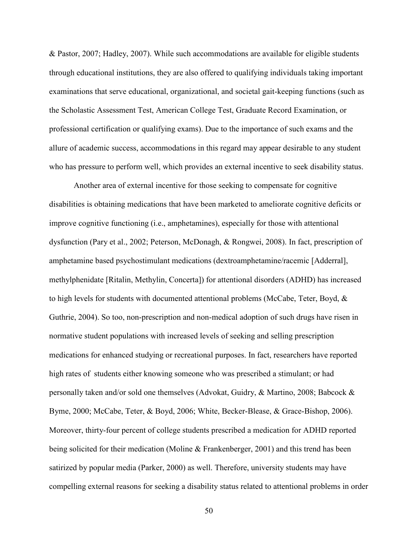& Pastor, 2007; Hadley, 2007). While such accommodations are available for eligible students through educational institutions, they are also offered to qualifying individuals taking important examinations that serve educational, organizational, and societal gait-keeping functions (such as the Scholastic Assessment Test, American College Test, Graduate Record Examination, or professional certification or qualifying exams). Due to the importance of such exams and the allure of academic success, accommodations in this regard may appear desirable to any student who has pressure to perform well, which provides an external incentive to seek disability status.

Another area of external incentive for those seeking to compensate for cognitive disabilities is obtaining medications that have been marketed to ameliorate cognitive deficits or improve cognitive functioning (i.e., amphetamines), especially for those with attentional dysfunction (Pary et al., 2002; Peterson, McDonagh, & Rongwei, 2008). In fact, prescription of amphetamine based psychostimulant medications (dextroamphetamine/racemic [Adderral], methylphenidate [Ritalin, Methylin, Concerta]) for attentional disorders (ADHD) has increased to high levels for students with documented attentional problems (McCabe, Teter, Boyd, & Guthrie, 2004). So too, non-prescription and non-medical adoption of such drugs have risen in normative student populations with increased levels of seeking and selling prescription medications for enhanced studying or recreational purposes. In fact, researchers have reported high rates of students either knowing someone who was prescribed a stimulant; or had personally taken and/or sold one themselves (Advokat, Guidry, & Martino, 2008; Babcock & Byme, 2000; McCabe, Teter, & Boyd, 2006; White, Becker-Blease, & Grace-Bishop, 2006). Moreover, thirty-four percent of college students prescribed a medication for ADHD reported being solicited for their medication (Moline & Frankenberger, 2001) and this trend has been satirized by popular media (Parker, 2000) as well. Therefore, university students may have compelling external reasons for seeking a disability status related to attentional problems in order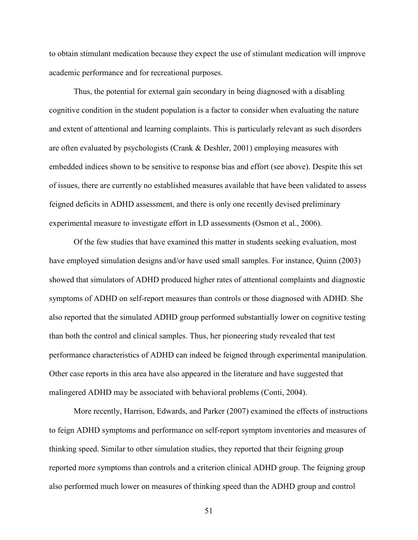to obtain stimulant medication because they expect the use of stimulant medication will improve academic performance and for recreational purposes.

Thus, the potential for external gain secondary in being diagnosed with a disabling cognitive condition in the student population is a factor to consider when evaluating the nature and extent of attentional and learning complaints. This is particularly relevant as such disorders are often evaluated by psychologists (Crank & Deshler, 2001) employing measures with embedded indices shown to be sensitive to response bias and effort (see above). Despite this set of issues, there are currently no established measures available that have been validated to assess feigned deficits in ADHD assessment, and there is only one recently devised preliminary experimental measure to investigate effort in LD assessments (Osmon et al., 2006).

Of the few studies that have examined this matter in students seeking evaluation, most have employed simulation designs and/or have used small samples. For instance, Quinn (2003) showed that simulators of ADHD produced higher rates of attentional complaints and diagnostic symptoms of ADHD on self-report measures than controls or those diagnosed with ADHD. She also reported that the simulated ADHD group performed substantially lower on cognitive testing than both the control and clinical samples. Thus, her pioneering study revealed that test performance characteristics of ADHD can indeed be feigned through experimental manipulation. Other case reports in this area have also appeared in the literature and have suggested that malingered ADHD may be associated with behavioral problems (Conti, 2004).

More recently, Harrison, Edwards, and Parker (2007) examined the effects of instructions to feign ADHD symptoms and performance on self-report symptom inventories and measures of thinking speed. Similar to other simulation studies, they reported that their feigning group reported more symptoms than controls and a criterion clinical ADHD group. The feigning group also performed much lower on measures of thinking speed than the ADHD group and control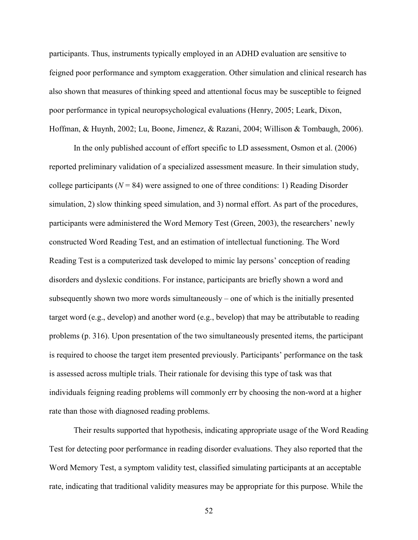participants. Thus, instruments typically employed in an ADHD evaluation are sensitive to feigned poor performance and symptom exaggeration. Other simulation and clinical research has also shown that measures of thinking speed and attentional focus may be susceptible to feigned poor performance in typical neuropsychological evaluations (Henry, 2005; Leark, Dixon, Hoffman, & Huynh, 2002; Lu, Boone, Jimenez, & Razani, 2004; Willison & Tombaugh, 2006).

In the only published account of effort specific to LD assessment, Osmon et al. (2006) reported preliminary validation of a specialized assessment measure. In their simulation study, college participants ( $N = 84$ ) were assigned to one of three conditions: 1) Reading Disorder simulation, 2) slow thinking speed simulation, and 3) normal effort. As part of the procedures, participants were administered the Word Memory Test (Green, 2003), the researchers' newly constructed Word Reading Test, and an estimation of intellectual functioning. The Word Reading Test is a computerized task developed to mimic lay persons' conception of reading disorders and dyslexic conditions. For instance, participants are briefly shown a word and subsequently shown two more words simultaneously – one of which is the initially presented target word (e.g., develop) and another word (e.g., bevelop) that may be attributable to reading problems (p. 316). Upon presentation of the two simultaneously presented items, the participant is required to choose the target item presented previously. Participants' performance on the task is assessed across multiple trials. Their rationale for devising this type of task was that individuals feigning reading problems will commonly err by choosing the non-word at a higher rate than those with diagnosed reading problems.

Their results supported that hypothesis, indicating appropriate usage of the Word Reading Test for detecting poor performance in reading disorder evaluations. They also reported that the Word Memory Test, a symptom validity test, classified simulating participants at an acceptable rate, indicating that traditional validity measures may be appropriate for this purpose. While the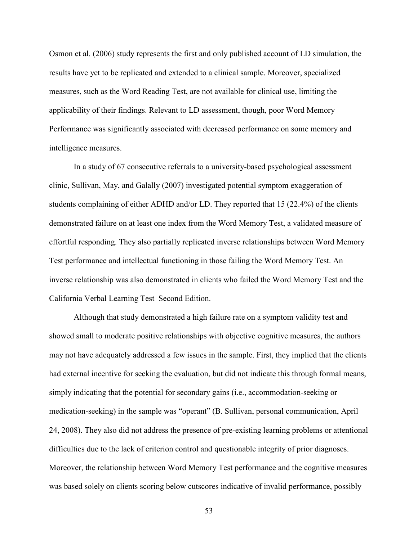Osmon et al. (2006) study represents the first and only published account of LD simulation, the results have yet to be replicated and extended to a clinical sample. Moreover, specialized measures, such as the Word Reading Test, are not available for clinical use, limiting the applicability of their findings. Relevant to LD assessment, though, poor Word Memory Performance was significantly associated with decreased performance on some memory and intelligence measures.

In a study of 67 consecutive referrals to a university-based psychological assessment clinic, Sullivan, May, and Galally (2007) investigated potential symptom exaggeration of students complaining of either ADHD and/or LD. They reported that 15 (22.4%) of the clients demonstrated failure on at least one index from the Word Memory Test, a validated measure of effortful responding. They also partially replicated inverse relationships between Word Memory Test performance and intellectual functioning in those failing the Word Memory Test. An inverse relationship was also demonstrated in clients who failed the Word Memory Test and the California Verbal Learning Test–Second Edition.

Although that study demonstrated a high failure rate on a symptom validity test and showed small to moderate positive relationships with objective cognitive measures, the authors may not have adequately addressed a few issues in the sample. First, they implied that the clients had external incentive for seeking the evaluation, but did not indicate this through formal means, simply indicating that the potential for secondary gains (i.e., accommodation-seeking or medication-seeking) in the sample was "operant" (B. Sullivan, personal communication, April 24, 2008). They also did not address the presence of pre-existing learning problems or attentional difficulties due to the lack of criterion control and questionable integrity of prior diagnoses. Moreover, the relationship between Word Memory Test performance and the cognitive measures was based solely on clients scoring below cutscores indicative of invalid performance, possibly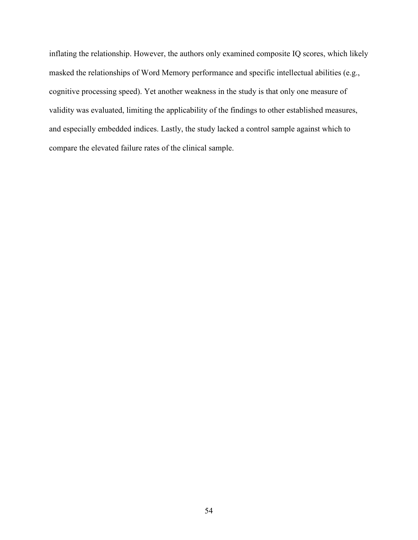inflating the relationship. However, the authors only examined composite IQ scores, which likely masked the relationships of Word Memory performance and specific intellectual abilities (e.g., cognitive processing speed). Yet another weakness in the study is that only one measure of validity was evaluated, limiting the applicability of the findings to other established measures, and especially embedded indices. Lastly, the study lacked a control sample against which to compare the elevated failure rates of the clinical sample.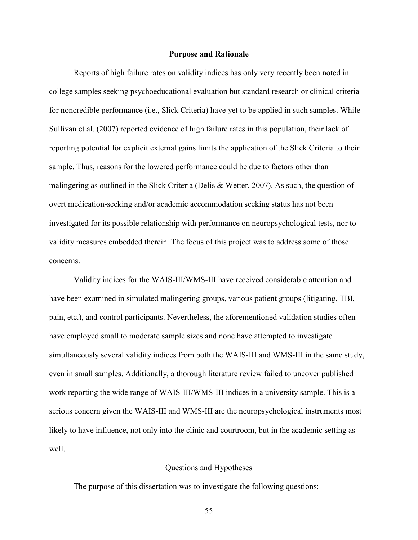#### **Purpose and Rationale**

Reports of high failure rates on validity indices has only very recently been noted in college samples seeking psychoeducational evaluation but standard research or clinical criteria for noncredible performance (i.e., Slick Criteria) have yet to be applied in such samples. While Sullivan et al. (2007) reported evidence of high failure rates in this population, their lack of reporting potential for explicit external gains limits the application of the Slick Criteria to their sample. Thus, reasons for the lowered performance could be due to factors other than malingering as outlined in the Slick Criteria (Delis & Wetter, 2007). As such, the question of overt medication-seeking and/or academic accommodation seeking status has not been investigated for its possible relationship with performance on neuropsychological tests, nor to validity measures embedded therein. The focus of this project was to address some of those concerns.

Validity indices for the WAIS-III/WMS-III have received considerable attention and have been examined in simulated malingering groups, various patient groups (litigating, TBI, pain, etc.), and control participants. Nevertheless, the aforementioned validation studies often have employed small to moderate sample sizes and none have attempted to investigate simultaneously several validity indices from both the WAIS-III and WMS-III in the same study, even in small samples. Additionally, a thorough literature review failed to uncover published work reporting the wide range of WAIS-III/WMS-III indices in a university sample. This is a serious concern given the WAIS-III and WMS-III are the neuropsychological instruments most likely to have influence, not only into the clinic and courtroom, but in the academic setting as well.

# Questions and Hypotheses

The purpose of this dissertation was to investigate the following questions: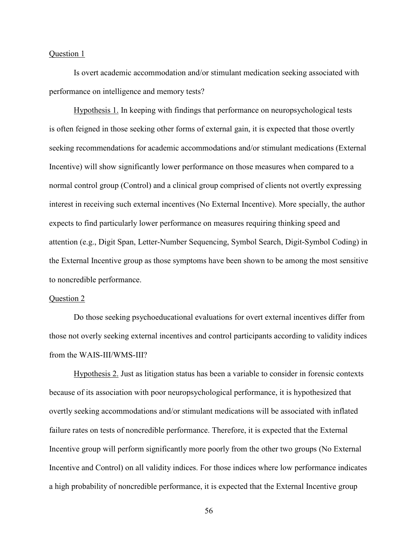# Question 1

Is overt academic accommodation and/or stimulant medication seeking associated with performance on intelligence and memory tests?

Hypothesis 1. In keeping with findings that performance on neuropsychological tests is often feigned in those seeking other forms of external gain, it is expected that those overtly seeking recommendations for academic accommodations and/or stimulant medications (External Incentive) will show significantly lower performance on those measures when compared to a normal control group (Control) and a clinical group comprised of clients not overtly expressing interest in receiving such external incentives (No External Incentive). More specially, the author expects to find particularly lower performance on measures requiring thinking speed and attention (e.g., Digit Span, Letter-Number Sequencing, Symbol Search, Digit-Symbol Coding) in the External Incentive group as those symptoms have been shown to be among the most sensitive to noncredible performance.

#### Question 2

Do those seeking psychoeducational evaluations for overt external incentives differ from those not overly seeking external incentives and control participants according to validity indices from the WAIS-III/WMS-III?

Hypothesis 2. Just as litigation status has been a variable to consider in forensic contexts because of its association with poor neuropsychological performance, it is hypothesized that overtly seeking accommodations and/or stimulant medications will be associated with inflated failure rates on tests of noncredible performance. Therefore, it is expected that the External Incentive group will perform significantly more poorly from the other two groups (No External Incentive and Control) on all validity indices. For those indices where low performance indicates a high probability of noncredible performance, it is expected that the External Incentive group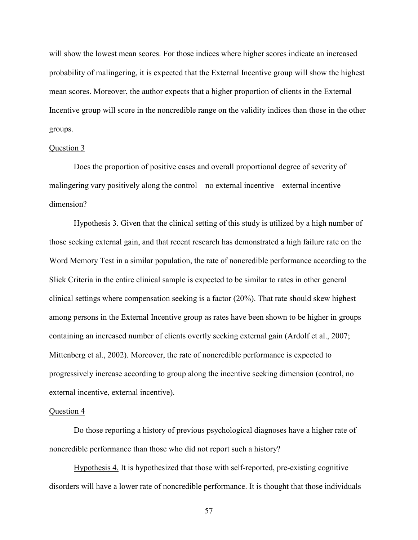will show the lowest mean scores. For those indices where higher scores indicate an increased probability of malingering, it is expected that the External Incentive group will show the highest mean scores. Moreover, the author expects that a higher proportion of clients in the External Incentive group will score in the noncredible range on the validity indices than those in the other groups.

#### Question 3

Does the proportion of positive cases and overall proportional degree of severity of malingering vary positively along the control – no external incentive – external incentive dimension?

Hypothesis 3. Given that the clinical setting of this study is utilized by a high number of those seeking external gain, and that recent research has demonstrated a high failure rate on the Word Memory Test in a similar population, the rate of noncredible performance according to the Slick Criteria in the entire clinical sample is expected to be similar to rates in other general clinical settings where compensation seeking is a factor  $(20\%)$ . That rate should skew highest among persons in the External Incentive group as rates have been shown to be higher in groups containing an increased number of clients overtly seeking external gain (Ardolf et al., 2007; Mittenberg et al., 2002). Moreover, the rate of noncredible performance is expected to progressively increase according to group along the incentive seeking dimension (control, no external incentive, external incentive).

### Question 4

Do those reporting a history of previous psychological diagnoses have a higher rate of noncredible performance than those who did not report such a history?

Hypothesis 4. It is hypothesized that those with self-reported, pre-existing cognitive disorders will have a lower rate of noncredible performance. It is thought that those individuals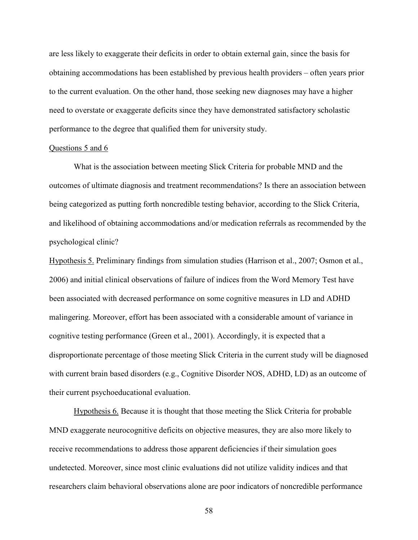are less likely to exaggerate their deficits in order to obtain external gain, since the basis for obtaining accommodations has been established by previous health providers – often years prior to the current evaluation. On the other hand, those seeking new diagnoses may have a higher need to overstate or exaggerate deficits since they have demonstrated satisfactory scholastic performance to the degree that qualified them for university study.

#### Questions 5 and 6

What is the association between meeting Slick Criteria for probable MND and the outcomes of ultimate diagnosis and treatment recommendations? Is there an association between being categorized as putting forth noncredible testing behavior, according to the Slick Criteria, and likelihood of obtaining accommodations and/or medication referrals as recommended by the psychological clinic?

Hypothesis 5. Preliminary findings from simulation studies (Harrison et al., 2007; Osmon et al., 2006) and initial clinical observations of failure of indices from the Word Memory Test have been associated with decreased performance on some cognitive measures in LD and ADHD malingering. Moreover, effort has been associated with a considerable amount of variance in cognitive testing performance (Green et al., 2001). Accordingly, it is expected that a disproportionate percentage of those meeting Slick Criteria in the current study will be diagnosed with current brain based disorders (e.g., Cognitive Disorder NOS, ADHD, LD) as an outcome of their current psychoeducational evaluation.

 Hypothesis 6. Because it is thought that those meeting the Slick Criteria for probable MND exaggerate neurocognitive deficits on objective measures, they are also more likely to receive recommendations to address those apparent deficiencies if their simulation goes undetected. Moreover, since most clinic evaluations did not utilize validity indices and that researchers claim behavioral observations alone are poor indicators of noncredible performance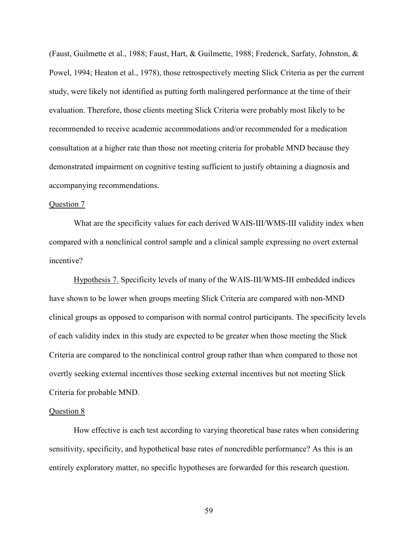(Faust, Guilmette et al., 1988; Faust, Hart, & Guilmette, 1988; Frederick, Sarfaty, Johnston, & Powel, 1994; Heaton et al., 1978), those retrospectively meeting Slick Criteria as per the current study, were likely not identified as putting forth malingered performance at the time of their evaluation. Therefore, those clients meeting Slick Criteria were probably most likely to be recommended to receive academic accommodations and/or recommended for a medication consultation at a higher rate than those not meeting criteria for probable MND because they demonstrated impairment on cognitive testing sufficient to justify obtaining a diagnosis and accompanying recommendations.

# Question 7

What are the specificity values for each derived WAIS-III/WMS-III validity index when compared with a nonclinical control sample and a clinical sample expressing no overt external incentive?

Hypothesis 7. Specificity levels of many of the WAIS-III/WMS-III embedded indices have shown to be lower when groups meeting Slick Criteria are compared with non-MND clinical groups as opposed to comparison with normal control participants. The specificity levels of each validity index in this study are expected to be greater when those meeting the Slick Criteria are compared to the nonclinical control group rather than when compared to those not overtly seeking external incentives those seeking external incentives but not meeting Slick Criteria for probable MND.

### Question 8

How effective is each test according to varying theoretical base rates when considering sensitivity, specificity, and hypothetical base rates of noncredible performance? As this is an entirely exploratory matter, no specific hypotheses are forwarded for this research question.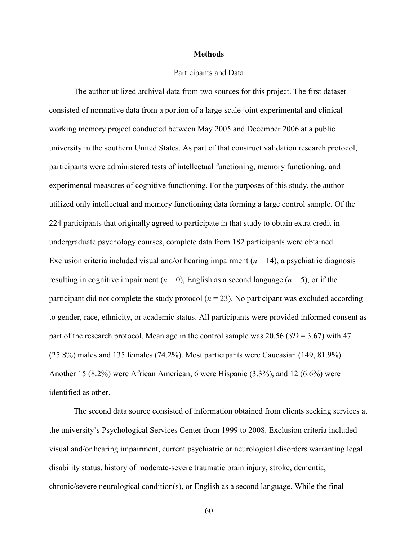### **Methods**

# Participants and Data

The author utilized archival data from two sources for this project. The first dataset consisted of normative data from a portion of a large-scale joint experimental and clinical working memory project conducted between May 2005 and December 2006 at a public university in the southern United States. As part of that construct validation research protocol, participants were administered tests of intellectual functioning, memory functioning, and experimental measures of cognitive functioning. For the purposes of this study, the author utilized only intellectual and memory functioning data forming a large control sample. Of the 224 participants that originally agreed to participate in that study to obtain extra credit in undergraduate psychology courses, complete data from 182 participants were obtained. Exclusion criteria included visual and/or hearing impairment  $(n = 14)$ , a psychiatric diagnosis resulting in cognitive impairment  $(n = 0)$ , English as a second language  $(n = 5)$ , or if the participant did not complete the study protocol  $(n = 23)$ . No participant was excluded according to gender, race, ethnicity, or academic status. All participants were provided informed consent as part of the research protocol. Mean age in the control sample was 20.56 (*SD* = 3.67) with 47 (25.8%) males and 135 females (74.2%). Most participants were Caucasian (149, 81.9%). Another 15 (8.2%) were African American, 6 were Hispanic (3.3%), and 12 (6.6%) were identified as other.

The second data source consisted of information obtained from clients seeking services at the university's Psychological Services Center from 1999 to 2008. Exclusion criteria included visual and/or hearing impairment, current psychiatric or neurological disorders warranting legal disability status, history of moderate-severe traumatic brain injury, stroke, dementia, chronic/severe neurological condition(s), or English as a second language. While the final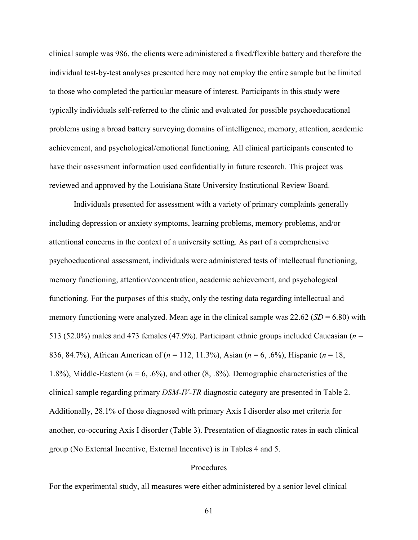clinical sample was 986, the clients were administered a fixed/flexible battery and therefore the individual test-by-test analyses presented here may not employ the entire sample but be limited to those who completed the particular measure of interest. Participants in this study were typically individuals self-referred to the clinic and evaluated for possible psychoeducational problems using a broad battery surveying domains of intelligence, memory, attention, academic achievement, and psychological/emotional functioning. All clinical participants consented to have their assessment information used confidentially in future research. This project was reviewed and approved by the Louisiana State University Institutional Review Board.

Individuals presented for assessment with a variety of primary complaints generally including depression or anxiety symptoms, learning problems, memory problems, and/or attentional concerns in the context of a university setting. As part of a comprehensive psychoeducational assessment, individuals were administered tests of intellectual functioning, memory functioning, attention/concentration, academic achievement, and psychological functioning. For the purposes of this study, only the testing data regarding intellectual and memory functioning were analyzed. Mean age in the clinical sample was  $22.62$  (*SD* = 6.80) with 513 (52.0%) males and 473 females (47.9%). Participant ethnic groups included Caucasian (*n* = 836, 84.7%), African American of (*n* = 112, 11.3%), Asian (*n* = 6, .6%), Hispanic (*n* = 18, 1.8%), Middle-Eastern (*n* = 6, .6%), and other (8, .8%). Demographic characteristics of the clinical sample regarding primary *DSM-IV-TR* diagnostic category are presented in Table 2. Additionally, 28.1% of those diagnosed with primary Axis I disorder also met criteria for another, co-occuring Axis I disorder (Table 3). Presentation of diagnostic rates in each clinical group (No External Incentive, External Incentive) is in Tables 4 and 5.

# **Procedures**

For the experimental study, all measures were either administered by a senior level clinical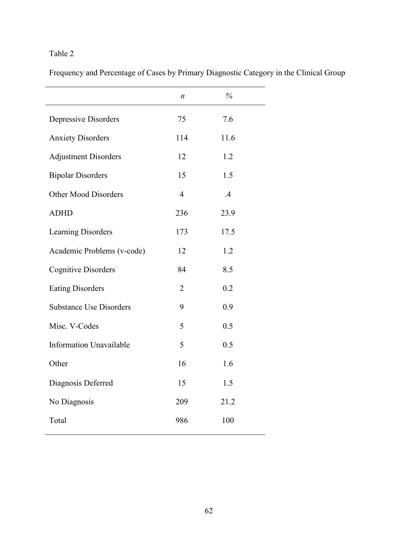Frequency and Percentage of Cases by Primary Diagnostic Category in the Clinical Group

|                                | n              | $\%$           |  |
|--------------------------------|----------------|----------------|--|
| Depressive Disorders           | 75             | 7.6            |  |
| <b>Anxiety Disorders</b>       | 114            | 11.6           |  |
| <b>Adjustment Disorders</b>    | 12             | 1.2            |  |
| <b>Bipolar Disorders</b>       | 15             | 1.5            |  |
| Other Mood Disorders           | $\overline{4}$ | $\overline{A}$ |  |
| <b>ADHD</b>                    | 236            | 23.9           |  |
| Learning Disorders             | 173            | 17.5           |  |
| Academic Problems (v-code)     | 12             | 1.2            |  |
| <b>Cognitive Disorders</b>     | 84             | 8.5            |  |
| <b>Eating Disorders</b>        | $\overline{2}$ | 0.2            |  |
| <b>Substance Use Disorders</b> | 9              | 0.9            |  |
| Misc. V-Codes                  | 5              | 0.5            |  |
| <b>Information Unavailable</b> | 5              | 0.5            |  |
| Other                          | 16             | 1.6            |  |
| Diagnosis Deferred             | 15             | 1.5            |  |
| No Diagnosis                   | 209            | 21.2           |  |
| Total                          | 986            | 100            |  |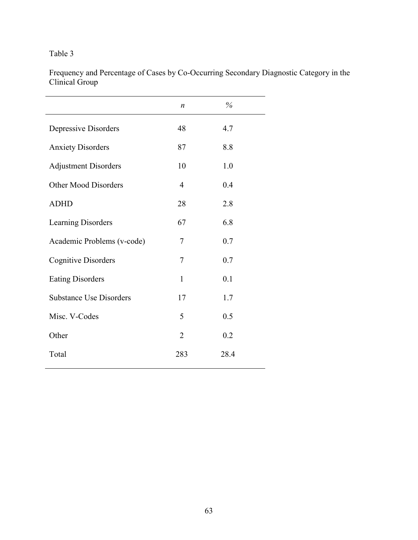Frequency and Percentage of Cases by Co-Occurring Secondary Diagnostic Category in the Clinical Group

|                                | $\boldsymbol{n}$ | $\%$ |
|--------------------------------|------------------|------|
|                                |                  |      |
| Depressive Disorders           | 48               | 4.7  |
| <b>Anxiety Disorders</b>       | 87               | 8.8  |
| <b>Adjustment Disorders</b>    | 10               | 1.0  |
| Other Mood Disorders           | 4                | 0.4  |
| <b>ADHD</b>                    | 28               | 2.8  |
| Learning Disorders             | 67               | 6.8  |
| Academic Problems (v-code)     | 7                | 0.7  |
| <b>Cognitive Disorders</b>     | $\overline{7}$   | 0.7  |
| <b>Eating Disorders</b>        | $\mathbf{1}$     | 0.1  |
| <b>Substance Use Disorders</b> | 17               | 1.7  |
| Misc. V-Codes                  | 5                | 0.5  |
| Other                          | $\overline{2}$   | 0.2  |
| Total                          | 283              | 28.4 |
|                                |                  |      |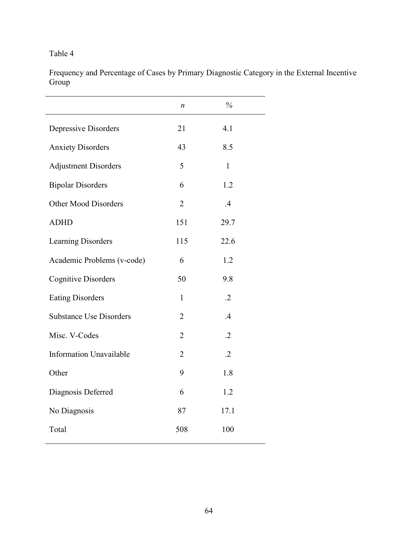Frequency and Percentage of Cases by Primary Diagnostic Category in the External Incentive Group

|                                | $\boldsymbol{n}$ | $\%$         |
|--------------------------------|------------------|--------------|
| Depressive Disorders           | 21               | 4.1          |
| <b>Anxiety Disorders</b>       | 43               | 8.5          |
| <b>Adjustment Disorders</b>    | 5                | $\mathbf{1}$ |
| <b>Bipolar Disorders</b>       | 6                | 1.2          |
| Other Mood Disorders           | $\overline{2}$   | .4           |
| <b>ADHD</b>                    | 151              | 29.7         |
| <b>Learning Disorders</b>      | 115              | 22.6         |
| Academic Problems (v-code)     | 6                | 1.2          |
| <b>Cognitive Disorders</b>     | 50               | 9.8          |
| <b>Eating Disorders</b>        | $\mathbf{1}$     | $\cdot$ .2   |
| <b>Substance Use Disorders</b> | $\overline{2}$   | .4           |
| Misc. V-Codes                  | $\overline{2}$   | $\cdot$ .2   |
| <b>Information Unavailable</b> | $\overline{2}$   | $\cdot$ .2   |
| Other                          | 9                | 1.8          |
| Diagnosis Deferred             | 6                | 1.2          |
| No Diagnosis                   | 87               | 17.1         |
| Total                          | 508              | 100          |
|                                |                  |              |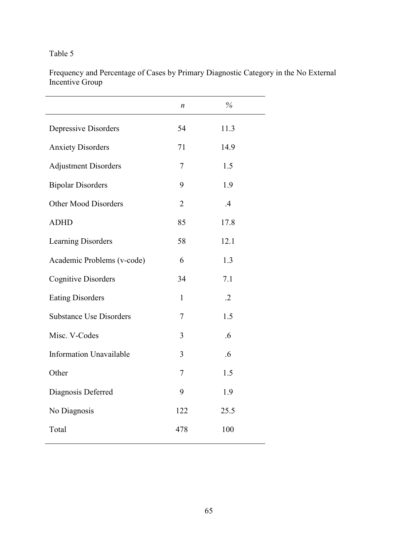Frequency and Percentage of Cases by Primary Diagnostic Category in the No External Incentive Group

|                                | n              | $\%$   |
|--------------------------------|----------------|--------|
| Depressive Disorders           | 54             | 11.3   |
| <b>Anxiety Disorders</b>       | 71             | 14.9   |
| <b>Adjustment Disorders</b>    | 7              | 1.5    |
| <b>Bipolar Disorders</b>       | 9              | 1.9    |
| <b>Other Mood Disorders</b>    | $\overline{2}$ | .4     |
| <b>ADHD</b>                    | 85             | 17.8   |
| Learning Disorders             | 58             | 12.1   |
| Academic Problems (v-code)     | 6              | 1.3    |
| <b>Cognitive Disorders</b>     | 34             | 7.1    |
| <b>Eating Disorders</b>        | $\mathbf{1}$   | $.2\,$ |
| <b>Substance Use Disorders</b> | 7              | 1.5    |
| Misc. V-Codes                  | 3              | .6     |
| <b>Information Unavailable</b> | 3              | .6     |
| Other                          | $\overline{7}$ | 1.5    |
| Diagnosis Deferred             | 9              | 1.9    |
| No Diagnosis                   | 122            | 25.5   |
| Total                          | 478            | 100    |
|                                |                |        |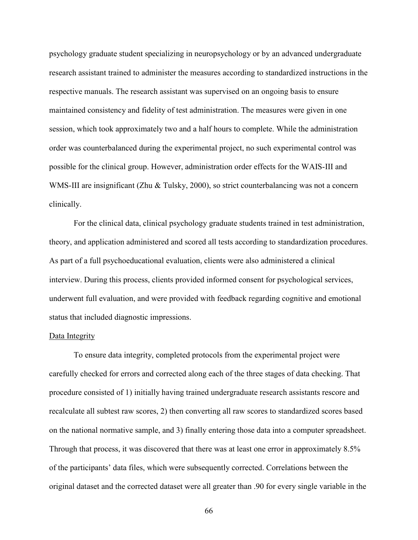psychology graduate student specializing in neuropsychology or by an advanced undergraduate research assistant trained to administer the measures according to standardized instructions in the respective manuals. The research assistant was supervised on an ongoing basis to ensure maintained consistency and fidelity of test administration. The measures were given in one session, which took approximately two and a half hours to complete. While the administration order was counterbalanced during the experimental project, no such experimental control was possible for the clinical group. However, administration order effects for the WAIS-III and WMS-III are insignificant (Zhu & Tulsky, 2000), so strict counterbalancing was not a concern clinically.

For the clinical data, clinical psychology graduate students trained in test administration, theory, and application administered and scored all tests according to standardization procedures. As part of a full psychoeducational evaluation, clients were also administered a clinical interview. During this process, clients provided informed consent for psychological services, underwent full evaluation, and were provided with feedback regarding cognitive and emotional status that included diagnostic impressions.

#### Data Integrity

To ensure data integrity, completed protocols from the experimental project were carefully checked for errors and corrected along each of the three stages of data checking. That procedure consisted of 1) initially having trained undergraduate research assistants rescore and recalculate all subtest raw scores, 2) then converting all raw scores to standardized scores based on the national normative sample, and 3) finally entering those data into a computer spreadsheet. Through that process, it was discovered that there was at least one error in approximately 8.5% of the participants' data files, which were subsequently corrected. Correlations between the original dataset and the corrected dataset were all greater than .90 for every single variable in the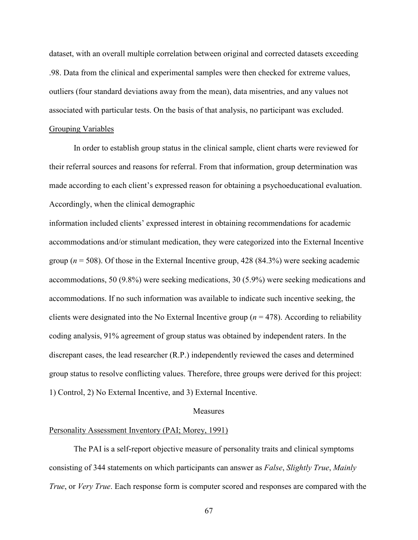dataset, with an overall multiple correlation between original and corrected datasets exceeding .98. Data from the clinical and experimental samples were then checked for extreme values, outliers (four standard deviations away from the mean), data misentries, and any values not associated with particular tests. On the basis of that analysis, no participant was excluded.

# Grouping Variables

In order to establish group status in the clinical sample, client charts were reviewed for their referral sources and reasons for referral. From that information, group determination was made according to each client's expressed reason for obtaining a psychoeducational evaluation. Accordingly, when the clinical demographic

information included clients' expressed interest in obtaining recommendations for academic accommodations and/or stimulant medication, they were categorized into the External Incentive group ( $n = 508$ ). Of those in the External Incentive group, 428 (84.3%) were seeking academic accommodations, 50 (9.8%) were seeking medications, 30 (5.9%) were seeking medications and accommodations. If no such information was available to indicate such incentive seeking, the clients were designated into the No External Incentive group  $(n = 478)$ . According to reliability coding analysis, 91% agreement of group status was obtained by independent raters. In the discrepant cases, the lead researcher (R.P.) independently reviewed the cases and determined group status to resolve conflicting values. Therefore, three groups were derived for this project: 1) Control, 2) No External Incentive, and 3) External Incentive.

## **Measures**

# Personality Assessment Inventory (PAI; Morey, 1991)

The PAI is a self-report objective measure of personality traits and clinical symptoms consisting of 344 statements on which participants can answer as *False*, *Slightly True*, *Mainly True*, or *Very True*. Each response form is computer scored and responses are compared with the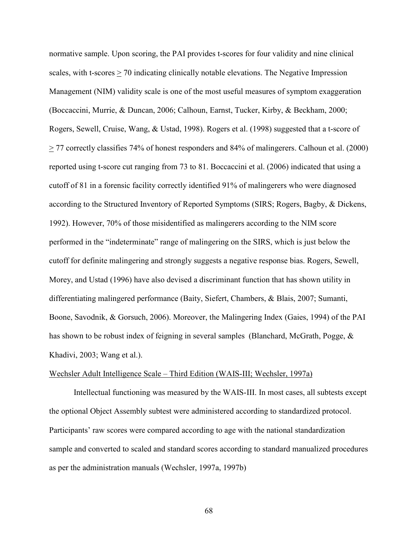normative sample. Upon scoring, the PAI provides t-scores for four validity and nine clinical scales, with t-scores > 70 indicating clinically notable elevations. The Negative Impression Management (NIM) validity scale is one of the most useful measures of symptom exaggeration (Boccaccini, Murrie, & Duncan, 2006; Calhoun, Earnst, Tucker, Kirby, & Beckham, 2000; Rogers, Sewell, Cruise, Wang, & Ustad, 1998). Rogers et al. (1998) suggested that a t-score of > 77 correctly classifies 74% of honest responders and 84% of malingerers. Calhoun et al. (2000) reported using t-score cut ranging from 73 to 81. Boccaccini et al. (2006) indicated that using a cutoff of 81 in a forensic facility correctly identified 91% of malingerers who were diagnosed according to the Structured Inventory of Reported Symptoms (SIRS; Rogers, Bagby, & Dickens, 1992). However, 70% of those misidentified as malingerers according to the NIM score performed in the "indeterminate" range of malingering on the SIRS, which is just below the cutoff for definite malingering and strongly suggests a negative response bias. Rogers, Sewell, Morey, and Ustad (1996) have also devised a discriminant function that has shown utility in differentiating malingered performance (Baity, Siefert, Chambers, & Blais, 2007; Sumanti, Boone, Savodnik, & Gorsuch, 2006). Moreover, the Malingering Index (Gaies, 1994) of the PAI has shown to be robust index of feigning in several samples (Blanchard, McGrath, Pogge, & Khadivi, 2003; Wang et al.).

### Wechsler Adult Intelligence Scale – Third Edition (WAIS-III; Wechsler, 1997a)

Intellectual functioning was measured by the WAIS-III. In most cases, all subtests except the optional Object Assembly subtest were administered according to standardized protocol. Participants' raw scores were compared according to age with the national standardization sample and converted to scaled and standard scores according to standard manualized procedures as per the administration manuals (Wechsler, 1997a, 1997b)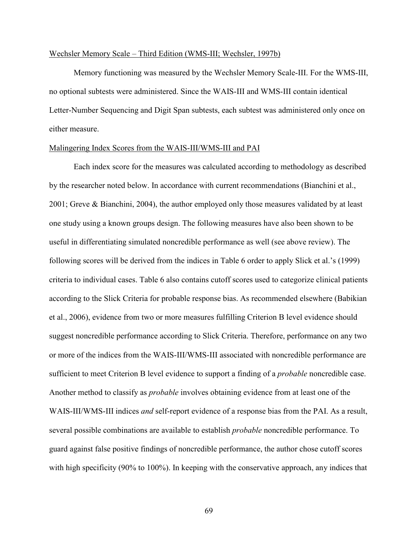## Wechsler Memory Scale – Third Edition (WMS-III; Wechsler, 1997b)

Memory functioning was measured by the Wechsler Memory Scale-III. For the WMS-III, no optional subtests were administered. Since the WAIS-III and WMS-III contain identical Letter-Number Sequencing and Digit Span subtests, each subtest was administered only once on either measure.

## Malingering Index Scores from the WAIS-III/WMS-III and PAI

Each index score for the measures was calculated according to methodology as described by the researcher noted below. In accordance with current recommendations (Bianchini et al., 2001; Greve & Bianchini, 2004), the author employed only those measures validated by at least one study using a known groups design. The following measures have also been shown to be useful in differentiating simulated noncredible performance as well (see above review). The following scores will be derived from the indices in Table 6 order to apply Slick et al.'s (1999) criteria to individual cases. Table 6 also contains cutoff scores used to categorize clinical patients according to the Slick Criteria for probable response bias. As recommended elsewhere (Babikian et al., 2006), evidence from two or more measures fulfilling Criterion B level evidence should suggest noncredible performance according to Slick Criteria. Therefore, performance on any two or more of the indices from the WAIS-III/WMS-III associated with noncredible performance are sufficient to meet Criterion B level evidence to support a finding of a *probable* noncredible case. Another method to classify as *probable* involves obtaining evidence from at least one of the WAIS-III/WMS-III indices *and* self-report evidence of a response bias from the PAI. As a result, several possible combinations are available to establish *probable* noncredible performance. To guard against false positive findings of noncredible performance, the author chose cutoff scores with high specificity (90% to 100%). In keeping with the conservative approach, any indices that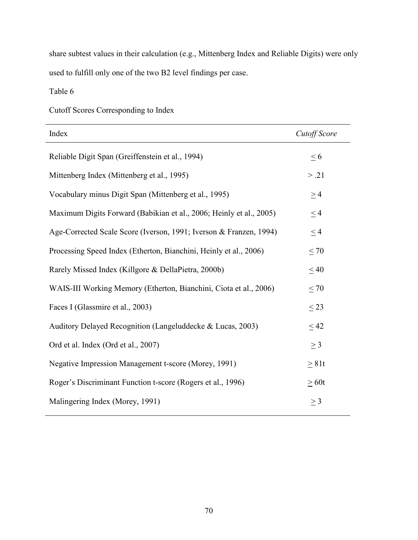share subtest values in their calculation (e.g., Mittenberg Index and Reliable Digits) were only used to fulfill only one of the two B2 level findings per case.

Table 6

| Index                                                               | Cutoff Score |
|---------------------------------------------------------------------|--------------|
| Reliable Digit Span (Greiffenstein et al., 1994)                    | $\leq 6$     |
| Mittenberg Index (Mittenberg et al., 1995)                          | > .21        |
| Vocabulary minus Digit Span (Mittenberg et al., 1995)               | $\geq$ 4     |
| Maximum Digits Forward (Babikian et al., 2006; Heinly et al., 2005) | $\leq$ 4     |
| Age-Corrected Scale Score (Iverson, 1991; Iverson & Franzen, 1994)  | $\leq$ 4     |
| Processing Speed Index (Etherton, Bianchini, Heinly et al., 2006)   | $\leq 70$    |
| Rarely Missed Index (Killgore & DellaPietra, 2000b)                 | $\leq 40$    |
| WAIS-III Working Memory (Etherton, Bianchini, Ciota et al., 2006)   | $\leq 70$    |
| Faces I (Glassmire et al., 2003)                                    | $\leq$ 23    |
| Auditory Delayed Recognition (Langeluddecke & Lucas, 2003)          | < 42         |
| Ord et al. Index (Ord et al., 2007)                                 | $\geq$ 3     |
| Negative Impression Management t-score (Morey, 1991)                | $\geq 81t$   |
| Roger's Discriminant Function t-score (Rogers et al., 1996)         | >60t         |
| Malingering Index (Morey, 1991)                                     | $\geq$ 3     |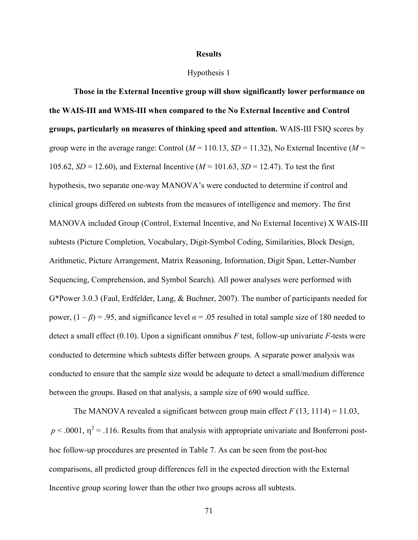#### **Results**

## Hypothesis 1

**Those in the External Incentive group will show significantly lower performance on the WAIS-III and WMS-III when compared to the No External Incentive and Control groups, particularly on measures of thinking speed and attention.** WAIS-III FSIQ scores by group were in the average range: Control  $(M = 110.13, SD = 11.32)$ , No External Incentive  $(M =$ 105.62, *SD* = 12.60), and External Incentive (*M* = 101.63, *SD* = 12.47). To test the first hypothesis, two separate one-way MANOVA's were conducted to determine if control and clinical groups differed on subtests from the measures of intelligence and memory. The first MANOVA included Group (Control, External Incentive, and No External Incentive) X WAIS-III subtests (Picture Completion, Vocabulary, Digit-Symbol Coding, Similarities, Block Design, Arithmetic, Picture Arrangement, Matrix Reasoning, Information, Digit Span, Letter-Number Sequencing, Comprehension, and Symbol Search). All power analyses were performed with G\*Power 3.0.3 (Faul, Erdfelder, Lang, & Buchner, 2007). The number of participants needed for power,  $(1 - \beta) = .95$ , and significance level  $\alpha = .05$  resulted in total sample size of 180 needed to detect a small effect (0.10). Upon a significant omnibus *F* test, follow-up univariate *F*-tests were conducted to determine which subtests differ between groups. A separate power analysis was conducted to ensure that the sample size would be adequate to detect a small/medium difference between the groups. Based on that analysis, a sample size of 690 would suffice.

The MANOVA revealed a significant between group main effect  $F(13, 1114) = 11.03$ ,  $p < .0001$ ,  $\eta^2 = .116$ . Results from that analysis with appropriate univariate and Bonferroni posthoc follow-up procedures are presented in Table 7. As can be seen from the post-hoc comparisons, all predicted group differences fell in the expected direction with the External Incentive group scoring lower than the other two groups across all subtests.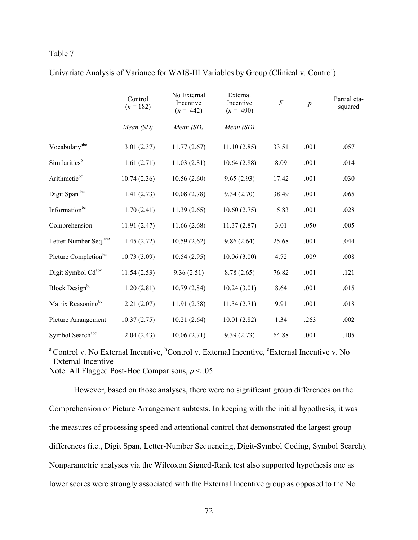|                                   | Control<br>$(n = 182)$ | No External<br>Incentive<br>$(n = 442)$ | External<br>Incentive<br>$(n = 490)$ | $\boldsymbol{F}$ | $\boldsymbol{p}$ | Partial eta-<br>squared |
|-----------------------------------|------------------------|-----------------------------------------|--------------------------------------|------------------|------------------|-------------------------|
|                                   | Mean (SD)              | Mean (SD)                               | Mean (SD)                            |                  |                  |                         |
| Vocabulary <sup>abc</sup>         | 13.01(2.37)            | 11.77(2.67)                             | 11.10(2.85)                          | 33.51            | .001             | .057                    |
| Similarities <sup>b</sup>         | 11.61(2.71)            | 11.03(2.81)                             | 10.64(2.88)                          | 8.09             | .001             | .014                    |
| Arithmeticbc                      | 10.74(2.36)            | 10.56(2.60)                             | 9.65(2.93)                           | 17.42            | .001             | .030                    |
| Digit Spanabc                     | 11.41(2.73)            | 10.08(2.78)                             | 9.34(2.70)                           | 38.49            | .001             | .065                    |
| Informationbc                     | 11.70(2.41)            | 11.39(2.65)                             | 10.60(2.75)                          | 15.83            | .001             | .028                    |
| Comprehension                     | 11.91(2.47)            | 11.66(2.68)                             | 11.37(2.87)                          | 3.01             | .050             | .005                    |
| Letter-Number Seq. <sup>abc</sup> | 11.45(2.72)            | 10.59(2.62)                             | 9.86(2.64)                           | 25.68            | .001             | .044                    |
| Picture Completion <sup>bc</sup>  | 10.73(3.09)            | 10.54(2.95)                             | 10.06(3.00)                          | 4.72             | .009             | .008                    |
| Digit Symbol Cdabc                | 11.54(2.53)            | 9.36(2.51)                              | 8.78(2.65)                           | 76.82            | .001             | .121                    |
| Block Design <sup>bc</sup>        | 11.20(2.81)            | 10.79(2.84)                             | 10.24(3.01)                          | 8.64             | .001             | .015                    |
| Matrix Reasoning <sup>bc</sup>    | 12.21(2.07)            | 11.91(2.58)                             | 11.34(2.71)                          | 9.91             | .001             | .018                    |
| Picture Arrangement               | 10.37(2.75)            | 10.21(2.64)                             | 10.01(2.82)                          | 1.34             | .263             | .002                    |
| Symbol Searchabc                  | 12.04(2.43)            | 10.06(2.71)                             | 9.39(2.73)                           | 64.88            | .001             | .105                    |

Univariate Analysis of Variance for WAIS-III Variables by Group (Clinical v. Control)

<sup>a</sup> Control v. No External Incentive, <sup>b</sup>Control v. External Incentive, <sup>c</sup>External Incentive v. No External Incentive

Note. All Flagged Post-Hoc Comparisons, *p* < .05

However, based on those analyses, there were no significant group differences on the Comprehension or Picture Arrangement subtests. In keeping with the initial hypothesis, it was the measures of processing speed and attentional control that demonstrated the largest group differences (i.e., Digit Span, Letter-Number Sequencing, Digit-Symbol Coding, Symbol Search). Nonparametric analyses via the Wilcoxon Signed-Rank test also supported hypothesis one as lower scores were strongly associated with the External Incentive group as opposed to the No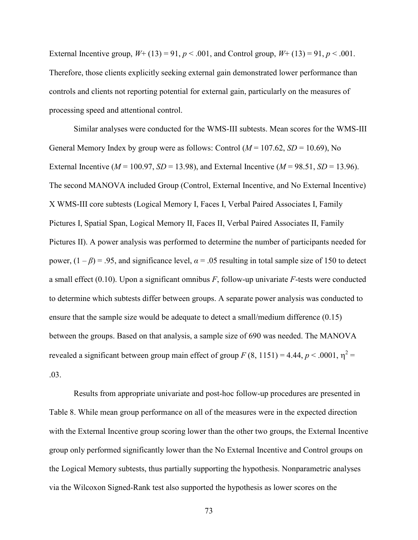External Incentive group,  $W + (13) = 91$ ,  $p < .001$ , and Control group,  $W + (13) = 91$ ,  $p < .001$ . Therefore, those clients explicitly seeking external gain demonstrated lower performance than controls and clients not reporting potential for external gain, particularly on the measures of processing speed and attentional control.

 Similar analyses were conducted for the WMS-III subtests. Mean scores for the WMS-III General Memory Index by group were as follows: Control  $(M = 107.62, SD = 10.69)$ , No External Incentive ( $M = 100.97$ ,  $SD = 13.98$ ), and External Incentive ( $M = 98.51$ ,  $SD = 13.96$ ). The second MANOVA included Group (Control, External Incentive, and No External Incentive) X WMS-III core subtests (Logical Memory I, Faces I, Verbal Paired Associates I, Family Pictures I, Spatial Span, Logical Memory II, Faces II, Verbal Paired Associates II, Family Pictures II). A power analysis was performed to determine the number of participants needed for power,  $(1 - \beta) = .95$ , and significance level,  $\alpha = .05$  resulting in total sample size of 150 to detect a small effect (0.10). Upon a significant omnibus *F*, follow-up univariate *F*-tests were conducted to determine which subtests differ between groups. A separate power analysis was conducted to ensure that the sample size would be adequate to detect a small/medium difference (0.15) between the groups. Based on that analysis, a sample size of 690 was needed. The MANOVA revealed a significant between group main effect of group  $F(8, 1151) = 4.44$ ,  $p < .0001$ ,  $\eta^2 =$ .03.

Results from appropriate univariate and post-hoc follow-up procedures are presented in Table 8. While mean group performance on all of the measures were in the expected direction with the External Incentive group scoring lower than the other two groups, the External Incentive group only performed significantly lower than the No External Incentive and Control groups on the Logical Memory subtests, thus partially supporting the hypothesis. Nonparametric analyses via the Wilcoxon Signed-Rank test also supported the hypothesis as lower scores on the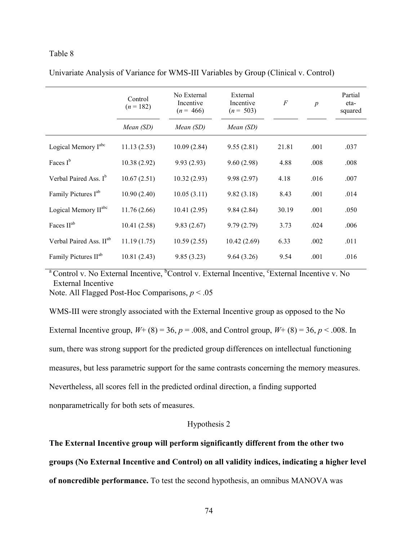|                                     | Control<br>$(n = 182)$ | No External<br>Incentive<br>$(n = 466)$ | External<br>Incentive<br>$(n = 503)$ | $\overline{F}$ | $\overline{p}$ | Partial<br>eta-<br>squared |
|-------------------------------------|------------------------|-----------------------------------------|--------------------------------------|----------------|----------------|----------------------------|
|                                     | Mean (SD)              | Mean (SD)                               | Mean (SD)                            |                |                |                            |
| Logical Memory I <sup>abc</sup>     | 11.13(2.53)            | 10.09(2.84)                             | 9.55(2.81)                           | 21.81          | .001           | .037                       |
| Faces $I^b$                         | 10.38(2.92)            | 9.93(2.93)                              | 9.60(2.98)                           | 4.88           | .008           | .008                       |
| Verbal Paired Ass. I <sup>b</sup>   | 10.67(2.51)            | 10.32(2.93)                             | 9.98(2.97)                           | 4.18           | .016           | .007                       |
| Family Pictures I <sup>ab</sup>     | 10.90(2.40)            | 10.05(3.11)                             | 9.82(3.18)                           | 8.43           | .001           | .014                       |
| Logical Memory II <sup>abc</sup>    | 11.76(2.66)            | 10.41(2.95)                             | 9.84(2.84)                           | 30.19          | .001           | .050                       |
| Faces II <sup>ab</sup>              | 10.41(2.58)            | 9.83(2.67)                              | 9.79(2.79)                           | 3.73           | .024           | .006                       |
| Verbal Paired Ass. II <sup>ab</sup> | 11.19(1.75)            | 10.59(2.55)                             | 10.42(2.69)                          | 6.33           | .002           | .011                       |
| Family Pictures II <sup>ab</sup>    | 10.81(2.43)            | 9.85(3.23)                              | 9.64(3.26)                           | 9.54           | .001           | .016                       |

Univariate Analysis of Variance for WMS-III Variables by Group (Clinical v. Control)

<sup>a</sup> Control v. No External Incentive, <sup>b</sup>Control v. External Incentive, <sup>c</sup>External Incentive v. No External Incentive

Note. All Flagged Post-Hoc Comparisons, *p* < .05

WMS-III were strongly associated with the External Incentive group as opposed to the No External Incentive group,  $W+ (8) = 36$ ,  $p = .008$ , and Control group,  $W+ (8) = 36$ ,  $p < .008$ . In sum, there was strong support for the predicted group differences on intellectual functioning measures, but less parametric support for the same contrasts concerning the memory measures. Nevertheless, all scores fell in the predicted ordinal direction, a finding supported nonparametrically for both sets of measures.

# Hypothesis 2

**The External Incentive group will perform significantly different from the other two groups (No External Incentive and Control) on all validity indices, indicating a higher level of noncredible performance.** To test the second hypothesis, an omnibus MANOVA was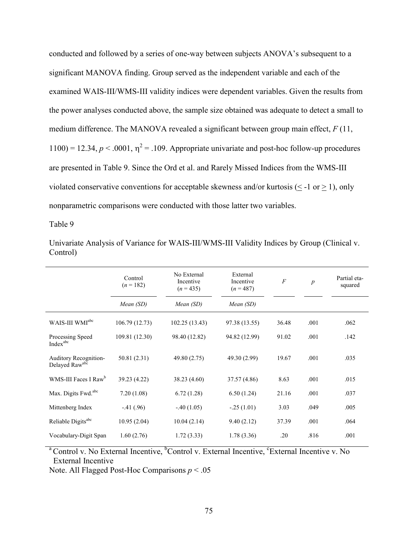conducted and followed by a series of one-way between subjects ANOVA's subsequent to a significant MANOVA finding. Group served as the independent variable and each of the examined WAIS-III/WMS-III validity indices were dependent variables. Given the results from the power analyses conducted above, the sample size obtained was adequate to detect a small to medium difference. The MANOVA revealed a significant between group main effect, *F* (11, 1100) = 12.34,  $p < .0001$ ,  $\eta^2 = .109$ . Appropriate univariate and post-hoc follow-up procedures are presented in Table 9. Since the Ord et al. and Rarely Missed Indices from the WMS-III violated conservative conventions for acceptable skewness and/or kurtosis  $(< -1$  or  $> 1$ ), only nonparametric comparisons were conducted with those latter two variables.

Table 9

|                                                | Control<br>$(n = 182)$ | No External<br>Incentive<br>$(n = 435)$ | External<br>Incentive<br>$(n = 487)$ | $\boldsymbol{F}$ | $\boldsymbol{p}$ | Partial eta-<br>squared |
|------------------------------------------------|------------------------|-----------------------------------------|--------------------------------------|------------------|------------------|-------------------------|
|                                                | Mean (SD)              | Mean(SD)                                | Mean (SD)                            |                  |                  |                         |
| WAIS-III WMI <sup>abc</sup>                    | 106.79 (12.73)         | 102.25 (13.43)                          | 97.38 (13.55)                        | 36.48            | .001             | .062                    |
| Processing Speed<br>Indexabe                   | 109.81 (12.30)         | 98.40 (12.82)                           | 94.82 (12.99)                        | 91.02            | .001             | .142                    |
| <b>Auditory Recognition-</b><br>Delayed Rawabc | 50.81 (2.31)           | 49.80 (2.75)                            | 49.30 (2.99)                         | 19.67            | .001             | .035                    |
| WMS-III Faces I Raw <sup>b</sup>               | 39.23 (4.22)           | 38.23 (4.60)                            | 37.57 (4.86)                         | 8.63             | .001             | .015                    |
| Max. Digits Fwd. <sup>abc</sup>                | 7.20(1.08)             | 6.72(1.28)                              | 6.50(1.24)                           | 21.16            | .001             | .037                    |
| Mittenberg Index                               | $-41(.96)$             | $-.40(1.05)$                            | $-.25(1.01)$                         | 3.03             | .049             | .005                    |
| Reliable Digits <sup>abc</sup>                 | 10.95(2.04)            | 10.04(2.14)                             | 9.40(2.12)                           | 37.39            | .001             | .064                    |
| Vocabulary-Digit Span                          | 1.60(2.76)             | 1.72(3.33)                              | 1.78(3.36)                           | .20              | .816             | .001                    |

Univariate Analysis of Variance for WAIS-III/WMS-III Validity Indices by Group (Clinical v. Control)

<sup>a</sup> Control v. No External Incentive, <sup>b</sup>Control v. External Incentive, <sup>c</sup>External Incentive v. No External Incentive

Note. All Flagged Post-Hoc Comparisons *p* < .05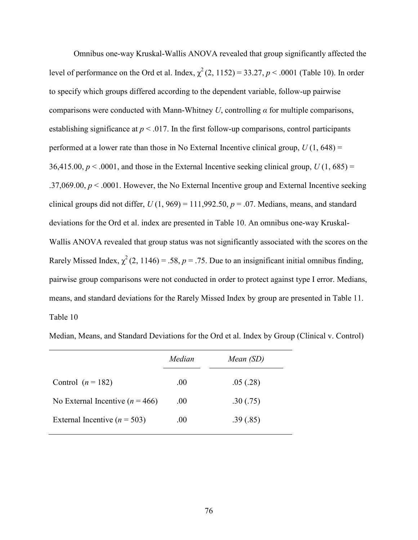Omnibus one-way Kruskal-Wallis ANOVA revealed that group significantly affected the level of performance on the Ord et al. Index,  $\chi^2(2, 1152) = 33.27$ ,  $p < .0001$  (Table 10). In order to specify which groups differed according to the dependent variable, follow-up pairwise comparisons were conducted with Mann-Whitney *U*, controlling *α* for multiple comparisons, establishing significance at  $p < .017$ . In the first follow-up comparisons, control participants performed at a lower rate than those in No External Incentive clinical group,  $U(1, 648) =$ 36,415.00,  $p < .0001$ , and those in the External Incentive seeking clinical group,  $U(1, 685) =$ .37,069.00,  $p < 0.0001$ . However, the No External Incentive group and External Incentive seeking clinical groups did not differ,  $U(1, 969) = 111,992.50, p = .07$ . Medians, means, and standard deviations for the Ord et al. index are presented in Table 10. An omnibus one-way Kruskal-Wallis ANOVA revealed that group status was not significantly associated with the scores on the Rarely Missed Index,  $\chi^2(2, 1146) = .58$ ,  $p = .75$ . Due to an insignificant initial omnibus finding, pairwise group comparisons were not conducted in order to protect against type I error. Medians, means, and standard deviations for the Rarely Missed Index by group are presented in Table 11. Table 10

|                                     | Median | Mean (SD) |
|-------------------------------------|--------|-----------|
| Control $(n = 182)$                 | .00    | .05(.28)  |
| No External Incentive ( $n = 466$ ) | .00.   | .30(.75)  |
| External Incentive ( $n = 503$ )    | .00    | .39(.85)  |
|                                     |        |           |

Median, Means, and Standard Deviations for the Ord et al. Index by Group (Clinical v. Control)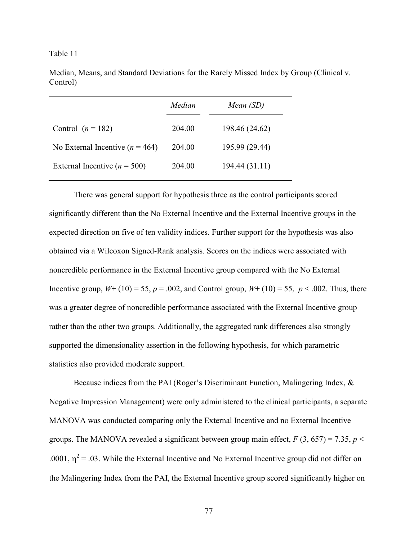Median, Means, and Standard Deviations for the Rarely Missed Index by Group (Clinical v. Control)

|                                     | Median | Mean (SD)      |
|-------------------------------------|--------|----------------|
| Control $(n = 182)$                 | 204.00 | 198.46 (24.62) |
| No External Incentive ( $n = 464$ ) | 204.00 | 195.99 (29.44) |
| External Incentive ( $n = 500$ )    | 204 00 | 194.44 (31.11) |

There was general support for hypothesis three as the control participants scored significantly different than the No External Incentive and the External Incentive groups in the expected direction on five of ten validity indices. Further support for the hypothesis was also obtained via a Wilcoxon Signed-Rank analysis. Scores on the indices were associated with noncredible performance in the External Incentive group compared with the No External Incentive group,  $W + (10) = 55$ ,  $p = .002$ , and Control group,  $W + (10) = 55$ ,  $p < .002$ . Thus, there was a greater degree of noncredible performance associated with the External Incentive group rather than the other two groups. Additionally, the aggregated rank differences also strongly supported the dimensionality assertion in the following hypothesis, for which parametric statistics also provided moderate support.

Because indices from the PAI (Roger's Discriminant Function, Malingering Index, & Negative Impression Management) were only administered to the clinical participants, a separate MANOVA was conducted comparing only the External Incentive and no External Incentive groups. The MANOVA revealed a significant between group main effect,  $F(3, 657) = 7.35$ ,  $p <$ .0001,  $\eta^2$  = .03. While the External Incentive and No External Incentive group did not differ on the Malingering Index from the PAI, the External Incentive group scored significantly higher on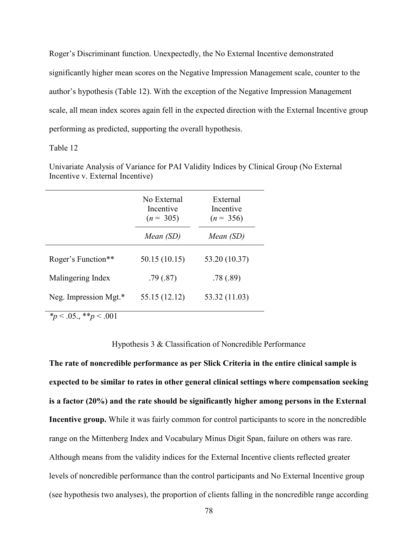Roger's Discriminant function. Unexpectedly, the No External Incentive demonstrated significantly higher mean scores on the Negative Impression Management scale, counter to the author's hypothesis (Table 12). With the exception of the Negative Impression Management scale, all mean index scores again fell in the expected direction with the External Incentive group performing as predicted, supporting the overall hypothesis.

# Table 12

Univariate Analysis of Variance for PAI Validity Indices by Clinical Group (No External Incentive v. External Incentive)

| No External<br>Incentive<br>$(n = 305)$ |               | External<br>Incentive<br>$(n = 356)$ |
|-----------------------------------------|---------------|--------------------------------------|
|                                         | Mean (SD)     | Mean (SD)                            |
| Roger's Function**                      | 50.15 (10.15) | 53.20 (10.37)                        |
| Malingering Index                       | .79(0.87)     | .78(.89)                             |
| Neg. Impression Mgt.*                   | 55.15 (12.12) | 53.32 (11.03)                        |

*\*p* < .05., \*\**p* < .001

Hypothesis 3 & Classification of Noncredible Performance

**The rate of noncredible performance as per Slick Criteria in the entire clinical sample is expected to be similar to rates in other general clinical settings where compensation seeking is a factor (20%) and the rate should be significantly higher among persons in the External Incentive group.** While it was fairly common for control participants to score in the noncredible range on the Mittenberg Index and Vocabulary Minus Digit Span, failure on others was rare. Although means from the validity indices for the External Incentive clients reflected greater levels of noncredible performance than the control participants and No External Incentive group (see hypothesis two analyses), the proportion of clients falling in the noncredible range according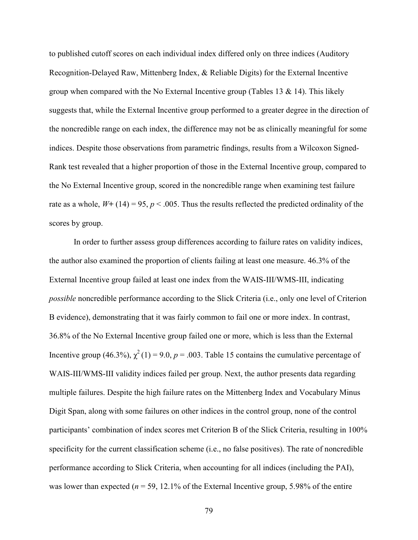to published cutoff scores on each individual index differed only on three indices (Auditory Recognition-Delayed Raw, Mittenberg Index, & Reliable Digits) for the External Incentive group when compared with the No External Incentive group (Tables 13  $\&$  14). This likely suggests that, while the External Incentive group performed to a greater degree in the direction of the noncredible range on each index, the difference may not be as clinically meaningful for some indices. Despite those observations from parametric findings, results from a Wilcoxon Signed-Rank test revealed that a higher proportion of those in the External Incentive group, compared to the No External Incentive group, scored in the noncredible range when examining test failure rate as a whole,  $W$ **+** (14) = 95,  $p$  < .005. Thus the results reflected the predicted ordinality of the scores by group.

In order to further assess group differences according to failure rates on validity indices, the author also examined the proportion of clients failing at least one measure. 46.3% of the External Incentive group failed at least one index from the WAIS-III/WMS-III, indicating *possible* noncredible performance according to the Slick Criteria (i.e., only one level of Criterion B evidence), demonstrating that it was fairly common to fail one or more index. In contrast, 36.8% of the No External Incentive group failed one or more, which is less than the External Incentive group (46.3%),  $\chi^2(1) = 9.0$ ,  $p = .003$ . Table 15 contains the cumulative percentage of WAIS-III/WMS-III validity indices failed per group. Next, the author presents data regarding multiple failures. Despite the high failure rates on the Mittenberg Index and Vocabulary Minus Digit Span, along with some failures on other indices in the control group, none of the control participants' combination of index scores met Criterion B of the Slick Criteria, resulting in 100% specificity for the current classification scheme (i.e., no false positives). The rate of noncredible performance according to Slick Criteria, when accounting for all indices (including the PAI), was lower than expected ( $n = 59$ , 12.1% of the External Incentive group, 5.98% of the entire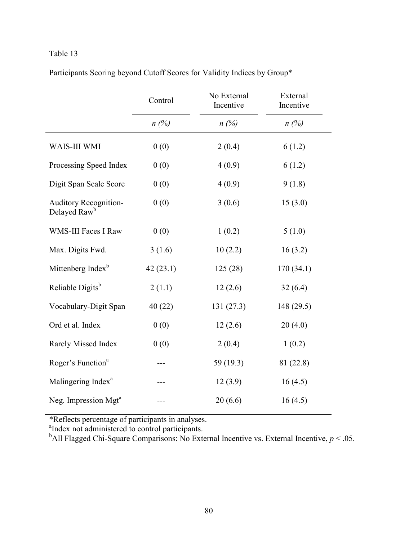|  |  | Participants Scoring beyond Cutoff Scores for Validity Indices by Group* |
|--|--|--------------------------------------------------------------------------|
|  |  |                                                                          |

|                                                          | Control  | No External<br>Incentive | External<br>Incentive |
|----------------------------------------------------------|----------|--------------------------|-----------------------|
|                                                          | $n(\%)$  | $n(\%)$                  | $n(\%)$               |
| WAIS-III WMI                                             | 0(0)     | 2(0.4)                   | 6(1.2)                |
| Processing Speed Index                                   | 0(0)     | 4(0.9)                   | 6(1.2)                |
| Digit Span Scale Score                                   | 0(0)     | 4(0.9)                   | 9(1.8)                |
| <b>Auditory Recognition-</b><br>Delayed Raw <sup>b</sup> | 0(0)     | 3(0.6)                   | 15(3.0)               |
| <b>WMS-III Faces I Raw</b>                               | 0(0)     | 1(0.2)                   | 5(1.0)                |
| Max. Digits Fwd.                                         | 3(1.6)   | 10(2.2)                  | 16(3.2)               |
| Mittenberg Index <sup>b</sup>                            | 42(23.1) | 125(28)                  | 170(34.1)             |
| Reliable Digits <sup>b</sup>                             | 2(1.1)   | 12(2.6)                  | 32(6.4)               |
| Vocabulary-Digit Span                                    | 40(22)   | 131(27.3)                | 148 (29.5)            |
| Ord et al. Index                                         | 0(0)     | 12(2.6)                  | 20(4.0)               |
| Rarely Missed Index                                      | 0(0)     | 2(0.4)                   | 1(0.2)                |
| Roger's Function <sup>a</sup>                            | ---      | 59 (19.3)                | 81 (22.8)             |
| Malingering Index <sup>a</sup>                           |          | 12(3.9)                  | 16(4.5)               |
| Neg. Impression Mgt <sup>a</sup>                         |          | 20(6.6)                  | 16(4.5)               |

\*Reflects percentage of participants in analyses. a Index not administered to control participants.

<sup>b</sup>All Flagged Chi-Square Comparisons: No External Incentive vs. External Incentive,  $p < 0.05$ .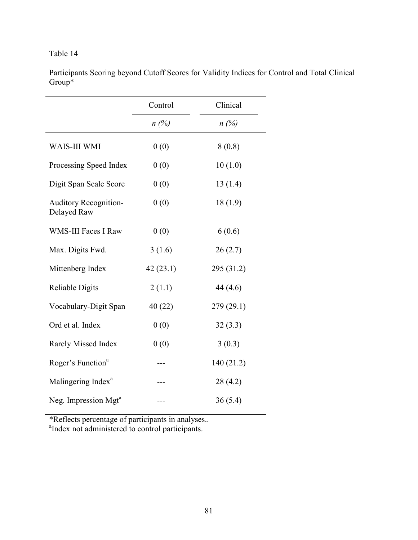Participants Scoring beyond Cutoff Scores for Validity Indices for Control and Total Clinical Group\*

|                                             | Control  | Clinical   |
|---------------------------------------------|----------|------------|
|                                             | $n(\%)$  | $n(\%)$    |
| WAIS-III WMI                                | 0(0)     | 8(0.8)     |
| Processing Speed Index                      | 0(0)     | 10(1.0)    |
| Digit Span Scale Score                      | 0(0)     | 13(1.4)    |
| <b>Auditory Recognition-</b><br>Delayed Raw | 0(0)     | 18(1.9)    |
| <b>WMS-III Faces I Raw</b>                  | 0(0)     | 6(0.6)     |
| Max. Digits Fwd.                            | 3(1.6)   | 26(2.7)    |
| Mittenberg Index                            | 42(23.1) | 295 (31.2) |
| <b>Reliable Digits</b>                      | 2(1.1)   | 44 (4.6)   |
| Vocabulary-Digit Span                       | 40(22)   | 279 (29.1) |
| Ord et al. Index                            | 0(0)     | 32(3.3)    |
| Rarely Missed Index                         | 0(0)     | 3(0.3)     |
| Roger's Function <sup>a</sup>               |          | 140 (21.2) |
| Malingering Index <sup>a</sup>              |          | 28(4.2)    |
| Neg. Impression Mgt <sup>a</sup>            |          | 36(5.4)    |

\*Reflects percentage of participants in analyses.. a Index not administered to control participants.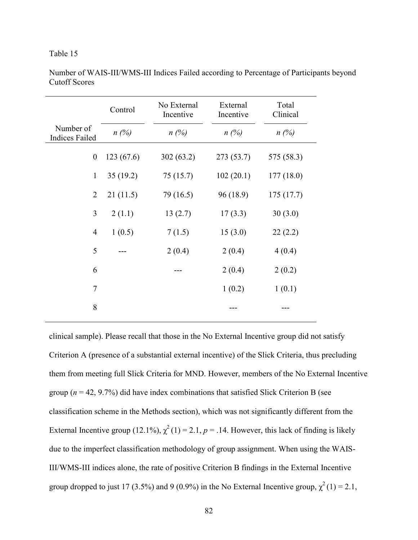|                                    | Control   | No External<br>Incentive | External<br>Incentive | Total<br>Clinical |
|------------------------------------|-----------|--------------------------|-----------------------|-------------------|
| Number of<br><b>Indices Failed</b> | $n(\%)$   | $n(\%)$                  | $n(\%)$               | $n(\%)$           |
| $\boldsymbol{0}$                   | 123(67.6) | 302(63.2)                | 273 (53.7)            | 575 (58.3)        |
| $\mathbf{1}$                       | 35(19.2)  | 75 (15.7)                | 102(20.1)             | 177(18.0)         |
| $\overline{2}$                     | 21(11.5)  | 79 (16.5)                | 96 (18.9)             | 175(17.7)         |
| 3                                  | 2(1.1)    | 13(2.7)                  | 17(3.3)               | 30(3.0)           |
| $\overline{4}$                     | 1(0.5)    | 7(1.5)                   | 15(3.0)               | 22(2.2)           |
| 5                                  |           | 2(0.4)                   | 2(0.4)                | 4(0.4)            |
| 6                                  |           |                          | 2(0.4)                | 2(0.2)            |
| $\tau$                             |           |                          | 1(0.2)                | 1(0.1)            |
| 8                                  |           |                          |                       |                   |

Number of WAIS-III/WMS-III Indices Failed according to Percentage of Participants beyond Cutoff Scores

clinical sample). Please recall that those in the No External Incentive group did not satisfy Criterion A (presence of a substantial external incentive) of the Slick Criteria, thus precluding them from meeting full Slick Criteria for MND. However, members of the No External Incentive group ( $n = 42, 9.7\%$ ) did have index combinations that satisfied Slick Criterion B (see classification scheme in the Methods section), which was not significantly different from the External Incentive group (12.1%),  $\chi^2(1) = 2.1$ ,  $p = .14$ . However, this lack of finding is likely due to the imperfect classification methodology of group assignment. When using the WAIS-III/WMS-III indices alone, the rate of positive Criterion B findings in the External Incentive group dropped to just 17 (3.5%) and 9 (0.9%) in the No External Incentive group,  $\chi^2(1) = 2.1$ ,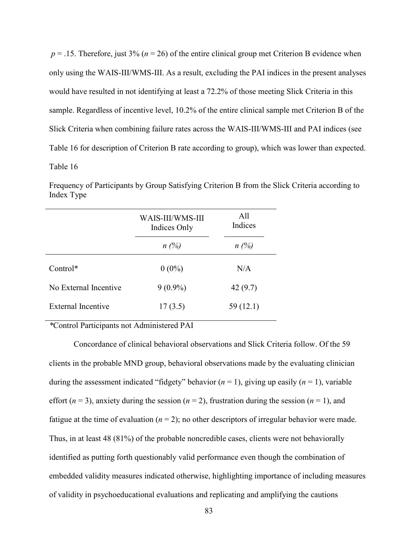$p = 0.15$ . Therefore, just 3% ( $n = 26$ ) of the entire clinical group met Criterion B evidence when only using the WAIS-III/WMS-III. As a result, excluding the PAI indices in the present analyses would have resulted in not identifying at least a 72.2% of those meeting Slick Criteria in this sample. Regardless of incentive level, 10.2% of the entire clinical sample met Criterion B of the Slick Criteria when combining failure rates across the WAIS-III/WMS-III and PAI indices (see Table 16 for description of Criterion B rate according to group), which was lower than expected. Table 16

Frequency of Participants by Group Satisfying Criterion B from the Slick Criteria according to Index Type

|                       | WAIS-III/WMS-III<br>Indices Only | All<br>Indices |
|-----------------------|----------------------------------|----------------|
|                       | $n(\%)$                          | $n(\%)$        |
| $Control*$            | $0(0\%)$                         | N/A            |
| No External Incentive | $9(0.9\%)$                       | 42(9.7)        |
| External Incentive    | 17(3.5)                          | 59 (12.1)      |

*\**Control Participants not Administered PAI

Concordance of clinical behavioral observations and Slick Criteria follow. Of the 59 clients in the probable MND group, behavioral observations made by the evaluating clinician during the assessment indicated "fidgety" behavior  $(n = 1)$ , giving up easily  $(n = 1)$ , variable effort  $(n = 3)$ , anxiety during the session  $(n = 2)$ , frustration during the session  $(n = 1)$ , and fatigue at the time of evaluation  $(n = 2)$ ; no other descriptors of irregular behavior were made. Thus, in at least 48 (81%) of the probable noncredible cases, clients were not behaviorally identified as putting forth questionably valid performance even though the combination of embedded validity measures indicated otherwise, highlighting importance of including measures of validity in psychoeducational evaluations and replicating and amplifying the cautions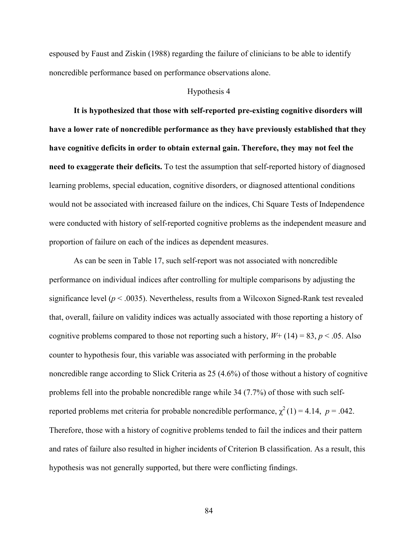espoused by Faust and Ziskin (1988) regarding the failure of clinicians to be able to identify noncredible performance based on performance observations alone.

### Hypothesis 4

**It is hypothesized that those with self-reported pre-existing cognitive disorders will have a lower rate of noncredible performance as they have previously established that they have cognitive deficits in order to obtain external gain. Therefore, they may not feel the need to exaggerate their deficits.** To test the assumption that self-reported history of diagnosed learning problems, special education, cognitive disorders, or diagnosed attentional conditions would not be associated with increased failure on the indices, Chi Square Tests of Independence were conducted with history of self-reported cognitive problems as the independent measure and proportion of failure on each of the indices as dependent measures.

As can be seen in Table 17, such self-report was not associated with noncredible performance on individual indices after controlling for multiple comparisons by adjusting the significance level  $(p < .0035)$ . Nevertheless, results from a Wilcoxon Signed-Rank test revealed that, overall, failure on validity indices was actually associated with those reporting a history of cognitive problems compared to those not reporting such a history,  $W + (14) = 83$ ,  $p < .05$ . Also counter to hypothesis four, this variable was associated with performing in the probable noncredible range according to Slick Criteria as 25 (4.6%) of those without a history of cognitive problems fell into the probable noncredible range while 34 (7.7%) of those with such selfreported problems met criteria for probable noncredible performance,  $\chi^2(1) = 4.14$ ,  $p = .042$ . Therefore, those with a history of cognitive problems tended to fail the indices and their pattern and rates of failure also resulted in higher incidents of Criterion B classification. As a result, this hypothesis was not generally supported, but there were conflicting findings.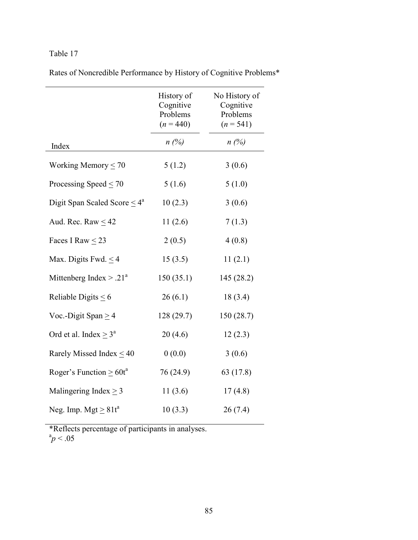|  |  |  |  | Rates of Noncredible Performance by History of Cognitive Problems* |
|--|--|--|--|--------------------------------------------------------------------|
|  |  |  |  |                                                                    |

|                                    | History of<br>Cognitive<br>Problems<br>$(n = 440)$ | No History of<br>Cognitive<br>Problems<br>$(n = 541)$ |
|------------------------------------|----------------------------------------------------|-------------------------------------------------------|
| Index                              | $n(\%)$                                            | $n(\%)$                                               |
| Working Memory $\leq 70$           | 5(1.2)                                             | 3(0.6)                                                |
| Processing Speed $\leq$ 70         | 5(1.6)                                             | 5(1.0)                                                |
| Digit Span Scaled Score $\leq 4^a$ | 10(2.3)                                            | 3(0.6)                                                |
| Aud. Rec. Raw $\leq$ 42            | 11(2.6)                                            | 7(1.3)                                                |
| Faces I Raw $\leq$ 23              | 2(0.5)                                             | 4(0.8)                                                |
| Max. Digits Fwd. $\leq$ 4          | 15(3.5)                                            | 11(2.1)                                               |
| Mittenberg Index $> .21a$          | 150(35.1)                                          | 145(28.2)                                             |
| Reliable Digits $\leq 6$           | 26(6.1)                                            | 18(3.4)                                               |
| Voc.-Digit Span $\geq$ 4           | 128(29.7)                                          | 150(28.7)                                             |
| Ord et al. Index $\geq 3^a$        | 20(4.6)                                            | 12(2.3)                                               |
| Rarely Missed Index $\leq 40$      | 0(0.0)                                             | 3(0.6)                                                |
| Roger's Function $\geq 60t^a$      | 76 (24.9)                                          | 63 (17.8)                                             |
| Malingering Index $\geq$ 3         | 11(3.6)                                            | 17(4.8)                                               |
| Neg. Imp. Mgt $\geq 81t^a$         | 10(3.3)                                            | 26(7.4)                                               |

\*Reflects percentage of participants in analyses.<br> ${}^{a}p$  < .05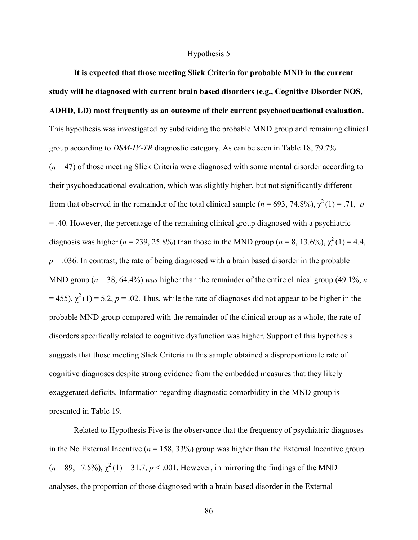### Hypothesis 5

**It is expected that those meeting Slick Criteria for probable MND in the current study will be diagnosed with current brain based disorders (e.g., Cognitive Disorder NOS, ADHD, LD) most frequently as an outcome of their current psychoeducational evaluation.**  This hypothesis was investigated by subdividing the probable MND group and remaining clinical group according to *DSM-IV-TR* diagnostic category. As can be seen in Table 18, 79.7% (*n* = 47) of those meeting Slick Criteria were diagnosed with some mental disorder according to their psychoeducational evaluation, which was slightly higher, but not significantly different from that observed in the remainder of the total clinical sample ( $n = 693, 74.8\%$ ),  $\chi^2(1) = .71$ , *p* = .40. However, the percentage of the remaining clinical group diagnosed with a psychiatric diagnosis was higher ( $n = 239, 25.8\%$ ) than those in the MND group ( $n = 8, 13.6\%$ ),  $\chi^2(1) = 4.4$ ,  $p = 0.036$ . In contrast, the rate of being diagnosed with a brain based disorder in the probable MND group ( $n = 38$ , 64.4%) *was* higher than the remainder of the entire clinical group (49.1%, *n*  $= 455$ ),  $\chi^2(1) = 5.2$ ,  $p = 0.02$ . Thus, while the rate of diagnoses did not appear to be higher in the probable MND group compared with the remainder of the clinical group as a whole, the rate of disorders specifically related to cognitive dysfunction was higher. Support of this hypothesis suggests that those meeting Slick Criteria in this sample obtained a disproportionate rate of cognitive diagnoses despite strong evidence from the embedded measures that they likely exaggerated deficits. Information regarding diagnostic comorbidity in the MND group is presented in Table 19.

Related to Hypothesis Five is the observance that the frequency of psychiatric diagnoses in the No External Incentive ( $n = 158, 33\%$ ) group was higher than the External Incentive group  $(n = 89, 17.5\%)$ ,  $\chi^2(1) = 31.7$ ,  $p < .001$ . However, in mirroring the findings of the MND analyses, the proportion of those diagnosed with a brain-based disorder in the External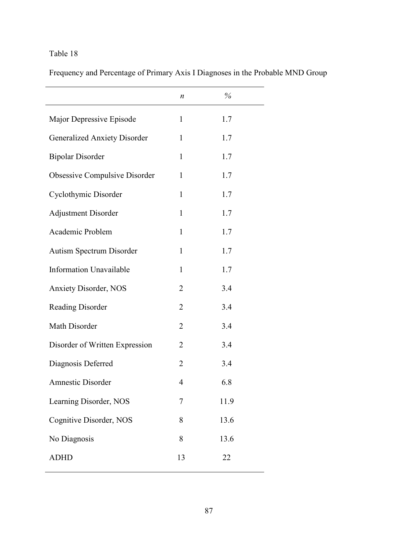Frequency and Percentage of Primary Axis I Diagnoses in the Probable MND Group

|                                     | n              | %    |
|-------------------------------------|----------------|------|
| Major Depressive Episode            | 1              | 1.7  |
| <b>Generalized Anxiety Disorder</b> | 1              | 1.7  |
| <b>Bipolar Disorder</b>             | $\mathbf{1}$   | 1.7  |
| Obsessive Compulsive Disorder       | $\mathbf{1}$   | 1.7  |
| Cyclothymic Disorder                | 1              | 1.7  |
| <b>Adjustment Disorder</b>          | 1              | 1.7  |
| Academic Problem                    | 1              | 1.7  |
| Autism Spectrum Disorder            | 1              | 1.7  |
| <b>Information Unavailable</b>      | $\mathbf{1}$   | 1.7  |
| <b>Anxiety Disorder, NOS</b>        | $\overline{2}$ | 3.4  |
| <b>Reading Disorder</b>             | $\overline{2}$ | 3.4  |
| Math Disorder                       | $\overline{2}$ | 3.4  |
| Disorder of Written Expression      | $\overline{2}$ | 3.4  |
| Diagnosis Deferred                  | $\overline{2}$ | 3.4  |
| <b>Amnestic Disorder</b>            | 4              | 6.8  |
| Learning Disorder, NOS              | 7              | 11.9 |
| Cognitive Disorder, NOS             | 8              | 13.6 |
| No Diagnosis                        | 8              | 13.6 |
| <b>ADHD</b>                         | 13             | 22   |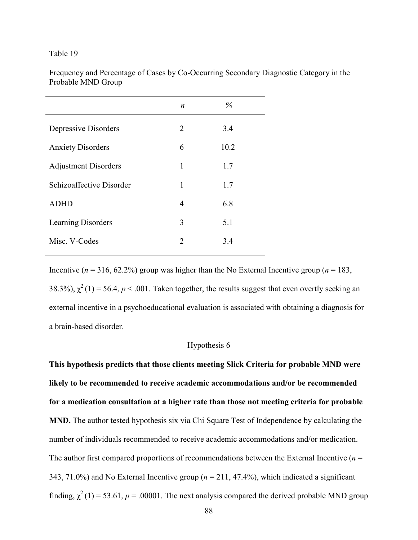| Frequency and Percentage of Cases by Co-Occurring Secondary Diagnostic Category in the |  |
|----------------------------------------------------------------------------------------|--|
| Probable MND Group                                                                     |  |

| $\boldsymbol{n}$ | $\%$ |  |
|------------------|------|--|
| 2                | 3.4  |  |
| 6                | 10.2 |  |
| 1                | 1.7  |  |
| 1                | 1.7  |  |
| 4                | 6.8  |  |
| 3                | 5.1  |  |
| 2                | 3.4  |  |
|                  |      |  |

Incentive ( $n = 316$ , 62.2%) group was higher than the No External Incentive group ( $n = 183$ , 38.3%),  $\chi^2(1)$  = 56.4, *p* < .001. Taken together, the results suggest that even overtly seeking an external incentive in a psychoeducational evaluation is associated with obtaining a diagnosis for a brain-based disorder.

# Hypothesis 6

**This hypothesis predicts that those clients meeting Slick Criteria for probable MND were likely to be recommended to receive academic accommodations and/or be recommended for a medication consultation at a higher rate than those not meeting criteria for probable MND.** The author tested hypothesis six via Chi Square Test of Independence by calculating the number of individuals recommended to receive academic accommodations and/or medication. The author first compared proportions of recommendations between the External Incentive ( $n =$ 343, 71.0%) and No External Incentive group (*n* = 211, 47.4%), which indicated a significant finding,  $\chi^2(1) = 53.61$ ,  $p = .00001$ . The next analysis compared the derived probable MND group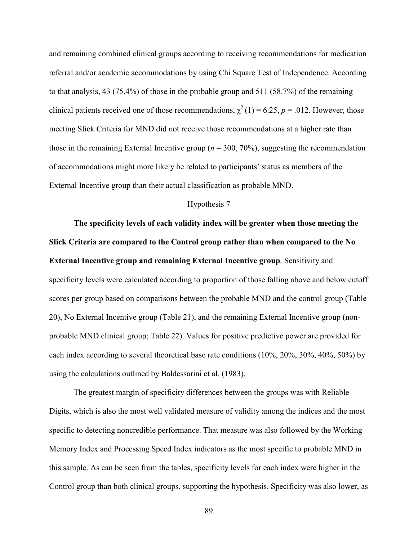and remaining combined clinical groups according to receiving recommendations for medication referral and/or academic accommodations by using Chi Square Test of Independence. According to that analysis, 43 (75.4%) of those in the probable group and 511 (58.7%) of the remaining clinical patients received one of those recommendations,  $\chi^2(1) = 6.25$ ,  $p = .012$ . However, those meeting Slick Criteria for MND did not receive those recommendations at a higher rate than those in the remaining External Incentive group ( $n = 300, 70\%$ ), suggesting the recommendation of accommodations might more likely be related to participants' status as members of the External Incentive group than their actual classification as probable MND.

## Hypothesis 7

**The specificity levels of each validity index will be greater when those meeting the Slick Criteria are compared to the Control group rather than when compared to the No External Incentive group and remaining External Incentive group***.* Sensitivity and specificity levels were calculated according to proportion of those falling above and below cutoff scores per group based on comparisons between the probable MND and the control group (Table 20), No External Incentive group (Table 21), and the remaining External Incentive group (nonprobable MND clinical group; Table 22). Values for positive predictive power are provided for each index according to several theoretical base rate conditions (10%, 20%, 30%, 40%, 50%) by using the calculations outlined by Baldessarini et al. (1983).

The greatest margin of specificity differences between the groups was with Reliable Digits, which is also the most well validated measure of validity among the indices and the most specific to detecting noncredible performance. That measure was also followed by the Working Memory Index and Processing Speed Index indicators as the most specific to probable MND in this sample. As can be seen from the tables, specificity levels for each index were higher in the Control group than both clinical groups, supporting the hypothesis. Specificity was also lower, as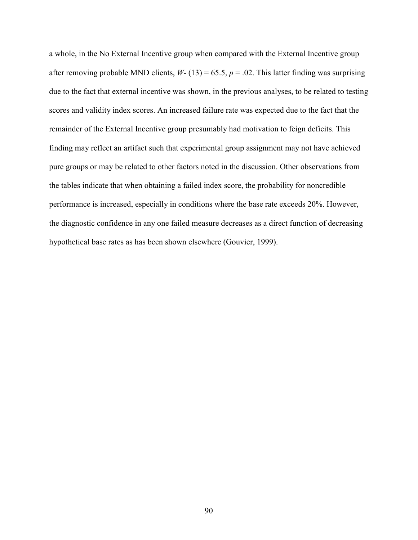a whole, in the No External Incentive group when compared with the External Incentive group after removing probable MND clients,  $W - (13) = 65.5$ ,  $p = .02$ . This latter finding was surprising due to the fact that external incentive was shown, in the previous analyses, to be related to testing scores and validity index scores. An increased failure rate was expected due to the fact that the remainder of the External Incentive group presumably had motivation to feign deficits. This finding may reflect an artifact such that experimental group assignment may not have achieved pure groups or may be related to other factors noted in the discussion. Other observations from the tables indicate that when obtaining a failed index score, the probability for noncredible performance is increased, especially in conditions where the base rate exceeds 20%. However, the diagnostic confidence in any one failed measure decreases as a direct function of decreasing hypothetical base rates as has been shown elsewhere (Gouvier, 1999).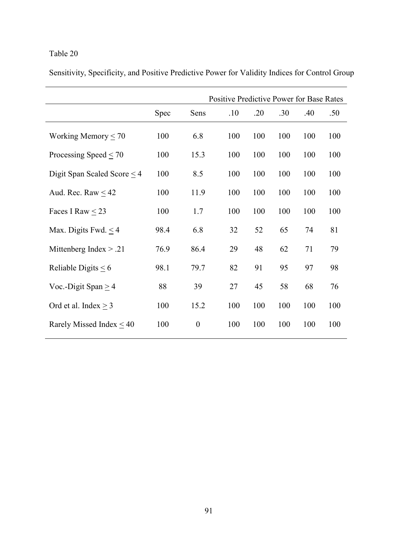Sensitivity, Specificity, and Positive Predictive Power for Validity Indices for Control Group

|                                  |      | Positive Predictive Power for Base Rates |     |     |     |     |     |
|----------------------------------|------|------------------------------------------|-----|-----|-----|-----|-----|
|                                  | Spec | Sens                                     | .10 | .20 | .30 | .40 | .50 |
| Working Memory $\leq 70$         | 100  | 6.8                                      | 100 | 100 | 100 | 100 | 100 |
| Processing Speed $\leq$ 70       | 100  | 15.3                                     | 100 | 100 | 100 | 100 | 100 |
| Digit Span Scaled Score $\leq$ 4 | 100  | 8.5                                      | 100 | 100 | 100 | 100 | 100 |
| Aud. Rec. Raw $\leq 42$          | 100  | 11.9                                     | 100 | 100 | 100 | 100 | 100 |
| Faces I Raw $<$ 23               | 100  | 1.7                                      | 100 | 100 | 100 | 100 | 100 |
| Max. Digits Fwd. $\leq$ 4        | 98.4 | 6.8                                      | 32  | 52  | 65  | 74  | 81  |
| Mittenberg Index $> .21$         | 76.9 | 86.4                                     | 29  | 48  | 62  | 71  | 79  |
| Reliable Digits $< 6$            | 98.1 | 79.7                                     | 82  | 91  | 95  | 97  | 98  |
| Voc.-Digit Span $\geq$ 4         | 88   | 39                                       | 27  | 45  | 58  | 68  | 76  |
| Ord et al. Index $>$ 3           | 100  | 15.2                                     | 100 | 100 | 100 | 100 | 100 |
| Rarely Missed Index $\leq 40$    | 100  | $\boldsymbol{0}$                         | 100 | 100 | 100 | 100 | 100 |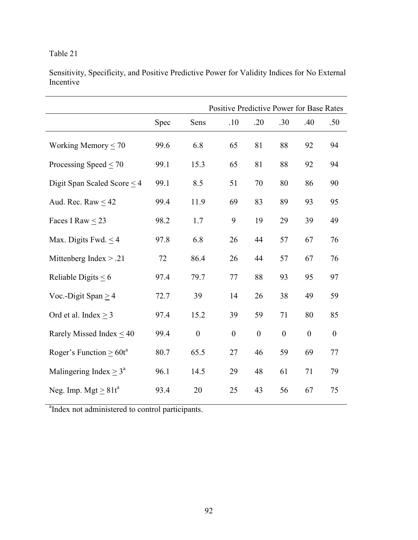Sensitivity, Specificity, and Positive Predictive Power for Validity Indices for No External **Incentive** 

|                               |      |                  | Positive Predictive Power for Base Rates |                  |                  |                  |                  |
|-------------------------------|------|------------------|------------------------------------------|------------------|------------------|------------------|------------------|
|                               | Spec | Sens             | .10                                      | .20              | .30              | .40              | .50              |
| Working Memory $\leq 70$      | 99.6 | 6.8              | 65                                       | 81               | 88               | 92               | 94               |
| Processing Speed $<$ 70       | 99.1 | 15.3             | 65                                       | 81               | 88               | 92               | 94               |
| Digit Span Scaled Score $<$ 4 | 99.1 | 8.5              | 51                                       | 70               | 80               | 86               | 90               |
| Aud. Rec. Raw $\leq$ 42       | 99.4 | 11.9             | 69                                       | 83               | 89               | 93               | 95               |
| Faces I Raw $\leq$ 23         | 98.2 | 1.7              | 9                                        | 19               | 29               | 39               | 49               |
| Max. Digits Fwd. $\leq$ 4     | 97.8 | 6.8              | 26                                       | 44               | 57               | 67               | 76               |
| Mittenberg Index $> .21$      | 72   | 86.4             | 26                                       | 44               | 57               | 67               | 76               |
| Reliable Digits $\leq 6$      | 97.4 | 79.7             | 77                                       | 88               | 93               | 95               | 97               |
| Voc.-Digit Span $\geq$ 4      | 72.7 | 39               | 14                                       | 26               | 38               | 49               | 59               |
| Ord et al. Index $\geq$ 3     | 97.4 | 15.2             | 39                                       | 59               | 71               | 80               | 85               |
| Rarely Missed Index $\leq 40$ | 99.4 | $\boldsymbol{0}$ | $\boldsymbol{0}$                         | $\boldsymbol{0}$ | $\boldsymbol{0}$ | $\boldsymbol{0}$ | $\boldsymbol{0}$ |
| Roger's Function $\geq 60t^a$ | 80.7 | 65.5             | 27                                       | 46               | 59               | 69               | 77               |
| Malingering Index $> 3^a$     | 96.1 | 14.5             | 29                                       | 48               | 61               | 71               | 79               |
| Neg. Imp. Mgt $> 81t^a$       | 93.4 | 20               | 25                                       | 43               | 56               | 67               | 75               |

<sup>a</sup>Index not administered to control participants.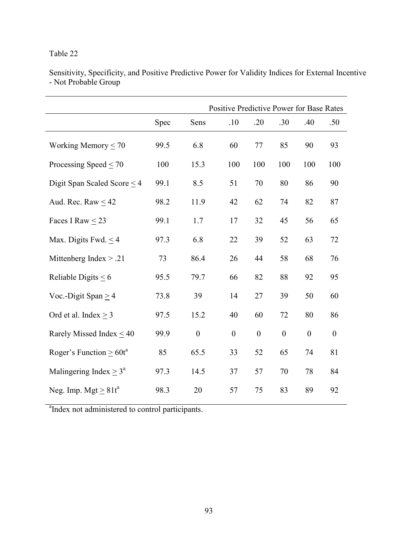|                                  |      |                  | Positive Predictive Power for Base Rates |                  |                  |                  |                  |
|----------------------------------|------|------------------|------------------------------------------|------------------|------------------|------------------|------------------|
|                                  | Spec | Sens             | .10                                      | .20              | .30              | .40              | .50              |
| Working Memory $\leq 70$         | 99.5 | 6.8              | 60                                       | 77               | 85               | 90               | 93               |
| Processing Speed $\leq$ 70       | 100  | 15.3             | 100                                      | 100              | 100              | 100              | 100              |
| Digit Span Scaled Score $\leq$ 4 | 99.1 | 8.5              | 51                                       | 70               | 80               | 86               | 90               |
| Aud. Rec. Raw $\leq$ 42          | 98.2 | 11.9             | 42                                       | 62               | 74               | 82               | 87               |
| Faces I Raw < 23                 | 99.1 | 1.7              | 17                                       | 32               | 45               | 56               | 65               |
| Max. Digits Fwd. $\leq$ 4        | 97.3 | 6.8              | 22                                       | 39               | 52               | 63               | 72               |
| Mittenberg Index $> .21$         | 73   | 86.4             | 26                                       | 44               | 58               | 68               | 76               |
| Reliable Digits $\leq 6$         | 95.5 | 79.7             | 66                                       | 82               | 88               | 92               | 95               |
| Voc.-Digit Span $\geq$ 4         | 73.8 | 39               | 14                                       | 27               | 39               | 50               | 60               |
| Ord et al. Index $\geq$ 3        | 97.5 | 15.2             | 40                                       | 60               | 72               | 80               | 86               |
| Rarely Missed Index $<$ 40       | 99.9 | $\boldsymbol{0}$ | $\boldsymbol{0}$                         | $\boldsymbol{0}$ | $\boldsymbol{0}$ | $\boldsymbol{0}$ | $\boldsymbol{0}$ |
| Roger's Function $\geq 60t^a$    | 85   | 65.5             | 33                                       | 52               | 65               | 74               | 81               |
| Malingering Index $\geq 3^a$     | 97.3 | 14.5             | 37                                       | 57               | 70               | 78               | 84               |
| Neg. Imp. Mgt $\geq 81t^a$       | 98.3 | 20               | 57                                       | 75               | 83               | 89               | 92               |

Sensitivity, Specificity, and Positive Predictive Power for Validity Indices for External Incentive - Not Probable Group

<sup>a</sup>Index not administered to control participants.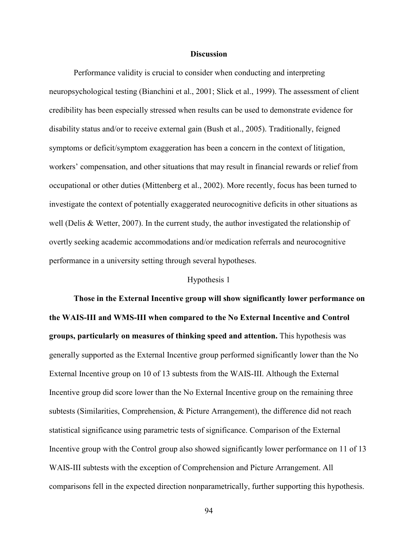## **Discussion**

 Performance validity is crucial to consider when conducting and interpreting neuropsychological testing (Bianchini et al., 2001; Slick et al., 1999). The assessment of client credibility has been especially stressed when results can be used to demonstrate evidence for disability status and/or to receive external gain (Bush et al., 2005). Traditionally, feigned symptoms or deficit/symptom exaggeration has been a concern in the context of litigation, workers' compensation, and other situations that may result in financial rewards or relief from occupational or other duties (Mittenberg et al., 2002). More recently, focus has been turned to investigate the context of potentially exaggerated neurocognitive deficits in other situations as well (Delis & Wetter, 2007). In the current study, the author investigated the relationship of overtly seeking academic accommodations and/or medication referrals and neurocognitive performance in a university setting through several hypotheses.

### Hypothesis 1

**Those in the External Incentive group will show significantly lower performance on the WAIS-III and WMS-III when compared to the No External Incentive and Control groups, particularly on measures of thinking speed and attention.** This hypothesis was generally supported as the External Incentive group performed significantly lower than the No External Incentive group on 10 of 13 subtests from the WAIS-III. Although the External Incentive group did score lower than the No External Incentive group on the remaining three subtests (Similarities, Comprehension, & Picture Arrangement), the difference did not reach statistical significance using parametric tests of significance. Comparison of the External Incentive group with the Control group also showed significantly lower performance on 11 of 13 WAIS-III subtests with the exception of Comprehension and Picture Arrangement. All comparisons fell in the expected direction nonparametrically, further supporting this hypothesis.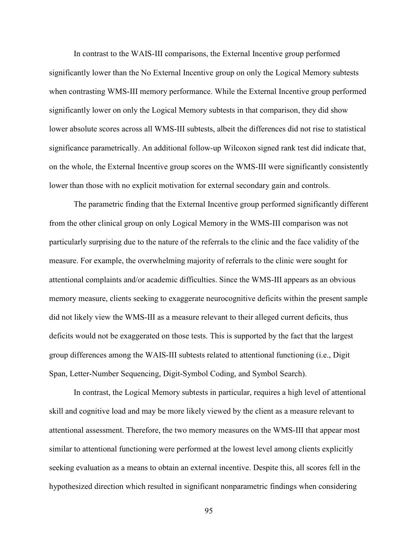In contrast to the WAIS-III comparisons, the External Incentive group performed significantly lower than the No External Incentive group on only the Logical Memory subtests when contrasting WMS-III memory performance. While the External Incentive group performed significantly lower on only the Logical Memory subtests in that comparison, they did show lower absolute scores across all WMS-III subtests, albeit the differences did not rise to statistical significance parametrically. An additional follow-up Wilcoxon signed rank test did indicate that, on the whole, the External Incentive group scores on the WMS-III were significantly consistently lower than those with no explicit motivation for external secondary gain and controls.

The parametric finding that the External Incentive group performed significantly different from the other clinical group on only Logical Memory in the WMS-III comparison was not particularly surprising due to the nature of the referrals to the clinic and the face validity of the measure. For example, the overwhelming majority of referrals to the clinic were sought for attentional complaints and/or academic difficulties. Since the WMS-III appears as an obvious memory measure, clients seeking to exaggerate neurocognitive deficits within the present sample did not likely view the WMS-III as a measure relevant to their alleged current deficits, thus deficits would not be exaggerated on those tests. This is supported by the fact that the largest group differences among the WAIS-III subtests related to attentional functioning (i.e., Digit Span, Letter-Number Sequencing, Digit-Symbol Coding, and Symbol Search).

In contrast, the Logical Memory subtests in particular, requires a high level of attentional skill and cognitive load and may be more likely viewed by the client as a measure relevant to attentional assessment. Therefore, the two memory measures on the WMS-III that appear most similar to attentional functioning were performed at the lowest level among clients explicitly seeking evaluation as a means to obtain an external incentive. Despite this, all scores fell in the hypothesized direction which resulted in significant nonparametric findings when considering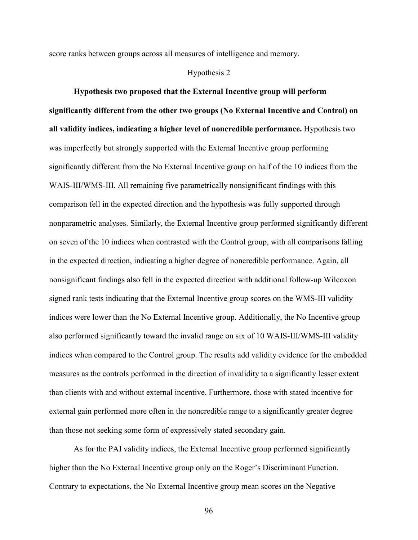score ranks between groups across all measures of intelligence and memory.

## Hypothesis 2

**Hypothesis two proposed that the External Incentive group will perform significantly different from the other two groups (No External Incentive and Control) on all validity indices, indicating a higher level of noncredible performance.** Hypothesis two was imperfectly but strongly supported with the External Incentive group performing significantly different from the No External Incentive group on half of the 10 indices from the WAIS-III/WMS-III. All remaining five parametrically nonsignificant findings with this comparison fell in the expected direction and the hypothesis was fully supported through nonparametric analyses. Similarly, the External Incentive group performed significantly different on seven of the 10 indices when contrasted with the Control group, with all comparisons falling in the expected direction, indicating a higher degree of noncredible performance. Again, all nonsignificant findings also fell in the expected direction with additional follow-up Wilcoxon signed rank tests indicating that the External Incentive group scores on the WMS-III validity indices were lower than the No External Incentive group. Additionally, the No Incentive group also performed significantly toward the invalid range on six of 10 WAIS-III/WMS-III validity indices when compared to the Control group. The results add validity evidence for the embedded measures as the controls performed in the direction of invalidity to a significantly lesser extent than clients with and without external incentive. Furthermore, those with stated incentive for external gain performed more often in the noncredible range to a significantly greater degree than those not seeking some form of expressively stated secondary gain.

As for the PAI validity indices, the External Incentive group performed significantly higher than the No External Incentive group only on the Roger's Discriminant Function. Contrary to expectations, the No External Incentive group mean scores on the Negative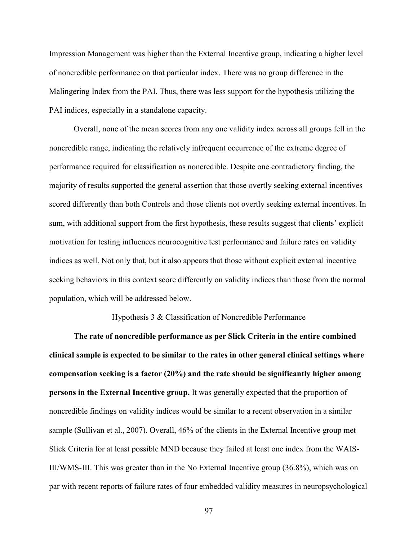Impression Management was higher than the External Incentive group, indicating a higher level of noncredible performance on that particular index. There was no group difference in the Malingering Index from the PAI. Thus, there was less support for the hypothesis utilizing the PAI indices, especially in a standalone capacity.

Overall, none of the mean scores from any one validity index across all groups fell in the noncredible range, indicating the relatively infrequent occurrence of the extreme degree of performance required for classification as noncredible. Despite one contradictory finding, the majority of results supported the general assertion that those overtly seeking external incentives scored differently than both Controls and those clients not overtly seeking external incentives. In sum, with additional support from the first hypothesis, these results suggest that clients' explicit motivation for testing influences neurocognitive test performance and failure rates on validity indices as well. Not only that, but it also appears that those without explicit external incentive seeking behaviors in this context score differently on validity indices than those from the normal population, which will be addressed below.

## Hypothesis 3 & Classification of Noncredible Performance

**The rate of noncredible performance as per Slick Criteria in the entire combined clinical sample is expected to be similar to the rates in other general clinical settings where compensation seeking is a factor (20%) and the rate should be significantly higher among persons in the External Incentive group.** It was generally expected that the proportion of noncredible findings on validity indices would be similar to a recent observation in a similar sample (Sullivan et al., 2007). Overall, 46% of the clients in the External Incentive group met Slick Criteria for at least possible MND because they failed at least one index from the WAIS-III/WMS-III. This was greater than in the No External Incentive group (36.8%), which was on par with recent reports of failure rates of four embedded validity measures in neuropsychological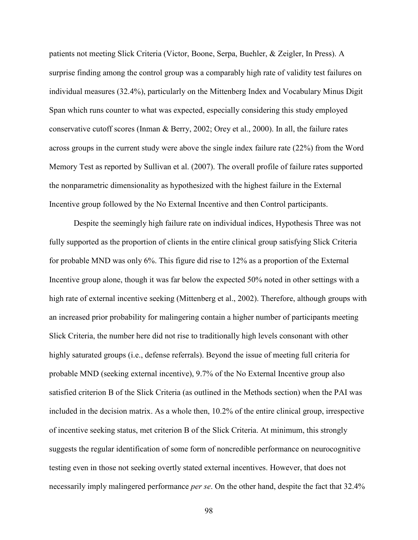patients not meeting Slick Criteria (Victor, Boone, Serpa, Buehler, & Zeigler, In Press). A surprise finding among the control group was a comparably high rate of validity test failures on individual measures (32.4%), particularly on the Mittenberg Index and Vocabulary Minus Digit Span which runs counter to what was expected, especially considering this study employed conservative cutoff scores (Inman & Berry, 2002; Orey et al., 2000). In all, the failure rates across groups in the current study were above the single index failure rate (22%) from the Word Memory Test as reported by Sullivan et al. (2007). The overall profile of failure rates supported the nonparametric dimensionality as hypothesized with the highest failure in the External Incentive group followed by the No External Incentive and then Control participants.

Despite the seemingly high failure rate on individual indices, Hypothesis Three was not fully supported as the proportion of clients in the entire clinical group satisfying Slick Criteria for probable MND was only 6%. This figure did rise to 12% as a proportion of the External Incentive group alone, though it was far below the expected 50% noted in other settings with a high rate of external incentive seeking (Mittenberg et al., 2002). Therefore, although groups with an increased prior probability for malingering contain a higher number of participants meeting Slick Criteria, the number here did not rise to traditionally high levels consonant with other highly saturated groups (i.e., defense referrals). Beyond the issue of meeting full criteria for probable MND (seeking external incentive), 9.7% of the No External Incentive group also satisfied criterion B of the Slick Criteria (as outlined in the Methods section) when the PAI was included in the decision matrix. As a whole then, 10.2% of the entire clinical group, irrespective of incentive seeking status, met criterion B of the Slick Criteria. At minimum, this strongly suggests the regular identification of some form of noncredible performance on neurocognitive testing even in those not seeking overtly stated external incentives. However, that does not necessarily imply malingered performance *per se*. On the other hand, despite the fact that 32.4%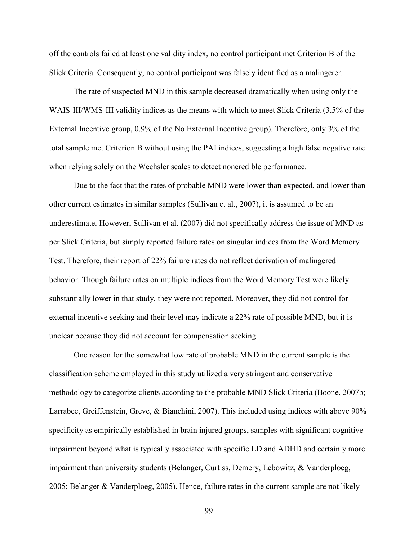off the controls failed at least one validity index, no control participant met Criterion B of the Slick Criteria. Consequently, no control participant was falsely identified as a malingerer.

The rate of suspected MND in this sample decreased dramatically when using only the WAIS-III/WMS-III validity indices as the means with which to meet Slick Criteria (3.5% of the External Incentive group, 0.9% of the No External Incentive group). Therefore, only 3% of the total sample met Criterion B without using the PAI indices, suggesting a high false negative rate when relying solely on the Wechsler scales to detect noncredible performance.

Due to the fact that the rates of probable MND were lower than expected, and lower than other current estimates in similar samples (Sullivan et al., 2007), it is assumed to be an underestimate. However, Sullivan et al. (2007) did not specifically address the issue of MND as per Slick Criteria, but simply reported failure rates on singular indices from the Word Memory Test. Therefore, their report of 22% failure rates do not reflect derivation of malingered behavior. Though failure rates on multiple indices from the Word Memory Test were likely substantially lower in that study, they were not reported. Moreover, they did not control for external incentive seeking and their level may indicate a 22% rate of possible MND, but it is unclear because they did not account for compensation seeking.

One reason for the somewhat low rate of probable MND in the current sample is the classification scheme employed in this study utilized a very stringent and conservative methodology to categorize clients according to the probable MND Slick Criteria (Boone, 2007b; Larrabee, Greiffenstein, Greve, & Bianchini, 2007). This included using indices with above 90% specificity as empirically established in brain injured groups, samples with significant cognitive impairment beyond what is typically associated with specific LD and ADHD and certainly more impairment than university students (Belanger, Curtiss, Demery, Lebowitz, & Vanderploeg, 2005; Belanger & Vanderploeg, 2005). Hence, failure rates in the current sample are not likely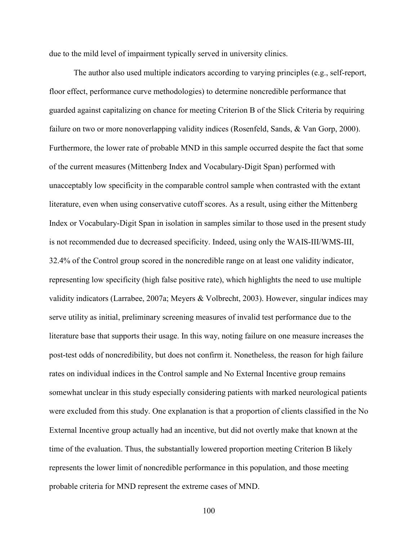due to the mild level of impairment typically served in university clinics.

The author also used multiple indicators according to varying principles (e.g., self-report, floor effect, performance curve methodologies) to determine noncredible performance that guarded against capitalizing on chance for meeting Criterion B of the Slick Criteria by requiring failure on two or more nonoverlapping validity indices (Rosenfeld, Sands, & Van Gorp, 2000). Furthermore, the lower rate of probable MND in this sample occurred despite the fact that some of the current measures (Mittenberg Index and Vocabulary-Digit Span) performed with unacceptably low specificity in the comparable control sample when contrasted with the extant literature, even when using conservative cutoff scores. As a result, using either the Mittenberg Index or Vocabulary-Digit Span in isolation in samples similar to those used in the present study is not recommended due to decreased specificity. Indeed, using only the WAIS-III/WMS-III, 32.4% of the Control group scored in the noncredible range on at least one validity indicator, representing low specificity (high false positive rate), which highlights the need to use multiple validity indicators (Larrabee, 2007a; Meyers & Volbrecht, 2003). However, singular indices may serve utility as initial, preliminary screening measures of invalid test performance due to the literature base that supports their usage. In this way, noting failure on one measure increases the post-test odds of noncredibility, but does not confirm it. Nonetheless, the reason for high failure rates on individual indices in the Control sample and No External Incentive group remains somewhat unclear in this study especially considering patients with marked neurological patients were excluded from this study. One explanation is that a proportion of clients classified in the No External Incentive group actually had an incentive, but did not overtly make that known at the time of the evaluation. Thus, the substantially lowered proportion meeting Criterion B likely represents the lower limit of noncredible performance in this population, and those meeting probable criteria for MND represent the extreme cases of MND.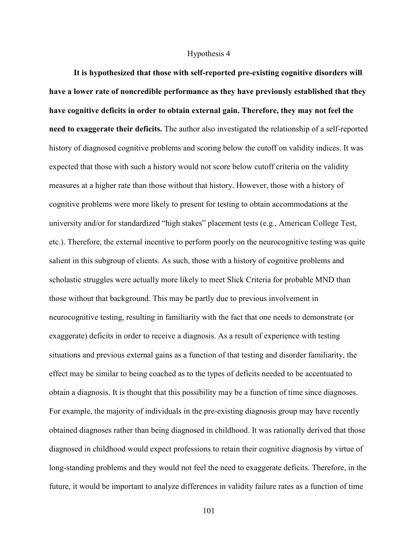### Hypothesis 4

**It is hypothesized that those with self-reported pre-existing cognitive disorders will have a lower rate of noncredible performance as they have previously established that they have cognitive deficits in order to obtain external gain. Therefore, they may not feel the need to exaggerate their deficits.** The author also investigated the relationship of a self-reported history of diagnosed cognitive problems and scoring below the cutoff on validity indices. It was expected that those with such a history would not score below cutoff criteria on the validity measures at a higher rate than those without that history. However, those with a history of cognitive problems were more likely to present for testing to obtain accommodations at the university and/or for standardized "high stakes" placement tests (e.g., American College Test, etc.). Therefore, the external incentive to perform poorly on the neurocognitive testing was quite salient in this subgroup of clients. As such, those with a history of cognitive problems and scholastic struggles were actually more likely to meet Slick Criteria for probable MND than those without that background. This may be partly due to previous involvement in neurocognitive testing, resulting in familiarity with the fact that one needs to demonstrate (or exaggerate) deficits in order to receive a diagnosis. As a result of experience with testing situations and previous external gains as a function of that testing and disorder familiarity, the effect may be similar to being coached as to the types of deficits needed to be accentuated to obtain a diagnosis. It is thought that this possibility may be a function of time since diagnoses. For example, the majority of individuals in the pre-existing diagnosis group may have recently obtained diagnoses rather than being diagnosed in childhood. It was rationally derived that those diagnosed in childhood would expect professions to retain their cognitive diagnosis by virtue of long-standing problems and they would not feel the need to exaggerate deficits. Therefore, in the future, it would be important to analyze differences in validity failure rates as a function of time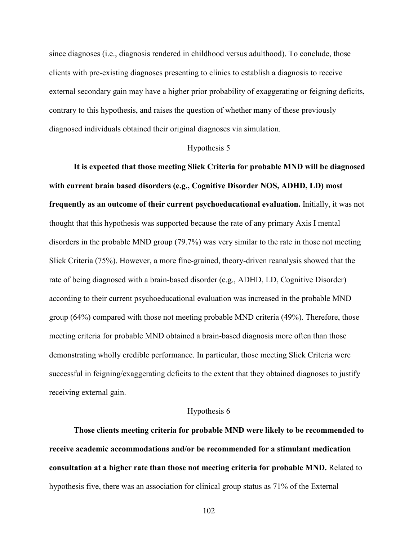since diagnoses (i.e., diagnosis rendered in childhood versus adulthood). To conclude, those clients with pre-existing diagnoses presenting to clinics to establish a diagnosis to receive external secondary gain may have a higher prior probability of exaggerating or feigning deficits, contrary to this hypothesis, and raises the question of whether many of these previously diagnosed individuals obtained their original diagnoses via simulation.

## Hypothesis 5

**It is expected that those meeting Slick Criteria for probable MND will be diagnosed with current brain based disorders (e.g., Cognitive Disorder NOS, ADHD, LD) most frequently as an outcome of their current psychoeducational evaluation.** Initially, it was not thought that this hypothesis was supported because the rate of any primary Axis I mental disorders in the probable MND group (79.7%) was very similar to the rate in those not meeting Slick Criteria (75%). However, a more fine-grained, theory-driven reanalysis showed that the rate of being diagnosed with a brain-based disorder (e.g., ADHD, LD, Cognitive Disorder) according to their current psychoeducational evaluation was increased in the probable MND group (64%) compared with those not meeting probable MND criteria (49%). Therefore, those meeting criteria for probable MND obtained a brain-based diagnosis more often than those demonstrating wholly credible performance. In particular, those meeting Slick Criteria were successful in feigning/exaggerating deficits to the extent that they obtained diagnoses to justify receiving external gain.

#### Hypothesis 6

**Those clients meeting criteria for probable MND were likely to be recommended to receive academic accommodations and/or be recommended for a stimulant medication consultation at a higher rate than those not meeting criteria for probable MND.** Related to hypothesis five, there was an association for clinical group status as 71% of the External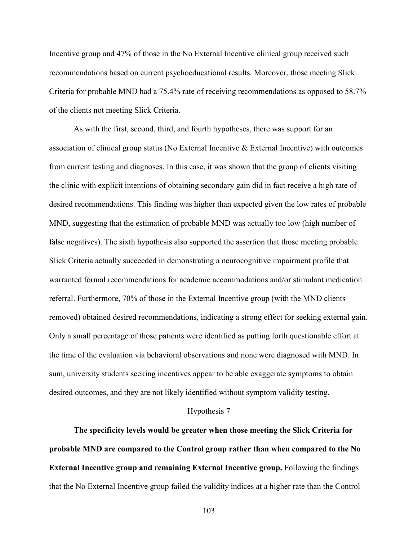Incentive group and 47% of those in the No External Incentive clinical group received such recommendations based on current psychoeducational results. Moreover, those meeting Slick Criteria for probable MND had a 75.4% rate of receiving recommendations as opposed to 58.7% of the clients not meeting Slick Criteria.

As with the first, second, third, and fourth hypotheses, there was support for an association of clinical group status (No External Incentive & External Incentive) with outcomes from current testing and diagnoses. In this case, it was shown that the group of clients visiting the clinic with explicit intentions of obtaining secondary gain did in fact receive a high rate of desired recommendations. This finding was higher than expected given the low rates of probable MND, suggesting that the estimation of probable MND was actually too low (high number of false negatives). The sixth hypothesis also supported the assertion that those meeting probable Slick Criteria actually succeeded in demonstrating a neurocognitive impairment profile that warranted formal recommendations for academic accommodations and/or stimulant medication referral. Furthermore, 70% of those in the External Incentive group (with the MND clients removed) obtained desired recommendations, indicating a strong effect for seeking external gain. Only a small percentage of those patients were identified as putting forth questionable effort at the time of the evaluation via behavioral observations and none were diagnosed with MND. In sum, university students seeking incentives appear to be able exaggerate symptoms to obtain desired outcomes, and they are not likely identified without symptom validity testing.

## Hypothesis 7

**The specificity levels would be greater when those meeting the Slick Criteria for probable MND are compared to the Control group rather than when compared to the No External Incentive group and remaining External Incentive group.** Following the findings that the No External Incentive group failed the validity indices at a higher rate than the Control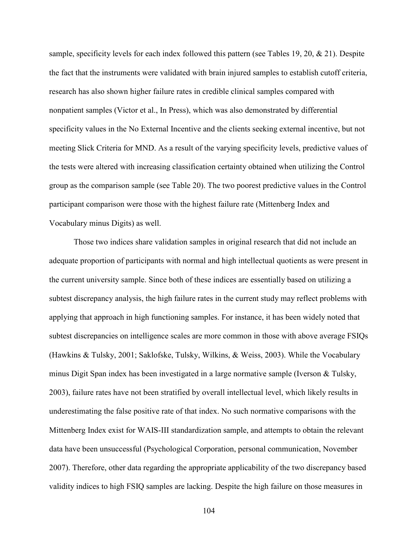sample, specificity levels for each index followed this pattern (see Tables 19, 20, & 21). Despite the fact that the instruments were validated with brain injured samples to establish cutoff criteria, research has also shown higher failure rates in credible clinical samples compared with nonpatient samples (Victor et al., In Press), which was also demonstrated by differential specificity values in the No External Incentive and the clients seeking external incentive, but not meeting Slick Criteria for MND. As a result of the varying specificity levels, predictive values of the tests were altered with increasing classification certainty obtained when utilizing the Control group as the comparison sample (see Table 20). The two poorest predictive values in the Control participant comparison were those with the highest failure rate (Mittenberg Index and Vocabulary minus Digits) as well.

Those two indices share validation samples in original research that did not include an adequate proportion of participants with normal and high intellectual quotients as were present in the current university sample. Since both of these indices are essentially based on utilizing a subtest discrepancy analysis, the high failure rates in the current study may reflect problems with applying that approach in high functioning samples. For instance, it has been widely noted that subtest discrepancies on intelligence scales are more common in those with above average FSIQs (Hawkins & Tulsky, 2001; Saklofske, Tulsky, Wilkins, & Weiss, 2003). While the Vocabulary minus Digit Span index has been investigated in a large normative sample (Iverson & Tulsky, 2003), failure rates have not been stratified by overall intellectual level, which likely results in underestimating the false positive rate of that index. No such normative comparisons with the Mittenberg Index exist for WAIS-III standardization sample, and attempts to obtain the relevant data have been unsuccessful (Psychological Corporation, personal communication, November 2007). Therefore, other data regarding the appropriate applicability of the two discrepancy based validity indices to high FSIQ samples are lacking. Despite the high failure on those measures in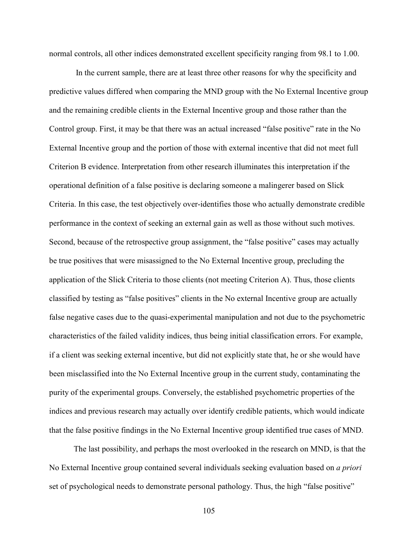normal controls, all other indices demonstrated excellent specificity ranging from 98.1 to 1.00.

 In the current sample, there are at least three other reasons for why the specificity and predictive values differed when comparing the MND group with the No External Incentive group and the remaining credible clients in the External Incentive group and those rather than the Control group. First, it may be that there was an actual increased "false positive" rate in the No External Incentive group and the portion of those with external incentive that did not meet full Criterion B evidence. Interpretation from other research illuminates this interpretation if the operational definition of a false positive is declaring someone a malingerer based on Slick Criteria. In this case, the test objectively over-identifies those who actually demonstrate credible performance in the context of seeking an external gain as well as those without such motives. Second, because of the retrospective group assignment, the "false positive" cases may actually be true positives that were misassigned to the No External Incentive group, precluding the application of the Slick Criteria to those clients (not meeting Criterion A). Thus, those clients classified by testing as "false positives" clients in the No external Incentive group are actually false negative cases due to the quasi-experimental manipulation and not due to the psychometric characteristics of the failed validity indices, thus being initial classification errors. For example, if a client was seeking external incentive, but did not explicitly state that, he or she would have been misclassified into the No External Incentive group in the current study, contaminating the purity of the experimental groups. Conversely, the established psychometric properties of the indices and previous research may actually over identify credible patients, which would indicate that the false positive findings in the No External Incentive group identified true cases of MND.

The last possibility, and perhaps the most overlooked in the research on MND, is that the No External Incentive group contained several individuals seeking evaluation based on *a priori* set of psychological needs to demonstrate personal pathology. Thus, the high "false positive"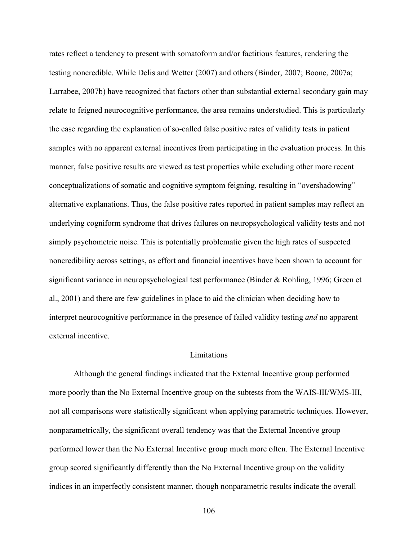rates reflect a tendency to present with somatoform and/or factitious features, rendering the testing noncredible. While Delis and Wetter (2007) and others (Binder, 2007; Boone, 2007a; Larrabee, 2007b) have recognized that factors other than substantial external secondary gain may relate to feigned neurocognitive performance, the area remains understudied. This is particularly the case regarding the explanation of so-called false positive rates of validity tests in patient samples with no apparent external incentives from participating in the evaluation process. In this manner, false positive results are viewed as test properties while excluding other more recent conceptualizations of somatic and cognitive symptom feigning, resulting in "overshadowing" alternative explanations. Thus, the false positive rates reported in patient samples may reflect an underlying cogniform syndrome that drives failures on neuropsychological validity tests and not simply psychometric noise. This is potentially problematic given the high rates of suspected noncredibility across settings, as effort and financial incentives have been shown to account for significant variance in neuropsychological test performance (Binder & Rohling, 1996; Green et al., 2001) and there are few guidelines in place to aid the clinician when deciding how to interpret neurocognitive performance in the presence of failed validity testing *and* no apparent external incentive.

## **Limitations**

Although the general findings indicated that the External Incentive group performed more poorly than the No External Incentive group on the subtests from the WAIS-III/WMS-III, not all comparisons were statistically significant when applying parametric techniques. However, nonparametrically, the significant overall tendency was that the External Incentive group performed lower than the No External Incentive group much more often. The External Incentive group scored significantly differently than the No External Incentive group on the validity indices in an imperfectly consistent manner, though nonparametric results indicate the overall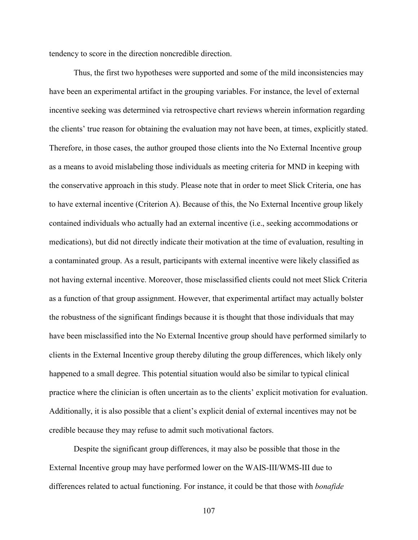tendency to score in the direction noncredible direction.

Thus, the first two hypotheses were supported and some of the mild inconsistencies may have been an experimental artifact in the grouping variables. For instance, the level of external incentive seeking was determined via retrospective chart reviews wherein information regarding the clients' true reason for obtaining the evaluation may not have been, at times, explicitly stated. Therefore, in those cases, the author grouped those clients into the No External Incentive group as a means to avoid mislabeling those individuals as meeting criteria for MND in keeping with the conservative approach in this study. Please note that in order to meet Slick Criteria, one has to have external incentive (Criterion A). Because of this, the No External Incentive group likely contained individuals who actually had an external incentive (i.e., seeking accommodations or medications), but did not directly indicate their motivation at the time of evaluation, resulting in a contaminated group. As a result, participants with external incentive were likely classified as not having external incentive. Moreover, those misclassified clients could not meet Slick Criteria as a function of that group assignment. However, that experimental artifact may actually bolster the robustness of the significant findings because it is thought that those individuals that may have been misclassified into the No External Incentive group should have performed similarly to clients in the External Incentive group thereby diluting the group differences, which likely only happened to a small degree. This potential situation would also be similar to typical clinical practice where the clinician is often uncertain as to the clients' explicit motivation for evaluation. Additionally, it is also possible that a client's explicit denial of external incentives may not be credible because they may refuse to admit such motivational factors.

Despite the significant group differences, it may also be possible that those in the External Incentive group may have performed lower on the WAIS-III/WMS-III due to differences related to actual functioning. For instance, it could be that those with *bonafide*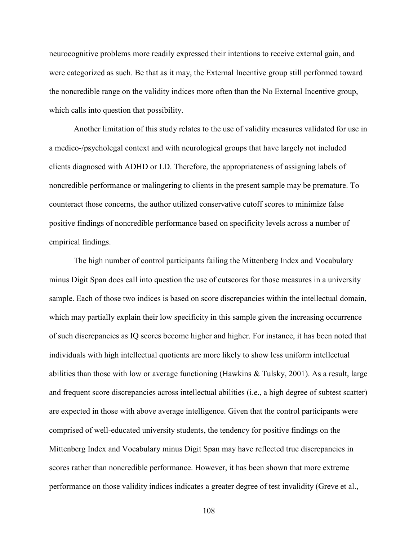neurocognitive problems more readily expressed their intentions to receive external gain, and were categorized as such. Be that as it may, the External Incentive group still performed toward the noncredible range on the validity indices more often than the No External Incentive group, which calls into question that possibility.

 Another limitation of this study relates to the use of validity measures validated for use in a medico-/psycholegal context and with neurological groups that have largely not included clients diagnosed with ADHD or LD. Therefore, the appropriateness of assigning labels of noncredible performance or malingering to clients in the present sample may be premature. To counteract those concerns, the author utilized conservative cutoff scores to minimize false positive findings of noncredible performance based on specificity levels across a number of empirical findings.

The high number of control participants failing the Mittenberg Index and Vocabulary minus Digit Span does call into question the use of cutscores for those measures in a university sample. Each of those two indices is based on score discrepancies within the intellectual domain, which may partially explain their low specificity in this sample given the increasing occurrence of such discrepancies as IQ scores become higher and higher. For instance, it has been noted that individuals with high intellectual quotients are more likely to show less uniform intellectual abilities than those with low or average functioning (Hawkins & Tulsky, 2001). As a result, large and frequent score discrepancies across intellectual abilities (i.e., a high degree of subtest scatter) are expected in those with above average intelligence. Given that the control participants were comprised of well-educated university students, the tendency for positive findings on the Mittenberg Index and Vocabulary minus Digit Span may have reflected true discrepancies in scores rather than noncredible performance. However, it has been shown that more extreme performance on those validity indices indicates a greater degree of test invalidity (Greve et al.,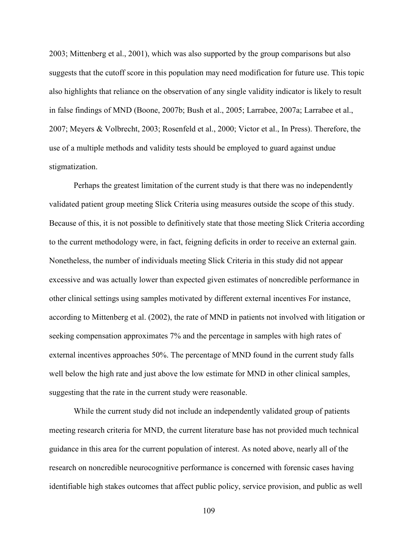2003; Mittenberg et al., 2001), which was also supported by the group comparisons but also suggests that the cutoff score in this population may need modification for future use. This topic also highlights that reliance on the observation of any single validity indicator is likely to result in false findings of MND (Boone, 2007b; Bush et al., 2005; Larrabee, 2007a; Larrabee et al., 2007; Meyers & Volbrecht, 2003; Rosenfeld et al., 2000; Victor et al., In Press). Therefore, the use of a multiple methods and validity tests should be employed to guard against undue stigmatization.

Perhaps the greatest limitation of the current study is that there was no independently validated patient group meeting Slick Criteria using measures outside the scope of this study. Because of this, it is not possible to definitively state that those meeting Slick Criteria according to the current methodology were, in fact, feigning deficits in order to receive an external gain. Nonetheless, the number of individuals meeting Slick Criteria in this study did not appear excessive and was actually lower than expected given estimates of noncredible performance in other clinical settings using samples motivated by different external incentives For instance, according to Mittenberg et al. (2002), the rate of MND in patients not involved with litigation or seeking compensation approximates 7% and the percentage in samples with high rates of external incentives approaches 50%. The percentage of MND found in the current study falls well below the high rate and just above the low estimate for MND in other clinical samples, suggesting that the rate in the current study were reasonable.

While the current study did not include an independently validated group of patients meeting research criteria for MND, the current literature base has not provided much technical guidance in this area for the current population of interest. As noted above, nearly all of the research on noncredible neurocognitive performance is concerned with forensic cases having identifiable high stakes outcomes that affect public policy, service provision, and public as well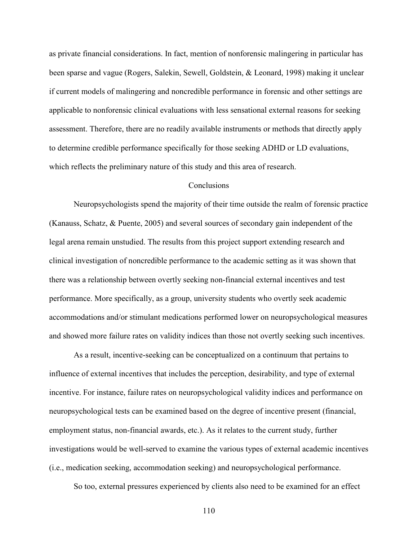as private financial considerations. In fact, mention of nonforensic malingering in particular has been sparse and vague (Rogers, Salekin, Sewell, Goldstein, & Leonard, 1998) making it unclear if current models of malingering and noncredible performance in forensic and other settings are applicable to nonforensic clinical evaluations with less sensational external reasons for seeking assessment. Therefore, there are no readily available instruments or methods that directly apply to determine credible performance specifically for those seeking ADHD or LD evaluations, which reflects the preliminary nature of this study and this area of research.

# **Conclusions**

Neuropsychologists spend the majority of their time outside the realm of forensic practice (Kanauss, Schatz, & Puente, 2005) and several sources of secondary gain independent of the legal arena remain unstudied. The results from this project support extending research and clinical investigation of noncredible performance to the academic setting as it was shown that there was a relationship between overtly seeking non-financial external incentives and test performance. More specifically, as a group, university students who overtly seek academic accommodations and/or stimulant medications performed lower on neuropsychological measures and showed more failure rates on validity indices than those not overtly seeking such incentives.

As a result, incentive-seeking can be conceptualized on a continuum that pertains to influence of external incentives that includes the perception, desirability, and type of external incentive. For instance, failure rates on neuropsychological validity indices and performance on neuropsychological tests can be examined based on the degree of incentive present (financial, employment status, non-financial awards, etc.). As it relates to the current study, further investigations would be well-served to examine the various types of external academic incentives (i.e., medication seeking, accommodation seeking) and neuropsychological performance.

So too, external pressures experienced by clients also need to be examined for an effect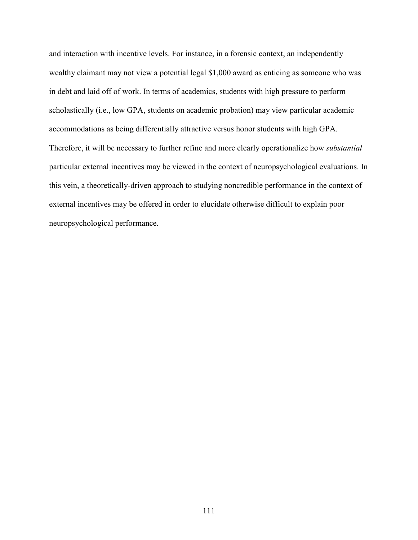and interaction with incentive levels. For instance, in a forensic context, an independently wealthy claimant may not view a potential legal \$1,000 award as enticing as someone who was in debt and laid off of work. In terms of academics, students with high pressure to perform scholastically (i.e., low GPA, students on academic probation) may view particular academic accommodations as being differentially attractive versus honor students with high GPA. Therefore, it will be necessary to further refine and more clearly operationalize how *substantial* particular external incentives may be viewed in the context of neuropsychological evaluations. In this vein, a theoretically-driven approach to studying noncredible performance in the context of external incentives may be offered in order to elucidate otherwise difficult to explain poor neuropsychological performance.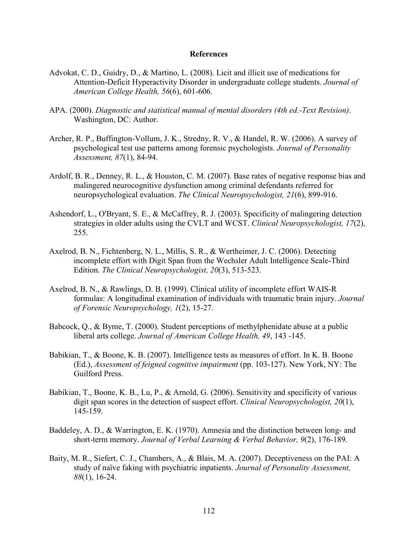## **References**

- Advokat, C. D., Guidry, D., & Martino, L. (2008). Licit and illicit use of medications for Attention-Deficit Hyperactivity Disorder in undergraduate college students. *Journal of American College Health, 56*(6), 601-606.
- APA. (2000). *Diagnostic and statistical manual of mental disorders (4th ed.-Text Revision)*. Washington, DC: Author.
- Archer, R. P., Buffington-Vollum, J. K., Stredny, R. V., & Handel, R. W. (2006). A survey of psychological test use patterns among forensic psychologists. *Journal of Personality Assessment, 87*(1), 84-94.
- Ardolf, B. R., Denney, R. L., & Houston, C. M. (2007). Base rates of negative response bias and malingered neurocognitive dysfunction among criminal defendants referred for neuropsychological evaluation. *The Clinical Neuropsychologist, 21*(6), 899-916.
- Ashendorf, L., O'Bryant, S. E., & McCaffrey, R. J. (2003). Specificity of malingering detection strategies in older adults using the CVLT and WCST. *Clinical Neuropsychologist, 17*(2), 255.
- Axelrod, B. N., Fichtenberg, N. L., Millis, S. R., & Wertheimer, J. C. (2006). Detecting incomplete effort with Digit Span from the Wechsler Adult Intelligence Scale-Third Edition. *The Clinical Neuropsychologist, 20*(3), 513-523.
- Axelrod, B. N., & Rawlings, D. B. (1999). Clinical utility of incomplete effort WAIS-R formulas: A longitudinal examination of individuals with traumatic brain injury. *Journal of Forensic Neuropsychology, 1*(2), 15-27.
- Babcock, Q., & Byme, T. (2000). Student perceptions of methylphenidate abuse at a public liberal arts college. *Journal of American College Health, 49*, 143 -145.
- Babikian, T., & Boone, K. B. (2007). Intelligence tests as measures of effort. In K. B. Boone (Ed.), *Assessment of feigned cognitive impairment* (pp. 103-127). New York, NY: The Guilford Press.
- Babikian, T., Boone, K. B., Lu, P., & Arnold, G. (2006). Sensitivity and specificity of various digit span scores in the detection of suspect effort. *Clinical Neuropsychologist, 20*(1), 145-159.
- Baddeley, A. D., & Warrington, E. K. (1970). Amnesia and the distinction between long- and short-term memory. *Journal of Verbal Learning & Verbal Behavior, 9*(2), 176-189.
- Baity, M. R., Siefert, C. J., Chambers, A., & Blais, M. A. (2007). Deceptiveness on the PAI: A study of naïve faking with psychiatric inpatients. *Journal of Personality Assessment, 88*(1), 16-24.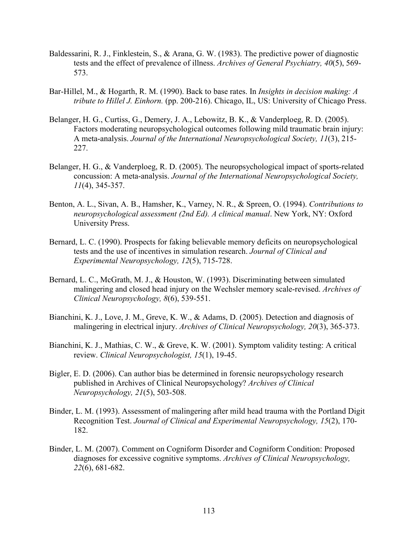- Baldessarini, R. J., Finklestein, S., & Arana, G. W. (1983). The predictive power of diagnostic tests and the effect of prevalence of illness. *Archives of General Psychiatry, 40*(5), 569- 573.
- Bar-Hillel, M., & Hogarth, R. M. (1990). Back to base rates. In *Insights in decision making: A tribute to Hillel J. Einhorn.* (pp. 200-216). Chicago, IL, US: University of Chicago Press.
- Belanger, H. G., Curtiss, G., Demery, J. A., Lebowitz, B. K., & Vanderploeg, R. D. (2005). Factors moderating neuropsychological outcomes following mild traumatic brain injury: A meta-analysis. *Journal of the International Neuropsychological Society, 11*(3), 215- 227.
- Belanger, H. G., & Vanderploeg, R. D. (2005). The neuropsychological impact of sports-related concussion: A meta-analysis. *Journal of the International Neuropsychological Society, 11*(4), 345-357.
- Benton, A. L., Sivan, A. B., Hamsher, K., Varney, N. R., & Spreen, O. (1994). *Contributions to neuropsychological assessment (2nd Ed). A clinical manual*. New York, NY: Oxford University Press.
- Bernard, L. C. (1990). Prospects for faking believable memory deficits on neuropsychological tests and the use of incentives in simulation research. *Journal of Clinical and Experimental Neuropsychology, 12*(5), 715-728.
- Bernard, L. C., McGrath, M. J., & Houston, W. (1993). Discriminating between simulated malingering and closed head injury on the Wechsler memory scale-revised. *Archives of Clinical Neuropsychology, 8*(6), 539-551.
- Bianchini, K. J., Love, J. M., Greve, K. W., & Adams, D. (2005). Detection and diagnosis of malingering in electrical injury. *Archives of Clinical Neuropsychology, 20*(3), 365-373.
- Bianchini, K. J., Mathias, C. W., & Greve, K. W. (2001). Symptom validity testing: A critical review. *Clinical Neuropsychologist, 15*(1), 19-45.
- Bigler, E. D. (2006). Can author bias be determined in forensic neuropsychology research published in Archives of Clinical Neuropsychology? *Archives of Clinical Neuropsychology, 21*(5), 503-508.
- Binder, L. M. (1993). Assessment of malingering after mild head trauma with the Portland Digit Recognition Test. *Journal of Clinical and Experimental Neuropsychology, 15*(2), 170- 182.
- Binder, L. M. (2007). Comment on Cogniform Disorder and Cogniform Condition: Proposed diagnoses for excessive cognitive symptoms. *Archives of Clinical Neuropsychology, 22*(6), 681-682.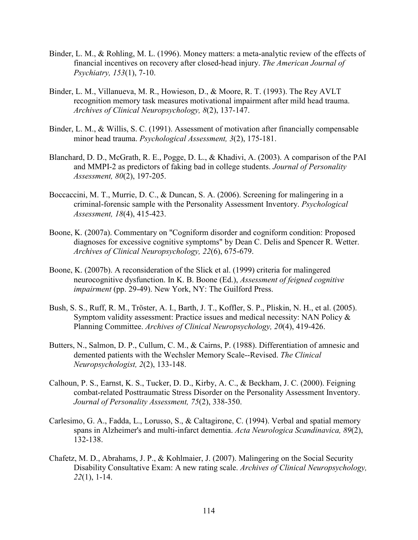- Binder, L. M., & Rohling, M. L. (1996). Money matters: a meta-analytic review of the effects of financial incentives on recovery after closed-head injury. *The American Journal of Psychiatry, 153*(1), 7-10.
- Binder, L. M., Villanueva, M. R., Howieson, D., & Moore, R. T. (1993). The Rey AVLT recognition memory task measures motivational impairment after mild head trauma. *Archives of Clinical Neuropsychology, 8*(2), 137-147.
- Binder, L. M., & Willis, S. C. (1991). Assessment of motivation after financially compensable minor head trauma. *Psychological Assessment, 3*(2), 175-181.
- Blanchard, D. D., McGrath, R. E., Pogge, D. L., & Khadivi, A. (2003). A comparison of the PAI and MMPI-2 as predictors of faking bad in college students. *Journal of Personality Assessment, 80*(2), 197-205.
- Boccaccini, M. T., Murrie, D. C., & Duncan, S. A. (2006). Screening for malingering in a criminal-forensic sample with the Personality Assessment Inventory. *Psychological Assessment, 18*(4), 415-423.
- Boone, K. (2007a). Commentary on "Cogniform disorder and cogniform condition: Proposed diagnoses for excessive cognitive symptoms" by Dean C. Delis and Spencer R. Wetter. *Archives of Clinical Neuropsychology, 22*(6), 675-679.
- Boone, K. (2007b). A reconsideration of the Slick et al. (1999) criteria for malingered neurocognitive dysfunction. In K. B. Boone (Ed.), *Assessment of feigned cognitive impairment* (pp. 29-49). New York, NY: The Guilford Press.
- Bush, S. S., Ruff, R. M., Tröster, A. I., Barth, J. T., Koffler, S. P., Pliskin, N. H., et al. (2005). Symptom validity assessment: Practice issues and medical necessity: NAN Policy & Planning Committee. *Archives of Clinical Neuropsychology, 20*(4), 419-426.
- Butters, N., Salmon, D. P., Cullum, C. M., & Cairns, P. (1988). Differentiation of amnesic and demented patients with the Wechsler Memory Scale--Revised. *The Clinical Neuropsychologist, 2*(2), 133-148.
- Calhoun, P. S., Earnst, K. S., Tucker, D. D., Kirby, A. C., & Beckham, J. C. (2000). Feigning combat-related Posttraumatic Stress Disorder on the Personality Assessment Inventory. *Journal of Personality Assessment, 75*(2), 338-350.
- Carlesimo, G. A., Fadda, L., Lorusso, S., & Caltagirone, C. (1994). Verbal and spatial memory spans in Alzheimer's and multi-infarct dementia. *Acta Neurologica Scandinavica, 89*(2), 132-138.
- Chafetz, M. D., Abrahams, J. P., & Kohlmaier, J. (2007). Malingering on the Social Security Disability Consultative Exam: A new rating scale. *Archives of Clinical Neuropsychology, 22*(1), 1-14.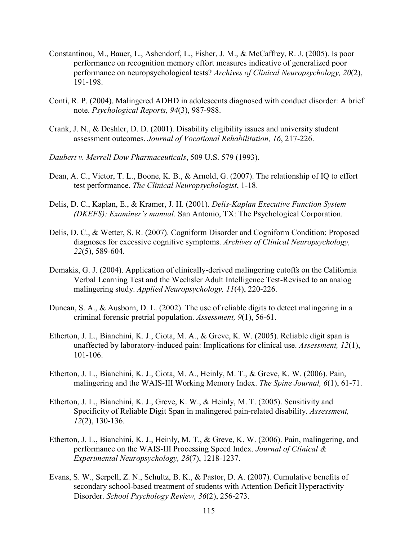- Constantinou, M., Bauer, L., Ashendorf, L., Fisher, J. M., & McCaffrey, R. J. (2005). Is poor performance on recognition memory effort measures indicative of generalized poor performance on neuropsychological tests? *Archives of Clinical Neuropsychology, 20*(2), 191-198.
- Conti, R. P. (2004). Malingered ADHD in adolescents diagnosed with conduct disorder: A brief note. *Psychological Reports, 94*(3), 987-988.
- Crank, J. N., & Deshler, D. D. (2001). Disability eligibility issues and university student assessment outcomes. *Journal of Vocational Rehabilitation, 16*, 217-226.
- *Daubert v. Merrell Dow Pharmaceuticals*, 509 U.S. 579 (1993).
- Dean, A. C., Victor, T. L., Boone, K. B., & Arnold, G. (2007). The relationship of IQ to effort test performance. *The Clinical Neuropsychologist*, 1-18.
- Delis, D. C., Kaplan, E., & Kramer, J. H. (2001). *Delis-Kaplan Executive Function System (DKEFS): Examiner's manual*. San Antonio, TX: The Psychological Corporation.
- Delis, D. C., & Wetter, S. R. (2007). Cogniform Disorder and Cogniform Condition: Proposed diagnoses for excessive cognitive symptoms. *Archives of Clinical Neuropsychology, 22*(5), 589-604.
- Demakis, G. J. (2004). Application of clinically-derived malingering cutoffs on the California Verbal Learning Test and the Wechsler Adult Intelligence Test-Revised to an analog malingering study. *Applied Neuropsychology, 11*(4), 220-226.
- Duncan, S. A., & Ausborn, D. L. (2002). The use of reliable digits to detect malingering in a criminal forensic pretrial population. *Assessment, 9*(1), 56-61.
- Etherton, J. L., Bianchini, K. J., Ciota, M. A., & Greve, K. W. (2005). Reliable digit span is unaffected by laboratory-induced pain: Implications for clinical use. *Assessment, 12*(1), 101-106.
- Etherton, J. L., Bianchini, K. J., Ciota, M. A., Heinly, M. T., & Greve, K. W. (2006). Pain, malingering and the WAIS-III Working Memory Index. *The Spine Journal, 6*(1), 61-71.
- Etherton, J. L., Bianchini, K. J., Greve, K. W., & Heinly, M. T. (2005). Sensitivity and Specificity of Reliable Digit Span in malingered pain-related disability. *Assessment, 12*(2), 130-136.
- Etherton, J. L., Bianchini, K. J., Heinly, M. T., & Greve, K. W. (2006). Pain, malingering, and performance on the WAIS-III Processing Speed Index. *Journal of Clinical & Experimental Neuropsychology, 28*(7), 1218-1237.
- Evans, S. W., Serpell, Z. N., Schultz, B. K., & Pastor, D. A. (2007). Cumulative benefits of secondary school-based treatment of students with Attention Deficit Hyperactivity Disorder. *School Psychology Review, 36*(2), 256-273.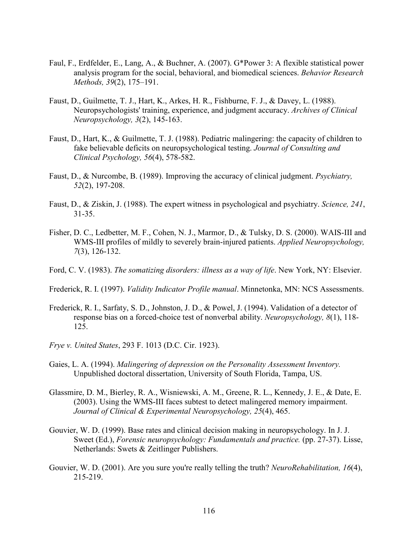- Faul, F., Erdfelder, E., Lang, A., & Buchner, A. (2007). G\*Power 3: A flexible statistical power analysis program for the social, behavioral, and biomedical sciences. *Behavior Research Methods, 39*(2), 175–191.
- Faust, D., Guilmette, T. J., Hart, K., Arkes, H. R., Fishburne, F. J., & Davey, L. (1988). Neuropsychologists' training, experience, and judgment accuracy. *Archives of Clinical Neuropsychology, 3*(2), 145-163.
- Faust, D., Hart, K., & Guilmette, T. J. (1988). Pediatric malingering: the capacity of children to fake believable deficits on neuropsychological testing. *Journal of Consulting and Clinical Psychology, 56*(4), 578-582.
- Faust, D., & Nurcombe, B. (1989). Improving the accuracy of clinical judgment. *Psychiatry, 52*(2), 197-208.
- Faust, D., & Ziskin, J. (1988). The expert witness in psychological and psychiatry. *Science, 241*, 31-35.
- Fisher, D. C., Ledbetter, M. F., Cohen, N. J., Marmor, D., & Tulsky, D. S. (2000). WAIS-III and WMS-III profiles of mildly to severely brain-injured patients. *Applied Neuropsychology, 7*(3), 126-132.
- Ford, C. V. (1983). *The somatizing disorders: illness as a way of life*. New York, NY: Elsevier.
- Frederick, R. I. (1997). *Validity Indicator Profile manual*. Minnetonka, MN: NCS Assessments.
- Frederick, R. I., Sarfaty, S. D., Johnston, J. D., & Powel, J. (1994). Validation of a detector of response bias on a forced-choice test of nonverbal ability. *Neuropsychology, 8*(1), 118- 125.
- *Frye v. United States*, 293 F. 1013 (D.C. Cir. 1923).
- Gaies, L. A. (1994). *Malingering of depression on the Personality Assessment Inventory.* Unpublished doctoral dissertation, University of South Florida, Tampa, US.
- Glassmire, D. M., Bierley, R. A., Wisniewski, A. M., Greene, R. L., Kennedy, J. E., & Date, E. (2003). Using the WMS-III faces subtest to detect malingered memory impairment. *Journal of Clinical & Experimental Neuropsychology, 25*(4), 465.
- Gouvier, W. D. (1999). Base rates and clinical decision making in neuropsychology. In J. J. Sweet (Ed.), *Forensic neuropsychology: Fundamentals and practice.* (pp. 27-37). Lisse, Netherlands: Swets & Zeitlinger Publishers.
- Gouvier, W. D. (2001). Are you sure you're really telling the truth? *NeuroRehabilitation, 16*(4), 215-219.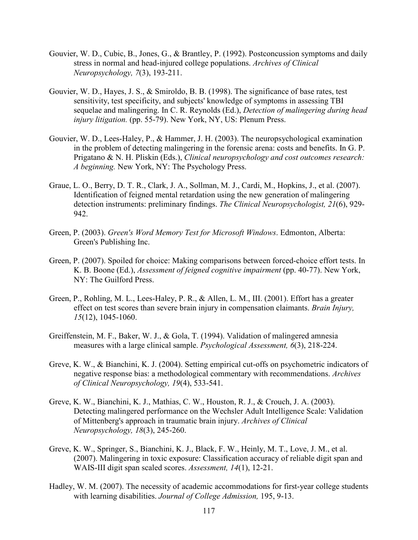- Gouvier, W. D., Cubic, B., Jones, G., & Brantley, P. (1992). Postconcussion symptoms and daily stress in normal and head-injured college populations. *Archives of Clinical Neuropsychology, 7*(3), 193-211.
- Gouvier, W. D., Hayes, J. S., & Smiroldo, B. B. (1998). The significance of base rates, test sensitivity, test specificity, and subjects' knowledge of symptoms in assessing TBI sequelae and malingering. In C. R. Reynolds (Ed.), *Detection of malingering during head injury litigation.* (pp. 55-79). New York, NY, US: Plenum Press.
- Gouvier, W. D., Lees-Haley, P., & Hammer, J. H. (2003). The neuropsychological examination in the problem of detecting malingering in the forensic arena: costs and benefits. In G. P. Prigatano & N. H. Pliskin (Eds.), *Clinical neuropsychology and cost outcomes research: A beginning.* New York, NY: The Psychology Press.
- Graue, L. O., Berry, D. T. R., Clark, J. A., Sollman, M. J., Cardi, M., Hopkins, J., et al. (2007). Identification of feigned mental retardation using the new generation of malingering detection instruments: preliminary findings. *The Clinical Neuropsychologist, 21*(6), 929- 942.
- Green, P. (2003). *Green's Word Memory Test for Microsoft Windows*. Edmonton, Alberta: Green's Publishing Inc.
- Green, P. (2007). Spoiled for choice: Making comparisons between forced-choice effort tests. In K. B. Boone (Ed.), *Assessment of feigned cognitive impairment* (pp. 40-77). New York, NY: The Guilford Press.
- Green, P., Rohling, M. L., Lees-Haley, P. R., & Allen, L. M., III. (2001). Effort has a greater effect on test scores than severe brain injury in compensation claimants. *Brain Injury, 15*(12), 1045-1060.
- Greiffenstein, M. F., Baker, W. J., & Gola, T. (1994). Validation of malingered amnesia measures with a large clinical sample. *Psychological Assessment, 6*(3), 218-224.
- Greve, K. W., & Bianchini, K. J. (2004). Setting empirical cut-offs on psychometric indicators of negative response bias: a methodological commentary with recommendations. *Archives of Clinical Neuropsychology, 19*(4), 533-541.
- Greve, K. W., Bianchini, K. J., Mathias, C. W., Houston, R. J., & Crouch, J. A. (2003). Detecting malingered performance on the Wechsler Adult Intelligence Scale: Validation of Mittenberg's approach in traumatic brain injury. *Archives of Clinical Neuropsychology, 18*(3), 245-260.
- Greve, K. W., Springer, S., Bianchini, K. J., Black, F. W., Heinly, M. T., Love, J. M., et al. (2007). Malingering in toxic exposure: Classification accuracy of reliable digit span and WAIS-III digit span scaled scores. *Assessment, 14*(1), 12-21.
- Hadley, W. M. (2007). The necessity of academic accommodations for first-year college students with learning disabilities. *Journal of College Admission,* 195, 9-13.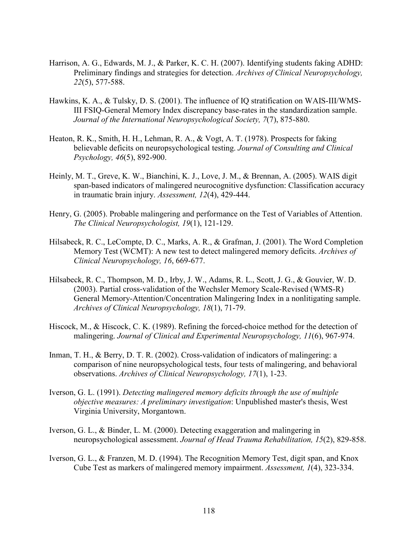- Harrison, A. G., Edwards, M. J., & Parker, K. C. H. (2007). Identifying students faking ADHD: Preliminary findings and strategies for detection. *Archives of Clinical Neuropsychology, 22*(5), 577-588.
- Hawkins, K. A., & Tulsky, D. S. (2001). The influence of IQ stratification on WAIS-III/WMS-III FSIQ-General Memory Index discrepancy base-rates in the standardization sample. *Journal of the International Neuropsychological Society, 7*(7), 875-880.
- Heaton, R. K., Smith, H. H., Lehman, R. A., & Vogt, A. T. (1978). Prospects for faking believable deficits on neuropsychological testing. *Journal of Consulting and Clinical Psychology, 46*(5), 892-900.
- Heinly, M. T., Greve, K. W., Bianchini, K. J., Love, J. M., & Brennan, A. (2005). WAIS digit span-based indicators of malingered neurocognitive dysfunction: Classification accuracy in traumatic brain injury. *Assessment, 12*(4), 429-444.
- Henry, G. (2005). Probable malingering and performance on the Test of Variables of Attention. *The Clinical Neuropsychologist, 19*(1), 121-129.
- Hilsabeck, R. C., LeCompte, D. C., Marks, A. R., & Grafman, J. (2001). The Word Completion Memory Test (WCMT): A new test to detect malingered memory deficits. *Archives of Clinical Neuropsychology, 16*, 669-677.
- Hilsabeck, R. C., Thompson, M. D., Irby, J. W., Adams, R. L., Scott, J. G., & Gouvier, W. D. (2003). Partial cross-validation of the Wechsler Memory Scale-Revised (WMS-R) General Memory-Attention/Concentration Malingering Index in a nonlitigating sample. *Archives of Clinical Neuropsychology, 18*(1), 71-79.
- Hiscock, M., & Hiscock, C. K. (1989). Refining the forced-choice method for the detection of malingering. *Journal of Clinical and Experimental Neuropsychology, 11*(6), 967-974.
- Inman, T. H., & Berry, D. T. R. (2002). Cross-validation of indicators of malingering: a comparison of nine neuropsychological tests, four tests of malingering, and behavioral observations. *Archives of Clinical Neuropsychology, 17*(1), 1-23.
- Iverson, G. L. (1991). *Detecting malingered memory deficits through the use of multiple objective measures: A preliminary investigation*: Unpublished master's thesis, West Virginia University, Morgantown.
- Iverson, G. L., & Binder, L. M. (2000). Detecting exaggeration and malingering in neuropsychological assessment. *Journal of Head Trauma Rehabilitation, 15*(2), 829-858.
- Iverson, G. L., & Franzen, M. D. (1994). The Recognition Memory Test, digit span, and Knox Cube Test as markers of malingered memory impairment. *Assessment, 1*(4), 323-334.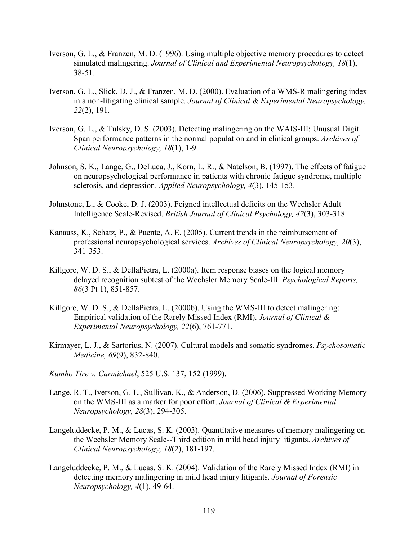- Iverson, G. L., & Franzen, M. D. (1996). Using multiple objective memory procedures to detect simulated malingering. *Journal of Clinical and Experimental Neuropsychology, 18*(1), 38-51.
- Iverson, G. L., Slick, D. J., & Franzen, M. D. (2000). Evaluation of a WMS-R malingering index in a non-litigating clinical sample. *Journal of Clinical & Experimental Neuropsychology, 22*(2), 191.
- Iverson, G. L., & Tulsky, D. S. (2003). Detecting malingering on the WAIS-III: Unusual Digit Span performance patterns in the normal population and in clinical groups. *Archives of Clinical Neuropsychology, 18*(1), 1-9.
- Johnson, S. K., Lange, G., DeLuca, J., Korn, L. R., & Natelson, B. (1997). The effects of fatigue on neuropsychological performance in patients with chronic fatigue syndrome, multiple sclerosis, and depression. *Applied Neuropsychology, 4*(3), 145-153.
- Johnstone, L., & Cooke, D. J. (2003). Feigned intellectual deficits on the Wechsler Adult Intelligence Scale-Revised. *British Journal of Clinical Psychology, 42*(3), 303-318.
- Kanauss, K., Schatz, P., & Puente, A. E. (2005). Current trends in the reimbursement of professional neuropsychological services. *Archives of Clinical Neuropsychology, 20*(3), 341-353.
- Killgore, W. D. S., & DellaPietra, L. (2000a). Item response biases on the logical memory delayed recognition subtest of the Wechsler Memory Scale-III. *Psychological Reports, 86*(3 Pt 1), 851-857.
- Killgore, W. D. S., & DellaPietra, L. (2000b). Using the WMS-III to detect malingering: Empirical validation of the Rarely Missed Index (RMI). *Journal of Clinical & Experimental Neuropsychology, 22*(6), 761-771.
- Kirmayer, L. J., & Sartorius, N. (2007). Cultural models and somatic syndromes. *Psychosomatic Medicine, 69*(9), 832-840.
- *Kumho Tire v. Carmichael*, 525 U.S. 137, 152 (1999).
- Lange, R. T., Iverson, G. L., Sullivan, K., & Anderson, D. (2006). Suppressed Working Memory on the WMS-III as a marker for poor effort. *Journal of Clinical & Experimental Neuropsychology, 28*(3), 294-305.
- Langeluddecke, P. M., & Lucas, S. K. (2003). Quantitative measures of memory malingering on the Wechsler Memory Scale--Third edition in mild head injury litigants. *Archives of Clinical Neuropsychology, 18*(2), 181-197.
- Langeluddecke, P. M., & Lucas, S. K. (2004). Validation of the Rarely Missed Index (RMI) in detecting memory malingering in mild head injury litigants. *Journal of Forensic Neuropsychology, 4*(1), 49-64.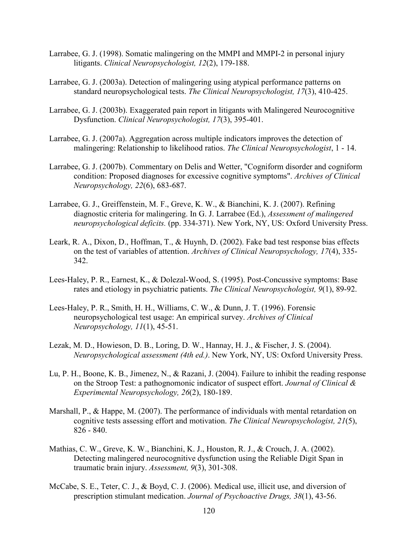- Larrabee, G. J. (1998). Somatic malingering on the MMPI and MMPI-2 in personal injury litigants. *Clinical Neuropsychologist, 12*(2), 179-188.
- Larrabee, G. J. (2003a). Detection of malingering using atypical performance patterns on standard neuropsychological tests. *The Clinical Neuropsychologist, 17*(3), 410-425.
- Larrabee, G. J. (2003b). Exaggerated pain report in litigants with Malingered Neurocognitive Dysfunction. *Clinical Neuropsychologist, 17*(3), 395-401.
- Larrabee, G. J. (2007a). Aggregation across multiple indicators improves the detection of malingering: Relationship to likelihood ratios. *The Clinical Neuropsychologist*, 1 - 14.
- Larrabee, G. J. (2007b). Commentary on Delis and Wetter, "Cogniform disorder and cogniform condition: Proposed diagnoses for excessive cognitive symptoms". *Archives of Clinical Neuropsychology, 22*(6), 683-687.
- Larrabee, G. J., Greiffenstein, M. F., Greve, K. W., & Bianchini, K. J. (2007). Refining diagnostic criteria for malingering. In G. J. Larrabee (Ed.), *Assessment of malingered neuropsychological deficits.* (pp. 334-371). New York, NY, US: Oxford University Press.
- Leark, R. A., Dixon, D., Hoffman, T., & Huynh, D. (2002). Fake bad test response bias effects on the test of variables of attention. *Archives of Clinical Neuropsychology, 17*(4), 335- 342.
- Lees-Haley, P. R., Earnest, K., & Dolezal-Wood, S. (1995). Post-Concussive symptoms: Base rates and etiology in psychiatric patients. *The Clinical Neuropsychologist, 9*(1), 89-92.
- Lees-Haley, P. R., Smith, H. H., Williams, C. W., & Dunn, J. T. (1996). Forensic neuropsychological test usage: An empirical survey. *Archives of Clinical Neuropsychology, 11*(1), 45-51.
- Lezak, M. D., Howieson, D. B., Loring, D. W., Hannay, H. J., & Fischer, J. S. (2004). *Neuropsychological assessment (4th ed.)*. New York, NY, US: Oxford University Press.
- Lu, P. H., Boone, K. B., Jimenez, N., & Razani, J. (2004). Failure to inhibit the reading response on the Stroop Test: a pathognomonic indicator of suspect effort. *Journal of Clinical & Experimental Neuropsychology, 26*(2), 180-189.
- Marshall, P., & Happe, M. (2007). The performance of individuals with mental retardation on cognitive tests assessing effort and motivation. *The Clinical Neuropsychologist, 21*(5), 826 - 840.
- Mathias, C. W., Greve, K. W., Bianchini, K. J., Houston, R. J., & Crouch, J. A. (2002). Detecting malingered neurocognitive dysfunction using the Reliable Digit Span in traumatic brain injury. *Assessment, 9*(3), 301-308.
- McCabe, S. E., Teter, C. J., & Boyd, C. J. (2006). Medical use, illicit use, and diversion of prescription stimulant medication. *Journal of Psychoactive Drugs, 38*(1), 43-56.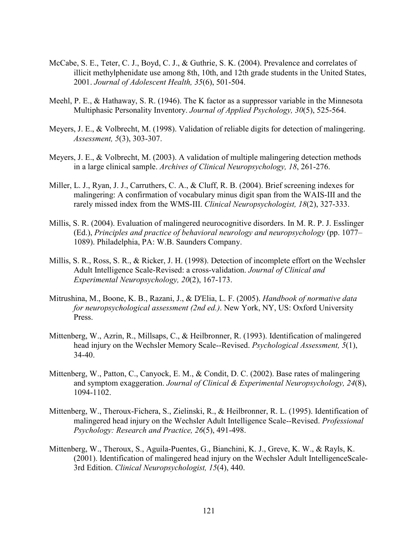- McCabe, S. E., Teter, C. J., Boyd, C. J., & Guthrie, S. K. (2004). Prevalence and correlates of illicit methylphenidate use among 8th, 10th, and 12th grade students in the United States, 2001. *Journal of Adolescent Health, 35*(6), 501-504.
- Meehl, P. E., & Hathaway, S. R. (1946). The K factor as a suppressor variable in the Minnesota Multiphasic Personality Inventory. *Journal of Applied Psychology, 30*(5), 525-564.
- Meyers, J. E., & Volbrecht, M. (1998). Validation of reliable digits for detection of malingering. *Assessment, 5*(3), 303-307.
- Meyers, J. E., & Volbrecht, M. (2003). A validation of multiple malingering detection methods in a large clinical sample. *Archives of Clinical Neuropsychology, 18*, 261-276.
- Miller, L. J., Ryan, J. J., Carruthers, C. A., & Cluff, R. B. (2004). Brief screening indexes for malingering: A confirmation of vocabulary minus digit span from the WAIS-III and the rarely missed index from the WMS-III. *Clinical Neuropsychologist, 18*(2), 327-333.
- Millis, S. R. (2004). Evaluation of malingered neurocognitive disorders. In M. R. P. J. Esslinger (Ed.), *Principles and practice of behavioral neurology and neuropsychology* (pp. 1077– 1089). Philadelphia, PA: W.B. Saunders Company.
- Millis, S. R., Ross, S. R., & Ricker, J. H. (1998). Detection of incomplete effort on the Wechsler Adult Intelligence Scale-Revised: a cross-validation. *Journal of Clinical and Experimental Neuropsychology, 20*(2), 167-173.
- Mitrushina, M., Boone, K. B., Razani, J., & D'Elia, L. F. (2005). *Handbook of normative data for neuropsychological assessment (2nd ed.)*. New York, NY, US: Oxford University Press.
- Mittenberg, W., Azrin, R., Millsaps, C., & Heilbronner, R. (1993). Identification of malingered head injury on the Wechsler Memory Scale--Revised. *Psychological Assessment, 5*(1), 34-40.
- Mittenberg, W., Patton, C., Canyock, E. M., & Condit, D. C. (2002). Base rates of malingering and symptom exaggeration. *Journal of Clinical & Experimental Neuropsychology, 24*(8), 1094-1102.
- Mittenberg, W., Theroux-Fichera, S., Zielinski, R., & Heilbronner, R. L. (1995). Identification of malingered head injury on the Wechsler Adult Intelligence Scale--Revised. *Professional Psychology: Research and Practice, 26*(5), 491-498.
- Mittenberg, W., Theroux, S., Aguila-Puentes, G., Bianchini, K. J., Greve, K. W., & Rayls, K. (2001). Identification of malingered head injury on the Wechsler Adult IntelligenceScale-3rd Edition. *Clinical Neuropsychologist, 15*(4), 440.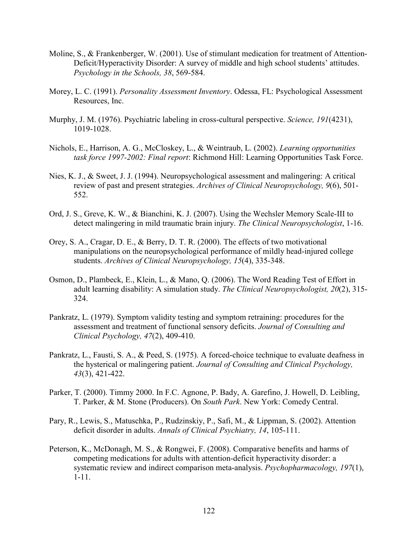- Moline, S., & Frankenberger, W. (2001). Use of stimulant medication for treatment of Attention-Deficit/Hyperactivity Disorder: A survey of middle and high school students' attitudes. *Psychology in the Schools, 38*, 569-584.
- Morey, L. C. (1991). *Personality Assessment Inventory*. Odessa, FL: Psychological Assessment Resources, Inc.
- Murphy, J. M. (1976). Psychiatric labeling in cross-cultural perspective. *Science, 191*(4231), 1019-1028.
- Nichols, E., Harrison, A. G., McCloskey, L., & Weintraub, L. (2002). *Learning opportunities task force 1997-2002: Final report*: Richmond Hill: Learning Opportunities Task Force.
- Nies, K. J., & Sweet, J. J. (1994). Neuropsychological assessment and malingering: A critical review of past and present strategies. *Archives of Clinical Neuropsychology, 9*(6), 501- 552.
- Ord, J. S., Greve, K. W., & Bianchini, K. J. (2007). Using the Wechsler Memory Scale-III to detect malingering in mild traumatic brain injury. *The Clinical Neuropsychologist*, 1-16.
- Orey, S. A., Cragar, D. E., & Berry, D. T. R. (2000). The effects of two motivational manipulations on the neuropsychological performance of mildly head-injured college students. *Archives of Clinical Neuropsychology, 15*(4), 335-348.
- Osmon, D., Plambeck, E., Klein, L., & Mano, Q. (2006). The Word Reading Test of Effort in adult learning disability: A simulation study. *The Clinical Neuropsychologist, 20*(2), 315- 324.
- Pankratz, L. (1979). Symptom validity testing and symptom retraining: procedures for the assessment and treatment of functional sensory deficits. *Journal of Consulting and Clinical Psychology, 47*(2), 409-410.
- Pankratz, L., Fausti, S. A., & Peed, S. (1975). A forced-choice technique to evaluate deafness in the hysterical or malingering patient. *Journal of Consulting and Clinical Psychology, 43*(3), 421-422.
- Parker, T. (2000). Timmy 2000. In F.C. Agnone, P. Bady, A. Garefino, J. Howell, D. Leibling, T. Parker, & M. Stone (Producers). On *South Park*. New York: Comedy Central.
- Pary, R., Lewis, S., Matuschka, P., Rudzinskiy, P., Safi, M., & Lippman, S. (2002). Attention deficit disorder in adults. *Annals of Clinical Psychiatry, 14*, 105-111.
- Peterson, K., McDonagh, M. S., & Rongwei, F. (2008). Comparative benefits and harms of competing medications for adults with attention-deficit hyperactivity disorder: a systematic review and indirect comparison meta-analysis. *Psychopharmacology, 197*(1), 1-11.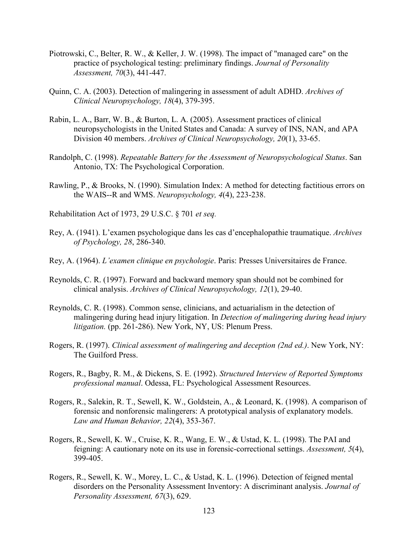- Piotrowski, C., Belter, R. W., & Keller, J. W. (1998). The impact of "managed care" on the practice of psychological testing: preliminary findings. *Journal of Personality Assessment, 70*(3), 441-447.
- Quinn, C. A. (2003). Detection of malingering in assessment of adult ADHD. *Archives of Clinical Neuropsychology, 18*(4), 379-395.
- Rabin, L. A., Barr, W. B., & Burton, L. A. (2005). Assessment practices of clinical neuropsychologists in the United States and Canada: A survey of INS, NAN, and APA Division 40 members. *Archives of Clinical Neuropsychology, 20*(1), 33-65.
- Randolph, C. (1998). *Repeatable Battery for the Assessment of Neuropsychological Status*. San Antonio, TX: The Psychological Corporation.
- Rawling, P., & Brooks, N. (1990). Simulation Index: A method for detecting factitious errors on the WAIS--R and WMS. *Neuropsychology, 4*(4), 223-238.
- Rehabilitation Act of 1973, 29 U.S.C. § 701 *et seq.*
- Rey, A. (1941). L'examen psychologique dans les cas d'encephalopathie traumatique. *Archives of Psychology, 28*, 286-340.
- Rey, A. (1964). *L'examen clinique en psychologie*. Paris: Presses Universitaires de France.
- Reynolds, C. R. (1997). Forward and backward memory span should not be combined for clinical analysis. *Archives of Clinical Neuropsychology, 12*(1), 29-40.
- Reynolds, C. R. (1998). Common sense, clinicians, and actuarialism in the detection of malingering during head injury litigation. In *Detection of malingering during head injury litigation.* (pp. 261-286). New York, NY, US: Plenum Press.
- Rogers, R. (1997). *Clinical assessment of malingering and deception (2nd ed.)*. New York, NY: The Guilford Press.
- Rogers, R., Bagby, R. M., & Dickens, S. E. (1992). *Structured Interview of Reported Symptoms professional manual*. Odessa, FL: Psychological Assessment Resources.
- Rogers, R., Salekin, R. T., Sewell, K. W., Goldstein, A., & Leonard, K. (1998). A comparison of forensic and nonforensic malingerers: A prototypical analysis of explanatory models. *Law and Human Behavior, 22*(4), 353-367.
- Rogers, R., Sewell, K. W., Cruise, K. R., Wang, E. W., & Ustad, K. L. (1998). The PAI and feigning: A cautionary note on its use in forensic-correctional settings. *Assessment, 5*(4), 399-405.
- Rogers, R., Sewell, K. W., Morey, L. C., & Ustad, K. L. (1996). Detection of feigned mental disorders on the Personality Assessment Inventory: A discriminant analysis. *Journal of Personality Assessment, 67*(3), 629.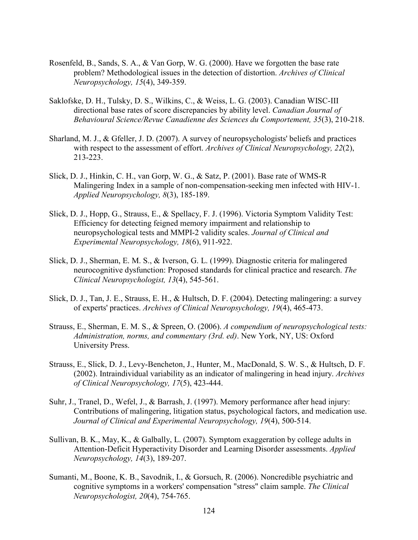- Rosenfeld, B., Sands, S. A., & Van Gorp, W. G. (2000). Have we forgotten the base rate problem? Methodological issues in the detection of distortion. *Archives of Clinical Neuropsychology, 15*(4), 349-359.
- Saklofske, D. H., Tulsky, D. S., Wilkins, C., & Weiss, L. G. (2003). Canadian WISC-III directional base rates of score discrepancies by ability level. *Canadian Journal of Behavioural Science/Revue Canadienne des Sciences du Comportement, 35*(3), 210-218.
- Sharland, M. J., & Gfeller, J. D. (2007). A survey of neuropsychologists' beliefs and practices with respect to the assessment of effort. *Archives of Clinical Neuropsychology, 22*(2), 213-223.
- Slick, D. J., Hinkin, C. H., van Gorp, W. G., & Satz, P. (2001). Base rate of WMS-R Malingering Index in a sample of non-compensation-seeking men infected with HIV-1. *Applied Neuropsychology, 8*(3), 185-189.
- Slick, D. J., Hopp, G., Strauss, E., & Spellacy, F. J. (1996). Victoria Symptom Validity Test: Efficiency for detecting feigned memory impairment and relationship to neuropsychological tests and MMPI-2 validity scales. *Journal of Clinical and Experimental Neuropsychology, 18*(6), 911-922.
- Slick, D. J., Sherman, E. M. S., & Iverson, G. L. (1999). Diagnostic criteria for malingered neurocognitive dysfunction: Proposed standards for clinical practice and research. *The Clinical Neuropsychologist, 13*(4), 545-561.
- Slick, D. J., Tan, J. E., Strauss, E. H., & Hultsch, D. F. (2004). Detecting malingering: a survey of experts' practices. *Archives of Clinical Neuropsychology, 19*(4), 465-473.
- Strauss, E., Sherman, E. M. S., & Spreen, O. (2006). *A compendium of neuropsychological tests: Administration, norms, and commentary (3rd. ed)*. New York, NY, US: Oxford University Press.
- Strauss, E., Slick, D. J., Levy-Bencheton, J., Hunter, M., MacDonald, S. W. S., & Hultsch, D. F. (2002). Intraindividual variability as an indicator of malingering in head injury. *Archives of Clinical Neuropsychology, 17*(5), 423-444.
- Suhr, J., Tranel, D., Wefel, J., & Barrash, J. (1997). Memory performance after head injury: Contributions of malingering, litigation status, psychological factors, and medication use. *Journal of Clinical and Experimental Neuropsychology, 19*(4), 500-514.
- Sullivan, B. K., May, K., & Galbally, L. (2007). Symptom exaggeration by college adults in Attention-Deficit Hyperactivity Disorder and Learning Disorder assessments. *Applied Neuropsychology, 14*(3), 189-207.
- Sumanti, M., Boone, K. B., Savodnik, I., & Gorsuch, R. (2006). Noncredible psychiatric and cognitive symptoms in a workers' compensation "stress" claim sample. *The Clinical Neuropsychologist, 20*(4), 754-765.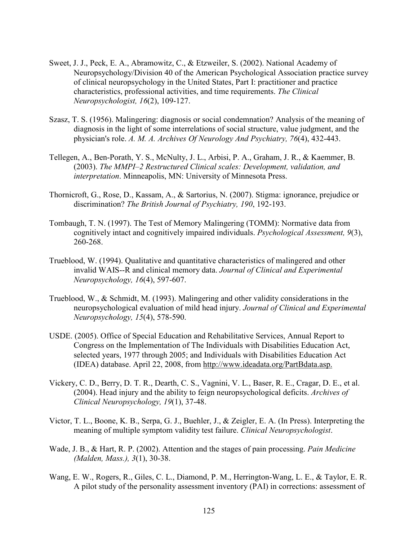- Sweet, J. J., Peck, E. A., Abramowitz, C., & Etzweiler, S. (2002). National Academy of Neuropsychology/Division 40 of the American Psychological Association practice survey of clinical neuropsychology in the United States, Part I: practitioner and practice characteristics, professional activities, and time requirements. *The Clinical Neuropsychologist, 16*(2), 109-127.
- Szasz, T. S. (1956). Malingering: diagnosis or social condemnation? Analysis of the meaning of diagnosis in the light of some interrelations of social structure, value judgment, and the physician's role. *A. M. A. Archives Of Neurology And Psychiatry, 76*(4), 432-443.
- Tellegen, A., Ben-Porath, Y. S., McNulty, J. L., Arbisi, P. A., Graham, J. R., & Kaemmer, B. (2003). *The MMPI–2 Restructured Clinical scales: Development, validation, and interpretation*. Minneapolis, MN: University of Minnesota Press.
- Thornicroft, G., Rose, D., Kassam, A., & Sartorius, N. (2007). Stigma: ignorance, prejudice or discrimination? *The British Journal of Psychiatry, 190*, 192-193.
- Tombaugh, T. N. (1997). The Test of Memory Malingering (TOMM): Normative data from cognitively intact and cognitively impaired individuals. *Psychological Assessment, 9*(3), 260-268.
- Trueblood, W. (1994). Qualitative and quantitative characteristics of malingered and other invalid WAIS--R and clinical memory data. *Journal of Clinical and Experimental Neuropsychology, 16*(4), 597-607.
- Trueblood, W., & Schmidt, M. (1993). Malingering and other validity considerations in the neuropsychological evaluation of mild head injury. *Journal of Clinical and Experimental Neuropsychology, 15*(4), 578-590.
- USDE. (2005). Office of Special Education and Rehabilitative Services, Annual Report to Congress on the Implementation of The Individuals with Disabilities Education Act, selected years, 1977 through 2005; and Individuals with Disabilities Education Act (IDEA) database. April 22, 2008, from http://www.ideadata.org/PartBdata.asp.
- Vickery, C. D., Berry, D. T. R., Dearth, C. S., Vagnini, V. L., Baser, R. E., Cragar, D. E., et al. (2004). Head injury and the ability to feign neuropsychological deficits. *Archives of Clinical Neuropsychology, 19*(1), 37-48.
- Victor, T. L., Boone, K. B., Serpa, G. J., Buehler, J., & Zeigler, E. A. (In Press). Interpreting the meaning of multiple symptom validity test failure. *Clinical Neuropsychologist*.
- Wade, J. B., & Hart, R. P. (2002). Attention and the stages of pain processing. *Pain Medicine (Malden, Mass.), 3*(1), 30-38.
- Wang, E. W., Rogers, R., Giles, C. L., Diamond, P. M., Herrington-Wang, L. E., & Taylor, E. R. A pilot study of the personality assessment inventory (PAI) in corrections: assessment of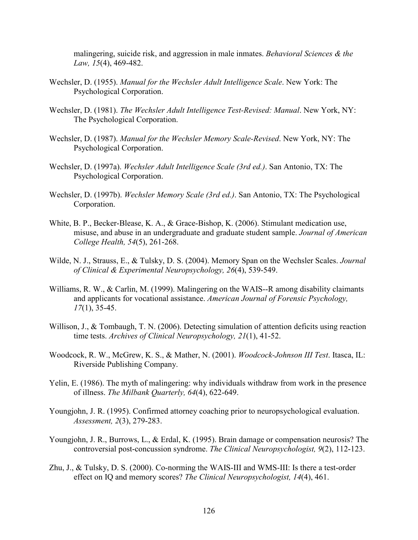malingering, suicide risk, and aggression in male inmates. *Behavioral Sciences & the Law, 15*(4), 469-482.

- Wechsler, D. (1955). *Manual for the Wechsler Adult Intelligence Scale*. New York: The Psychological Corporation.
- Wechsler, D. (1981). *The Wechsler Adult Intelligence Test-Revised: Manual*. New York, NY: The Psychological Corporation.
- Wechsler, D. (1987). *Manual for the Wechsler Memory Scale-Revised*. New York, NY: The Psychological Corporation.
- Wechsler, D. (1997a). *Wechsler Adult Intelligence Scale (3rd ed.)*. San Antonio, TX: The Psychological Corporation.
- Wechsler, D. (1997b). *Wechsler Memory Scale (3rd ed.)*. San Antonio, TX: The Psychological Corporation.
- White, B. P., Becker-Blease, K. A., & Grace-Bishop, K. (2006). Stimulant medication use, misuse, and abuse in an undergraduate and graduate student sample. *Journal of American College Health, 54*(5), 261-268.
- Wilde, N. J., Strauss, E., & Tulsky, D. S. (2004). Memory Span on the Wechsler Scales. *Journal of Clinical & Experimental Neuropsychology, 26*(4), 539-549.
- Williams, R. W., & Carlin, M. (1999). Malingering on the WAIS--R among disability claimants and applicants for vocational assistance. *American Journal of Forensic Psychology, 17*(1), 35-45.
- Willison, J., & Tombaugh, T. N. (2006). Detecting simulation of attention deficits using reaction time tests. *Archives of Clinical Neuropsychology, 21*(1), 41-52.
- Woodcock, R. W., McGrew, K. S., & Mather, N. (2001). *Woodcock-Johnson III Test*. Itasca, IL: Riverside Publishing Company.
- Yelin, E. (1986). The myth of malingering: why individuals withdraw from work in the presence of illness. *The Milbank Quarterly, 64*(4), 622-649.
- Youngjohn, J. R. (1995). Confirmed attorney coaching prior to neuropsychological evaluation. *Assessment, 2*(3), 279-283.
- Youngjohn, J. R., Burrows, L., & Erdal, K. (1995). Brain damage or compensation neurosis? The controversial post-concussion syndrome. *The Clinical Neuropsychologist, 9*(2), 112-123.
- Zhu, J., & Tulsky, D. S. (2000). Co-norming the WAIS-III and WMS-III: Is there a test-order effect on IQ and memory scores? *The Clinical Neuropsychologist, 14*(4), 461.